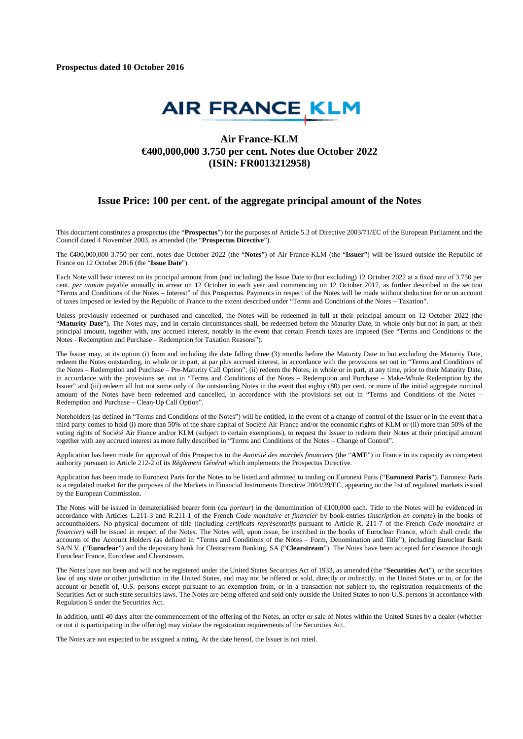**Prospectus dated 10 October 2016**



# **Air France-KLM €400,000,000 3.750 per cent. Notes due October 2022 (ISIN: FR0013212958)**

# **Issue Price: 100 per cent. of the aggregate principal amount of the Notes**

This document constitutes a prospectus (the "**Prospectus**") for the purposes of Article 5.3 of Directive 2003/71/EC of the European Parliament and the Council dated 4 November 2003, as amended (the "**Prospectus Directive**").

The €400,000,000 3.750 per cent. notes due October 2022 (the "**Notes**") of Air France-KLM (the "**Issuer**") will be issued outside the Republic of France on 12 October 2016 (the "**Issue Date**").

Each Note will bear interest on its principal amount from (and including) the Issue Date to (but excluding) 12 October 2022 at a fixed rate of 3.750 per cent. *per annum* payable annually in arrear on 12 October in each year and commencing on 12 October 2017, as further described in the section "Terms and Conditions of the Notes – Interest" of this Prospectus. Payments in respect of the Notes will be made without deduction for or on account of taxes imposed or levied by the Republic of France to the extent described under "Terms and Conditions of the Notes – Taxation".

Unless previously redeemed or purchased and cancelled, the Notes will be redeemed in full at their principal amount on 12 October 2022 (the "Maturity Date"). The Notes may, and in certain circumstances shall, be redeemed before the Maturity Date, in whole only but not in part, at their principal amount, together with, any accrued interest, notably in the event that certain French taxes are imposed (See "Terms and Conditions of the Notes - Redemption and Purchase – Redemption for Taxation Reasons").

The Issuer may, at its option (i) from and including the date falling three (3) months before the Maturity Date to but excluding the Maturity Date, redeem the Notes outstanding, in whole or in part, at par plus accrued interest, in accordance with the provisions set out in "Terms and Conditions of the Notes – Redemption and Purchase – Pre-Maturity Call Option"; (ii) redeem the Notes, in whole or in part, at any time, prior to their Maturity Date, in accordance with the provisions set out in "Terms and Conditions of the Notes – Redemption and Purchase – Make-Whole Redemption by the Issuer" and (iii) redeem all but not some only of the outstanding Notes in the event that eighty (80) per cent. or more of the initial aggregate nominal amount of the Notes have been redeemed and cancelled, in accordance with the provisions set out in "Terms and Conditions of the Notes – Redemption and Purchase – Clean-Up Call Option".

Noteholders (as defined in "Terms and Conditions of the Notes") will be entitled, in the event of a change of control of the Issuer or in the event that a third party comes to hold (i) more than 50% of the share capital of Société Air France and/or the economic rights of KLM or (ii) more than 50% of the voting rights of Société Air France and/or KLM (subject to certain exemptions), to request the Issuer to redeem their Notes at their principal amount together with any accrued interest as more fully described in "Terms and Conditions of the Notes – Change of Control".

Application has been made for approval of this Prospectus to the *Autorité des marchés financiers* (the "**AMF**") in France in its capacity as competent authority pursuant to Article 212-2 of its *Règlement Général* which implements the Prospectus Directive.

Application has been made to Euronext Paris for the Notes to be listed and admitted to trading on Euronext Paris ("**Euronext Paris**"). Euronext Paris is a regulated market for the purposes of the Markets in Financial Instruments Directive 2004/39/EC, appearing on the list of regulated markets issued by the European Commission.

The Notes will be issued in dematerialised bearer form (*au porteur*) in the denomination of €100,000 each. Title to the Notes will be evidenced in accordance with Articles L.211-3 and R.211-1 of the French *Code monétaire et financier* by book-entries (*inscription en compte*) in the books of accountholders. No physical document of title (including *certificats représentatifs* pursuant to Article R. 211-7 of the French *Code monétaire et financier*) will be issued in respect of the Notes. The Notes will, upon issue, be inscribed in the books of Euroclear France, which shall credit the accounts of the Account Holders (as defined in "Terms and Conditions of the Notes – Form, Denomination and Title"), including Euroclear Bank SA/N.V. ("**Euroclear**") and the depositary bank for Clearstream Banking, SA ("**Clearstream**"). The Notes have been accepted for clearance through Euroclear France, Euroclear and Clearstream.

The Notes have not been and will not be registered under the United States Securities Act of 1933, as amended (the "**Securities Act**"), or the securities law of any state or other jurisdiction in the United States, and may not be offered or sold, directly or indirectly, in the United States or to, or for the account or benefit of, U.S. persons except pursuant to an exemption from, or in a transaction not subject to, the registration requirements of the Securities Act or such state securities laws. The Notes are being offered and sold only outside the United States to non-U.S. persons in accordance with Regulation S under the Securities Act.

In addition, until 40 days after the commencement of the offering of the Notes, an offer or sale of Notes within the United States by a dealer (whether or not it is participating in the offering) may violate the registration requirements of the Securities Act.

The Notes are not expected to be assigned a rating. At the date hereof, the Issuer is not rated.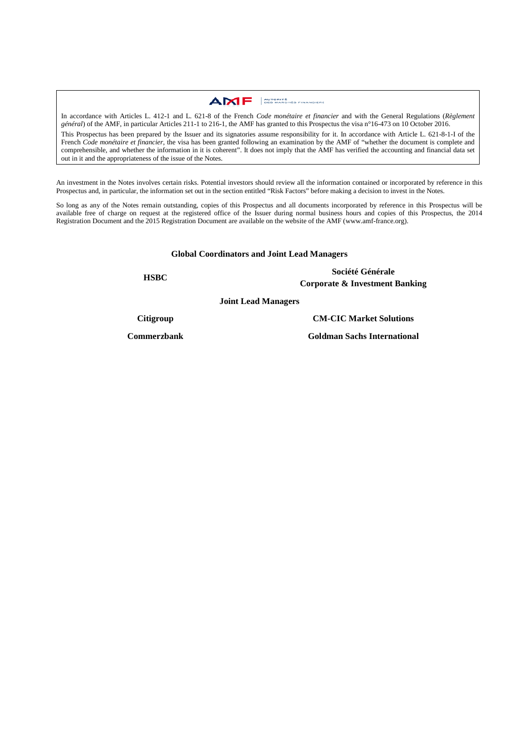# AMF SES MARGHES FINANCIERS

In accordance with Articles L. 412-1 and L. 621-8 of the French *Code monétaire et financier* and with the General Regulations (*Règlement général*) of the AMF, in particular Articles 211-1 to 216-1, the AMF has granted to this Prospectus the visa n°16-473 on 10 October 2016. This Prospectus has been prepared by the Issuer and its signatories assume responsibility for it. In accordance with Article L. 621-8-1-I of the French *Code monétaire et financier*, the visa has been granted following an examination by the AMF of "whether the document is complete and comprehensible, and whether the information in it is coherent". It does not imply that the AMF has verified the accounting and financial data set out in it and the appropriateness of the issue of the Notes.

An investment in the Notes involves certain risks. Potential investors should review all the information contained or incorporated by reference in this Prospectus and, in particular, the information set out in the section entitled "Risk Factors" before making a decision to invest in the Notes.

So long as any of the Notes remain outstanding, copies of this Prospectus and all documents incorporated by reference in this Prospectus will be available free of charge on request at the registered office of the Issuer during normal business hours and copies of this Prospectus, the 2014 Registration Document and the 2015 Registration Document are available on the website of the AMF (www.amf-france.org).

#### **Global Coordinators and Joint Lead Managers**

**HSBC Société Générale Corporate & Investment Banking**

**Joint Lead Managers**

**Citigroup CM-CIC Market Solutions**

**Commerzbank Goldman Sachs International**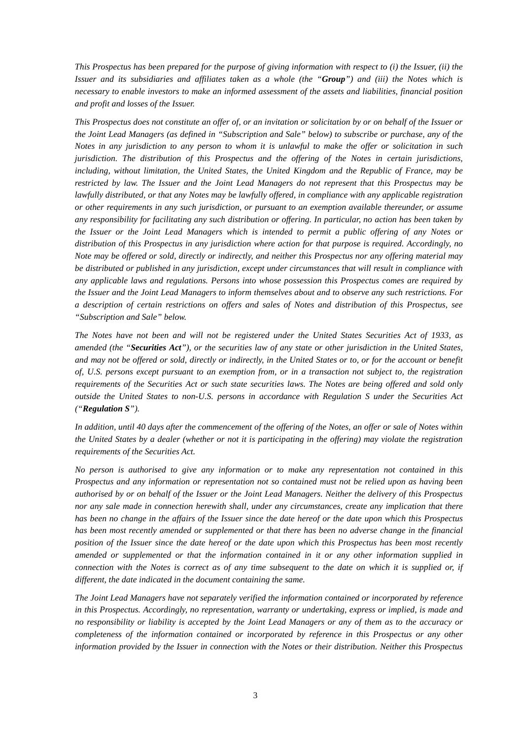*This Prospectus has been prepared for the purpose of giving information with respect to (i) the Issuer, (ii) the Issuer and its subsidiaries and affiliates taken as a whole (the "Group") and (iii) the Notes which is necessary to enable investors to make an informed assessment of the assets and liabilities, financial position and profit and losses of the Issuer.*

*This Prospectus does not constitute an offer of, or an invitation or solicitation by or on behalf of the Issuer or the Joint Lead Managers (as defined in "Subscription and Sale" below) to subscribe or purchase, any of the Notes in any jurisdiction to any person to whom it is unlawful to make the offer or solicitation in such jurisdiction. The distribution of this Prospectus and the offering of the Notes in certain jurisdictions, including, without limitation, the United States, the United Kingdom and the Republic of France, may be restricted by law. The Issuer and the Joint Lead Managers do not represent that this Prospectus may be lawfully distributed, or that any Notes may be lawfully offered, in compliance with any applicable registration or other requirements in any such jurisdiction, or pursuant to an exemption available thereunder, or assume any responsibility for facilitating any such distribution or offering. In particular, no action has been taken by the Issuer or the Joint Lead Managers which is intended to permit a public offering of any Notes or distribution of this Prospectus in any jurisdiction where action for that purpose is required. Accordingly, no Note may be offered or sold, directly or indirectly, and neither this Prospectus nor any offering material may be distributed or published in any jurisdiction, except under circumstances that will result in compliance with any applicable laws and regulations. Persons into whose possession this Prospectus comes are required by the Issuer and the Joint Lead Managers to inform themselves about and to observe any such restrictions. For a description of certain restrictions on offers and sales of Notes and distribution of this Prospectus, see "Subscription and Sale" below.*

*The Notes have not been and will not be registered under the United States Securities Act of 1933, as amended (the "Securities Act"), or the securities law of any state or other jurisdiction in the United States,*  and may not be offered or sold, directly or indirectly, in the United States or to, or for the account or benefit *of, U.S. persons except pursuant to an exemption from, or in a transaction not subject to, the registration requirements of the Securities Act or such state securities laws. The Notes are being offered and sold only outside the United States to non-U.S. persons in accordance with Regulation S under the Securities Act ("Regulation S").*

*In addition, until 40 days after the commencement of the offering of the Notes, an offer or sale of Notes within the United States by a dealer (whether or not it is participating in the offering) may violate the registration requirements of the Securities Act.*

*No person is authorised to give any information or to make any representation not contained in this Prospectus and any information or representation not so contained must not be relied upon as having been authorised by or on behalf of the Issuer or the Joint Lead Managers. Neither the delivery of this Prospectus nor any sale made in connection herewith shall, under any circumstances, create any implication that there has been no change in the affairs of the Issuer since the date hereof or the date upon which this Prospectus has been most recently amended or supplemented or that there has been no adverse change in the financial position of the Issuer since the date hereof or the date upon which this Prospectus has been most recently amended or supplemented or that the information contained in it or any other information supplied in connection with the Notes is correct as of any time subsequent to the date on which it is supplied or, if different, the date indicated in the document containing the same.*

*The Joint Lead Managers have not separately verified the information contained or incorporated by reference in this Prospectus. Accordingly, no representation, warranty or undertaking, express or implied, is made and no responsibility or liability is accepted by the Joint Lead Managers or any of them as to the accuracy or completeness of the information contained or incorporated by reference in this Prospectus or any other information provided by the Issuer in connection with the Notes or their distribution. Neither this Prospectus*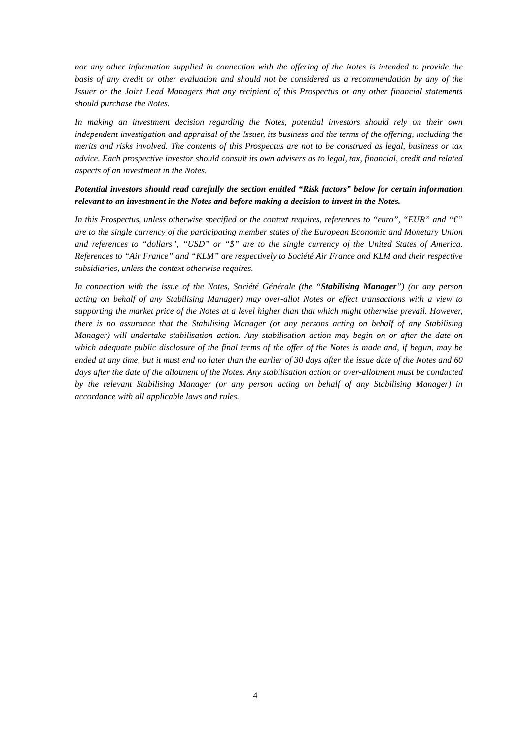*nor any other information supplied in connection with the offering of the Notes is intended to provide the basis of any credit or other evaluation and should not be considered as a recommendation by any of the Issuer or the Joint Lead Managers that any recipient of this Prospectus or any other financial statements should purchase the Notes.*

*In making an investment decision regarding the Notes, potential investors should rely on their own independent investigation and appraisal of the Issuer, its business and the terms of the offering, including the merits and risks involved. The contents of this Prospectus are not to be construed as legal, business or tax advice. Each prospective investor should consult its own advisers as to legal, tax, financial, credit and related aspects of an investment in the Notes.*

# *Potential investors should read carefully the section entitled "Risk factors" below for certain information relevant to an investment in the Notes and before making a decision to invest in the Notes.*

*In this Prospectus, unless otherwise specified or the context requires, references to "euro", "EUR" and "€" are to the single currency of the participating member states of the European Economic and Monetary Union and references to "dollars", "USD" or "\$" are to the single currency of the United States of America. References to "Air France" and "KLM" are respectively to Société Air France and KLM and their respective subsidiaries, unless the context otherwise requires.*

*In connection with the issue of the Notes, Société Générale (the "Stabilising Manager") (or any person acting on behalf of any Stabilising Manager) may over-allot Notes or effect transactions with a view to supporting the market price of the Notes at a level higher than that which might otherwise prevail. However, there is no assurance that the Stabilising Manager (or any persons acting on behalf of any Stabilising Manager) will undertake stabilisation action. Any stabilisation action may begin on or after the date on which adequate public disclosure of the final terms of the offer of the Notes is made and, if begun, may be ended at any time, but it must end no later than the earlier of 30 days after the issue date of the Notes and 60*  days after the date of the allotment of the Notes. Any stabilisation action or over-allotment must be conducted *by the relevant Stabilising Manager (or any person acting on behalf of any Stabilising Manager) in accordance with all applicable laws and rules.*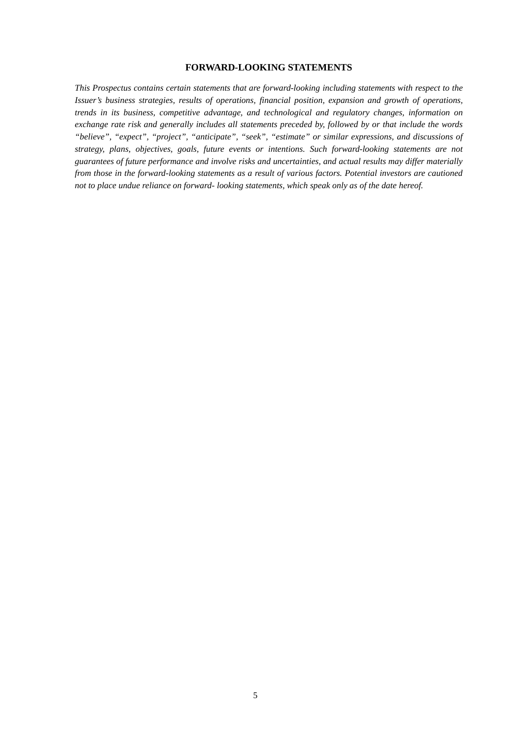# **FORWARD-LOOKING STATEMENTS**

*This Prospectus contains certain statements that are forward-looking including statements with respect to the Issuer's business strategies, results of operations, financial position, expansion and growth of operations, trends in its business, competitive advantage, and technological and regulatory changes, information on exchange rate risk and generally includes all statements preceded by, followed by or that include the words "believe", "expect", "project", "anticipate", "seek", "estimate" or similar expressions, and discussions of strategy, plans, objectives, goals, future events or intentions. Such forward-looking statements are not guarantees of future performance and involve risks and uncertainties, and actual results may differ materially from those in the forward-looking statements as a result of various factors. Potential investors are cautioned not to place undue reliance on forward- looking statements, which speak only as of the date hereof.*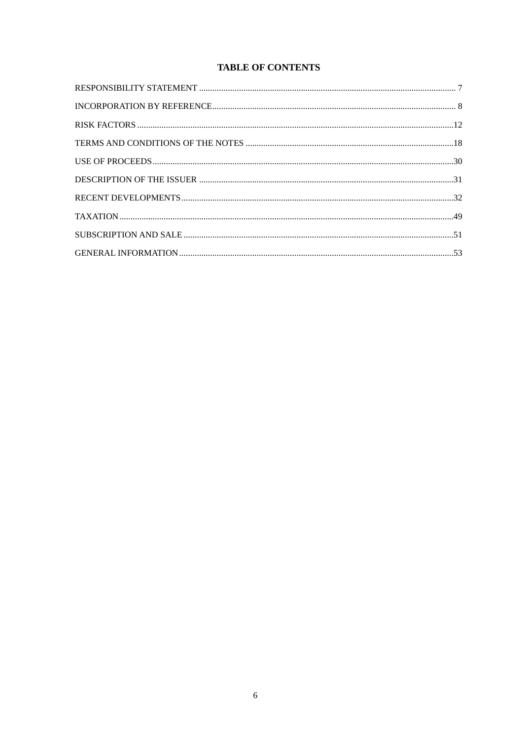# **TABLE OF CONTENTS**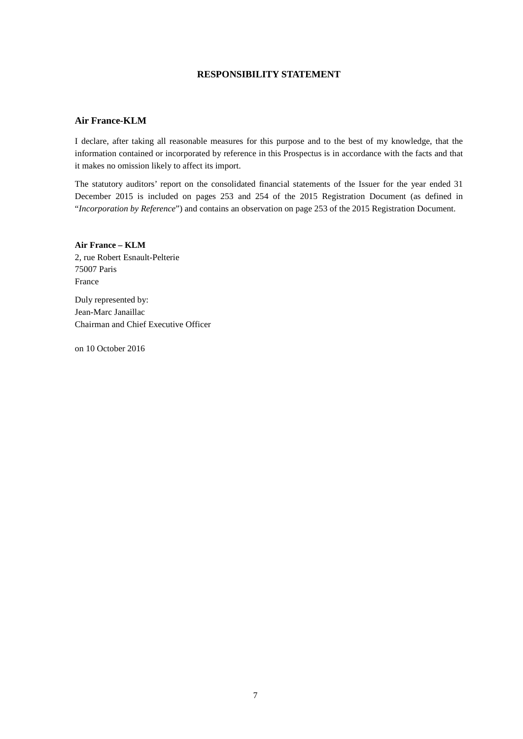# **RESPONSIBILITY STATEMENT**

#### <span id="page-6-0"></span>**Air France-KLM**

I declare, after taking all reasonable measures for this purpose and to the best of my knowledge, that the information contained or incorporated by reference in this Prospectus is in accordance with the facts and that it makes no omission likely to affect its import.

The statutory auditors' report on the consolidated financial statements of the Issuer for the year ended 31 December 2015 is included on pages 253 and 254 of the 2015 Registration Document (as defined in "*Incorporation by Reference*") and contains an observation on page 253 of the 2015 Registration Document.

**Air France – KLM** 2, rue Robert Esnault-Pelterie 75007 Paris France Duly represented by:

Jean-Marc Janaillac Chairman and Chief Executive Officer

on 10 October 2016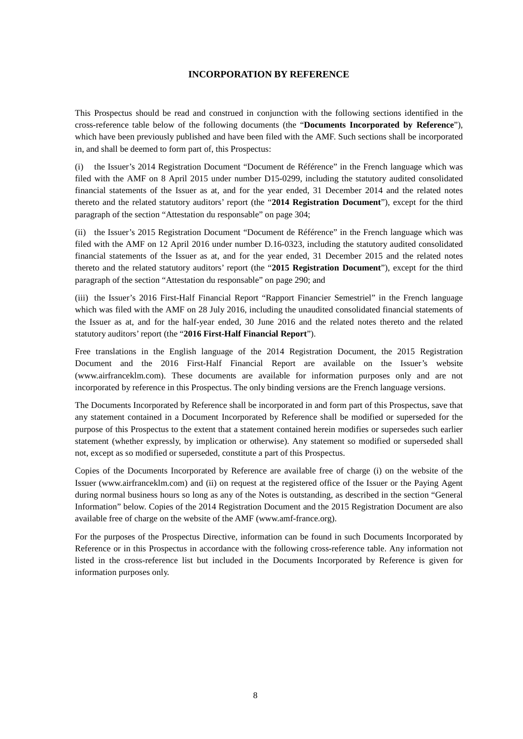# **INCORPORATION BY REFERENCE**

<span id="page-7-0"></span>This Prospectus should be read and construed in conjunction with the following sections identified in the cross-reference table below of the following documents (the "**Documents Incorporated by Reference**"), which have been previously published and have been filed with the AMF. Such sections shall be incorporated in, and shall be deemed to form part of, this Prospectus:

(i) the Issuer's 2014 Registration Document "Document de Référence" in the French language which was filed with the AMF on 8 April 2015 under number D15-0299, including the statutory audited consolidated financial statements of the Issuer as at, and for the year ended, 31 December 2014 and the related notes thereto and the related statutory auditors' report (the "**2014 Registration Document**"), except for the third paragraph of the section "Attestation du responsable" on page 304;

(ii) the Issuer's 2015 Registration Document "Document de Référence" in the French language which was filed with the AMF on 12 April 2016 under number D.16-0323, including the statutory audited consolidated financial statements of the Issuer as at, and for the year ended, 31 December 2015 and the related notes thereto and the related statutory auditors' report (the "**2015 Registration Document**"), except for the third paragraph of the section "Attestation du responsable" on page 290; and

(iii) the Issuer's 2016 First-Half Financial Report "Rapport Financier Semestriel" in the French language which was filed with the AMF on 28 July 2016, including the unaudited consolidated financial statements of the Issuer as at, and for the half-year ended, 30 June 2016 and the related notes thereto and the related statutory auditors' report (the "**2016 First-Half Financial Report**").

Free translations in the English language of the 2014 Registration Document, the 2015 Registration Document and the 2016 First-Half Financial Report are available on the Issuer's website (www.airfranceklm.com). These documents are available for information purposes only and are not incorporated by reference in this Prospectus. The only binding versions are the French language versions.

The Documents Incorporated by Reference shall be incorporated in and form part of this Prospectus, save that any statement contained in a Document Incorporated by Reference shall be modified or superseded for the purpose of this Prospectus to the extent that a statement contained herein modifies or supersedes such earlier statement (whether expressly, by implication or otherwise). Any statement so modified or superseded shall not, except as so modified or superseded, constitute a part of this Prospectus.

Copies of the Documents Incorporated by Reference are available free of charge (i) on the website of the Issuer (www.airfranceklm.com) and (ii) on request at the registered office of the Issuer or the Paying Agent during normal business hours so long as any of the Notes is outstanding, as described in the section "General Information" below. Copies of the 2014 Registration Document and the 2015 Registration Document are also available free of charge on the website of the AMF (www.amf-france.org).

For the purposes of the Prospectus Directive, information can be found in such Documents Incorporated by Reference or in this Prospectus in accordance with the following cross-reference table. Any information not listed in the cross-reference list but included in the Documents Incorporated by Reference is given for information purposes only.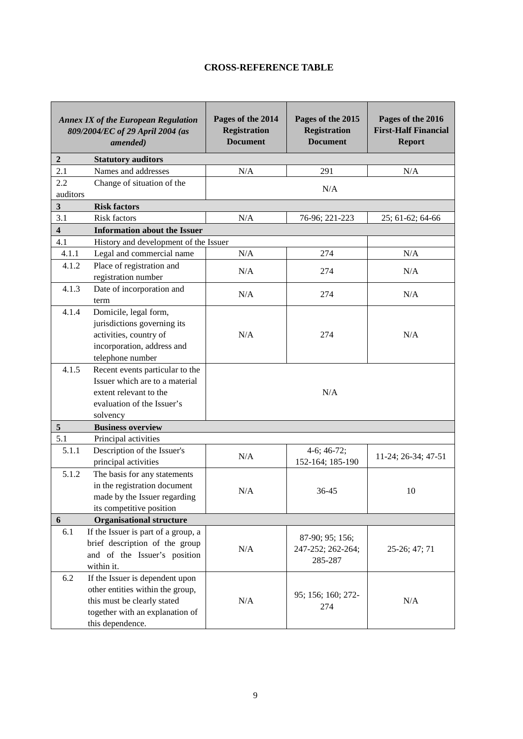# **CROSS-REFERENCE TABLE**

| <b>Annex IX of the European Regulation</b><br>809/2004/EC of 29 April 2004 (as<br>amended) |                                                                                                                                                           | Pages of the 2014<br><b>Registration</b><br><b>Document</b> | Pages of the 2015<br><b>Registration</b><br><b>Document</b> | Pages of the 2016<br><b>First-Half Financial</b><br><b>Report</b> |  |  |
|--------------------------------------------------------------------------------------------|-----------------------------------------------------------------------------------------------------------------------------------------------------------|-------------------------------------------------------------|-------------------------------------------------------------|-------------------------------------------------------------------|--|--|
| $\overline{2}$                                                                             | <b>Statutory auditors</b>                                                                                                                                 |                                                             |                                                             |                                                                   |  |  |
| 2.1                                                                                        | Names and addresses                                                                                                                                       | N/A                                                         | 291                                                         | N/A                                                               |  |  |
| 2.2                                                                                        | Change of situation of the                                                                                                                                |                                                             | N/A                                                         |                                                                   |  |  |
| auditors                                                                                   |                                                                                                                                                           |                                                             |                                                             |                                                                   |  |  |
| $\overline{\mathbf{3}}$                                                                    | <b>Risk factors</b>                                                                                                                                       |                                                             |                                                             |                                                                   |  |  |
| 3.1                                                                                        | <b>Risk factors</b>                                                                                                                                       | N/A                                                         | 76-96; 221-223                                              | 25; 61-62; 64-66                                                  |  |  |
| $\overline{\mathbf{4}}$                                                                    | <b>Information about the Issuer</b>                                                                                                                       |                                                             |                                                             |                                                                   |  |  |
| 4.1                                                                                        | History and development of the Issuer                                                                                                                     |                                                             |                                                             |                                                                   |  |  |
| 4.1.1                                                                                      | Legal and commercial name                                                                                                                                 | N/A                                                         | 274                                                         | N/A                                                               |  |  |
| 4.1.2                                                                                      | Place of registration and                                                                                                                                 | N/A                                                         | 274                                                         | N/A                                                               |  |  |
|                                                                                            | registration number                                                                                                                                       |                                                             |                                                             |                                                                   |  |  |
| 4.1.3                                                                                      | Date of incorporation and<br>term                                                                                                                         | N/A                                                         | 274                                                         | N/A                                                               |  |  |
| 4.1.4                                                                                      | Domicile, legal form,<br>jurisdictions governing its<br>activities, country of<br>incorporation, address and<br>telephone number                          | N/A                                                         | 274                                                         | N/A                                                               |  |  |
| 4.1.5                                                                                      | Recent events particular to the<br>Issuer which are to a material<br>extent relevant to the<br>evaluation of the Issuer's<br>solvency                     | N/A                                                         |                                                             |                                                                   |  |  |
| 5                                                                                          | <b>Business overview</b>                                                                                                                                  |                                                             |                                                             |                                                                   |  |  |
| 5.1                                                                                        | Principal activities                                                                                                                                      |                                                             |                                                             |                                                                   |  |  |
| 5.1.1                                                                                      | Description of the Issuer's<br>principal activities                                                                                                       | N/A                                                         | $4-6$ ; $46-72$ ;<br>152-164; 185-190                       | 11-24; 26-34; 47-51                                               |  |  |
| 5.1.2                                                                                      | The basis for any statements<br>in the registration document<br>made by the Issuer regarding<br>its competitive position                                  | N/A                                                         | 36-45                                                       | 10                                                                |  |  |
| 6                                                                                          | <b>Organisational structure</b>                                                                                                                           |                                                             |                                                             |                                                                   |  |  |
| 6.1                                                                                        | If the Issuer is part of a group, a<br>brief description of the group<br>and of the Issuer's position<br>within it.                                       | N/A                                                         | 87-90; 95; 156;<br>247-252; 262-264;<br>285-287             | 25-26; 47; 71                                                     |  |  |
| 6.2                                                                                        | If the Issuer is dependent upon<br>other entities within the group,<br>this must be clearly stated<br>together with an explanation of<br>this dependence. | N/A                                                         | 95; 156; 160; 272-<br>274                                   | N/A                                                               |  |  |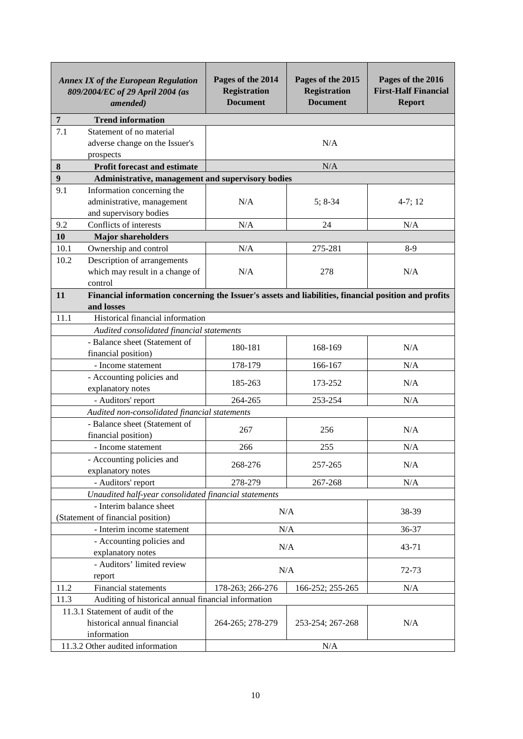|                                                                                                            | <b>Annex IX of the European Regulation</b><br>809/2004/EC of 29 April 2004 (as<br>amended) | Pages of the 2014<br><b>Registration</b><br><b>Document</b> | Pages of the 2015<br><b>Registration</b><br><b>Document</b> | Pages of the 2016<br><b>First-Half Financial</b><br><b>Report</b> |  |  |
|------------------------------------------------------------------------------------------------------------|--------------------------------------------------------------------------------------------|-------------------------------------------------------------|-------------------------------------------------------------|-------------------------------------------------------------------|--|--|
| $\overline{7}$                                                                                             | <b>Trend information</b>                                                                   |                                                             |                                                             |                                                                   |  |  |
| 7.1                                                                                                        | Statement of no material                                                                   |                                                             |                                                             |                                                                   |  |  |
|                                                                                                            | adverse change on the Issuer's                                                             |                                                             | N/A                                                         |                                                                   |  |  |
|                                                                                                            | prospects                                                                                  |                                                             |                                                             |                                                                   |  |  |
| 8                                                                                                          | <b>Profit forecast and estimate</b>                                                        |                                                             | N/A                                                         |                                                                   |  |  |
| $\boldsymbol{9}$                                                                                           | Administrative, management and supervisory bodies                                          |                                                             |                                                             |                                                                   |  |  |
| 9.1                                                                                                        | Information concerning the                                                                 |                                                             |                                                             |                                                                   |  |  |
|                                                                                                            | administrative, management                                                                 | N/A                                                         | $5; 8-34$                                                   | $4-7;12$                                                          |  |  |
|                                                                                                            | and supervisory bodies                                                                     |                                                             |                                                             |                                                                   |  |  |
| 9.2                                                                                                        | Conflicts of interests                                                                     | N/A                                                         | 24                                                          | N/A                                                               |  |  |
| 10                                                                                                         | <b>Major shareholders</b>                                                                  |                                                             |                                                             |                                                                   |  |  |
| 10.1                                                                                                       | Ownership and control                                                                      | N/A                                                         | 275-281                                                     | $8-9$                                                             |  |  |
| 10.2                                                                                                       | Description of arrangements                                                                |                                                             |                                                             |                                                                   |  |  |
|                                                                                                            | which may result in a change of                                                            | N/A                                                         | 278                                                         | N/A                                                               |  |  |
|                                                                                                            | control                                                                                    |                                                             |                                                             |                                                                   |  |  |
| Financial information concerning the Issuer's assets and liabilities, financial position and profits<br>11 |                                                                                            |                                                             |                                                             |                                                                   |  |  |
|                                                                                                            | and losses                                                                                 |                                                             |                                                             |                                                                   |  |  |
| 11.1                                                                                                       | Historical financial information                                                           |                                                             |                                                             |                                                                   |  |  |
|                                                                                                            | Audited consolidated financial statements                                                  |                                                             |                                                             |                                                                   |  |  |
|                                                                                                            | - Balance sheet (Statement of                                                              | 180-181                                                     | 168-169                                                     | N/A                                                               |  |  |
|                                                                                                            | financial position)                                                                        |                                                             |                                                             |                                                                   |  |  |
|                                                                                                            | - Income statement                                                                         | 178-179                                                     | 166-167                                                     | N/A                                                               |  |  |
|                                                                                                            | - Accounting policies and                                                                  | 185-263                                                     | 173-252                                                     | N/A                                                               |  |  |
|                                                                                                            | explanatory notes                                                                          |                                                             |                                                             |                                                                   |  |  |
|                                                                                                            | - Auditors' report                                                                         | 264-265                                                     | 253-254                                                     | N/A                                                               |  |  |
|                                                                                                            | Audited non-consolidated financial statements                                              |                                                             |                                                             |                                                                   |  |  |
|                                                                                                            | - Balance sheet (Statement of                                                              | 267                                                         | 256                                                         | N/A                                                               |  |  |
|                                                                                                            | financial position)                                                                        |                                                             |                                                             |                                                                   |  |  |
|                                                                                                            | - Income statement                                                                         | 266                                                         | 255                                                         | N/A                                                               |  |  |
|                                                                                                            | - Accounting policies and                                                                  | 268-276                                                     | 257-265                                                     | N/A                                                               |  |  |
|                                                                                                            | explanatory notes                                                                          |                                                             |                                                             |                                                                   |  |  |
|                                                                                                            | - Auditors' report                                                                         | 278-279                                                     | 267-268                                                     | N/A                                                               |  |  |
|                                                                                                            | Unaudited half-year consolidated financial statements                                      |                                                             |                                                             |                                                                   |  |  |
|                                                                                                            | - Interim balance sheet                                                                    | N/A                                                         |                                                             | 38-39                                                             |  |  |
|                                                                                                            | (Statement of financial position)                                                          |                                                             |                                                             |                                                                   |  |  |
|                                                                                                            | - Interim income statement                                                                 | N/A                                                         |                                                             | 36-37                                                             |  |  |
|                                                                                                            | - Accounting policies and                                                                  | N/A                                                         |                                                             | 43-71                                                             |  |  |
|                                                                                                            | explanatory notes                                                                          |                                                             |                                                             |                                                                   |  |  |
|                                                                                                            | - Auditors' limited review                                                                 | N/A                                                         | 72-73                                                       |                                                                   |  |  |
|                                                                                                            | report                                                                                     |                                                             |                                                             |                                                                   |  |  |
| 11.2                                                                                                       | <b>Financial statements</b>                                                                | 178-263; 266-276                                            | 166-252; 255-265                                            | N/A                                                               |  |  |
| 11.3                                                                                                       | Auditing of historical annual financial information                                        |                                                             |                                                             |                                                                   |  |  |
|                                                                                                            | 11.3.1 Statement of audit of the                                                           |                                                             |                                                             |                                                                   |  |  |
|                                                                                                            | historical annual financial                                                                | 264-265; 278-279                                            | 253-254; 267-268                                            | N/A                                                               |  |  |
|                                                                                                            | information                                                                                |                                                             |                                                             |                                                                   |  |  |
|                                                                                                            | 11.3.2 Other audited information                                                           |                                                             | N/A                                                         |                                                                   |  |  |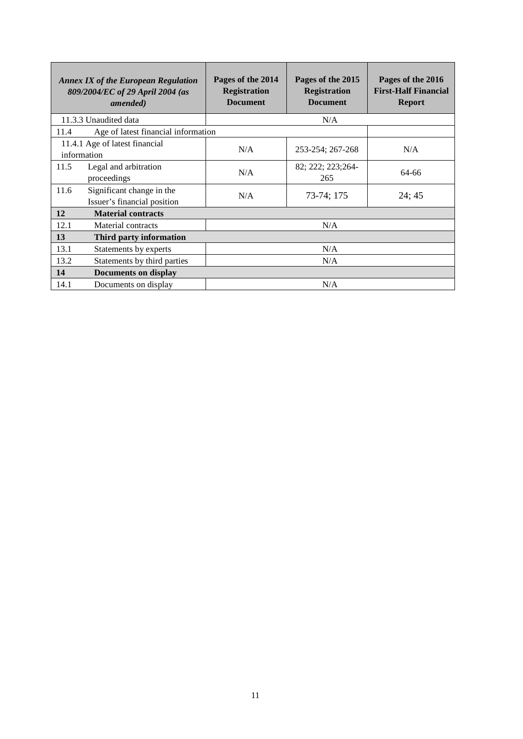|      | <b>Annex IX of the European Regulation</b><br>809/2004/EC of 29 April 2004 (as<br><i>amended</i> ) | Pages of the 2014<br>Pages of the 2015<br><b>Registration</b><br><b>Registration</b><br><b>Document</b><br><b>Document</b> |                           | Pages of the 2016<br><b>First-Half Financial</b><br><b>Report</b> |  |  |
|------|----------------------------------------------------------------------------------------------------|----------------------------------------------------------------------------------------------------------------------------|---------------------------|-------------------------------------------------------------------|--|--|
|      | 11.3.3 Unaudited data                                                                              |                                                                                                                            | N/A                       |                                                                   |  |  |
| 11.4 | Age of latest financial information                                                                |                                                                                                                            |                           |                                                                   |  |  |
|      | 11.4.1 Age of latest financial<br>information                                                      | N/A                                                                                                                        | 253-254; 267-268          | N/A                                                               |  |  |
| 11.5 | Legal and arbitration<br>proceedings                                                               | N/A                                                                                                                        | 82; 222; 223; 264-<br>265 | 64-66                                                             |  |  |
| 11.6 | Significant change in the<br>Issuer's financial position                                           | N/A                                                                                                                        | 73-74; 175                | 24; 45                                                            |  |  |
| 12   | <b>Material contracts</b>                                                                          |                                                                                                                            |                           |                                                                   |  |  |
| 12.1 | <b>Material</b> contracts                                                                          |                                                                                                                            | N/A                       |                                                                   |  |  |
| 13   | Third party information                                                                            |                                                                                                                            |                           |                                                                   |  |  |
| 13.1 | Statements by experts                                                                              | N/A                                                                                                                        |                           |                                                                   |  |  |
| 13.2 | Statements by third parties                                                                        | N/A                                                                                                                        |                           |                                                                   |  |  |
| 14   | <b>Documents on display</b>                                                                        |                                                                                                                            |                           |                                                                   |  |  |
| 14.1 | Documents on display                                                                               |                                                                                                                            | N/A                       |                                                                   |  |  |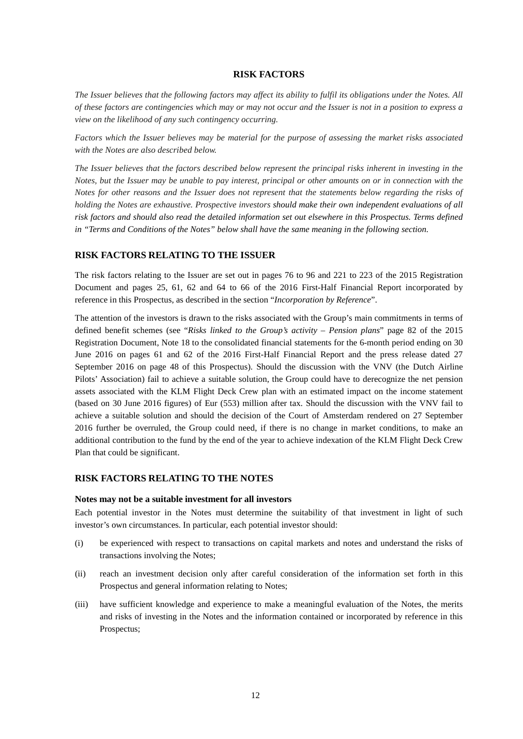#### **RISK FACTORS**

<span id="page-11-0"></span>*The Issuer believes that the following factors may affect its ability to fulfil its obligations under the Notes. All of these factors are contingencies which may or may not occur and the Issuer is not in a position to express a view on the likelihood of any such contingency occurring.*

*Factors which the Issuer believes may be material for the purpose of assessing the market risks associated with the Notes are also described below.*

*The Issuer believes that the factors described below represent the principal risks inherent in investing in the Notes, but the Issuer may be unable to pay interest, principal or other amounts on or in connection with the Notes for other reasons and the Issuer does not represent that the statements below regarding the risks of holding the Notes are exhaustive. Prospective investors should make their own independent evaluations of all risk factors and should also read the detailed information set out elsewhere in this Prospectus. Terms defined in "Terms and Conditions of the Notes" below shall have the same meaning in the following section.*

# **RISK FACTORS RELATING TO THE ISSUER**

The risk factors relating to the Issuer are set out in pages 76 to 96 and 221 to 223 of the 2015 Registration Document and pages 25, 61, 62 and 64 to 66 of the 2016 First-Half Financial Report incorporated by reference in this Prospectus, as described in the section "*Incorporation by Reference*".

The attention of the investors is drawn to the risks associated with the Group's main commitments in terms of defined benefit schemes (see "*Risks linked to the Group's activity – Pension plans*" page 82 of the 2015 Registration Document, Note 18 to the consolidated financial statements for the 6-month period ending on 30 June 2016 on pages 61 and 62 of the 2016 First-Half Financial Report and the press release dated 27 September 2016 on page 48 of this Prospectus). Should the discussion with the VNV (the Dutch Airline Pilots' Association) fail to achieve a suitable solution, the Group could have to derecognize the net pension assets associated with the KLM Flight Deck Crew plan with an estimated impact on the income statement (based on 30 June 2016 figures) of Eur (553) million after tax. Should the discussion with the VNV fail to achieve a suitable solution and should the decision of the Court of Amsterdam rendered on 27 September 2016 further be overruled, the Group could need, if there is no change in market conditions, to make an additional contribution to the fund by the end of the year to achieve indexation of the KLM Flight Deck Crew Plan that could be significant.

# **RISK FACTORS RELATING TO THE NOTES**

#### **Notes may not be a suitable investment for all investors**

Each potential investor in the Notes must determine the suitability of that investment in light of such investor's own circumstances. In particular, each potential investor should:

- (i) be experienced with respect to transactions on capital markets and notes and understand the risks of transactions involving the Notes;
- (ii) reach an investment decision only after careful consideration of the information set forth in this Prospectus and general information relating to Notes;
- (iii) have sufficient knowledge and experience to make a meaningful evaluation of the Notes, the merits and risks of investing in the Notes and the information contained or incorporated by reference in this Prospectus;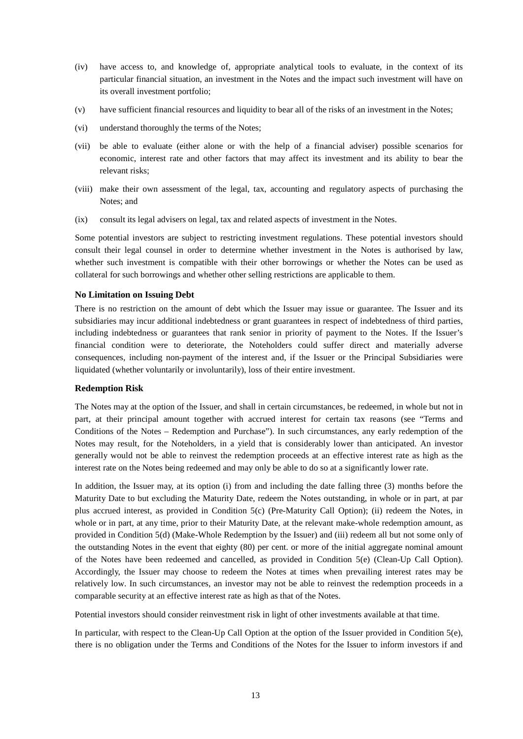- (iv) have access to, and knowledge of, appropriate analytical tools to evaluate, in the context of its particular financial situation, an investment in the Notes and the impact such investment will have on its overall investment portfolio;
- (v) have sufficient financial resources and liquidity to bear all of the risks of an investment in the Notes;
- (vi) understand thoroughly the terms of the Notes;
- (vii) be able to evaluate (either alone or with the help of a financial adviser) possible scenarios for economic, interest rate and other factors that may affect its investment and its ability to bear the relevant risks;
- (viii) make their own assessment of the legal, tax, accounting and regulatory aspects of purchasing the Notes; and
- (ix) consult its legal advisers on legal, tax and related aspects of investment in the Notes.

Some potential investors are subject to restricting investment regulations. These potential investors should consult their legal counsel in order to determine whether investment in the Notes is authorised by law, whether such investment is compatible with their other borrowings or whether the Notes can be used as collateral for such borrowings and whether other selling restrictions are applicable to them.

#### **No Limitation on Issuing Debt**

There is no restriction on the amount of debt which the Issuer may issue or guarantee. The Issuer and its subsidiaries may incur additional indebtedness or grant guarantees in respect of indebtedness of third parties, including indebtedness or guarantees that rank senior in priority of payment to the Notes. If the Issuer's financial condition were to deteriorate, the Noteholders could suffer direct and materially adverse consequences, including non-payment of the interest and, if the Issuer or the Principal Subsidiaries were liquidated (whether voluntarily or involuntarily), loss of their entire investment.

#### **Redemption Risk**

The Notes may at the option of the Issuer, and shall in certain circumstances, be redeemed, in whole but not in part, at their principal amount together with accrued interest for certain tax reasons (see "Terms and Conditions of the Notes – Redemption and Purchase"). In such circumstances, any early redemption of the Notes may result, for the Noteholders, in a yield that is considerably lower than anticipated. An investor generally would not be able to reinvest the redemption proceeds at an effective interest rate as high as the interest rate on the Notes being redeemed and may only be able to do so at a significantly lower rate.

In addition, the Issuer may, at its option (i) from and including the date falling three (3) months before the Maturity Date to but excluding the Maturity Date, redeem the Notes outstanding, in whole or in part, at par plus accrued interest, as provided in Condition 5(c) (Pre-Maturity Call Option); (ii) redeem the Notes, in whole or in part, at any time, prior to their Maturity Date, at the relevant make-whole redemption amount, as provided in Condition 5(d) (Make-Whole Redemption by the Issuer) and (iii) redeem all but not some only of the outstanding Notes in the event that eighty (80) per cent. or more of the initial aggregate nominal amount of the Notes have been redeemed and cancelled, as provided in Condition 5(e) (Clean-Up Call Option). Accordingly, the Issuer may choose to redeem the Notes at times when prevailing interest rates may be relatively low. In such circumstances, an investor may not be able to reinvest the redemption proceeds in a comparable security at an effective interest rate as high as that of the Notes.

Potential investors should consider reinvestment risk in light of other investments available at that time.

In particular, with respect to the Clean-Up Call Option at the option of the Issuer provided in Condition 5(e), there is no obligation under the Terms and Conditions of the Notes for the Issuer to inform investors if and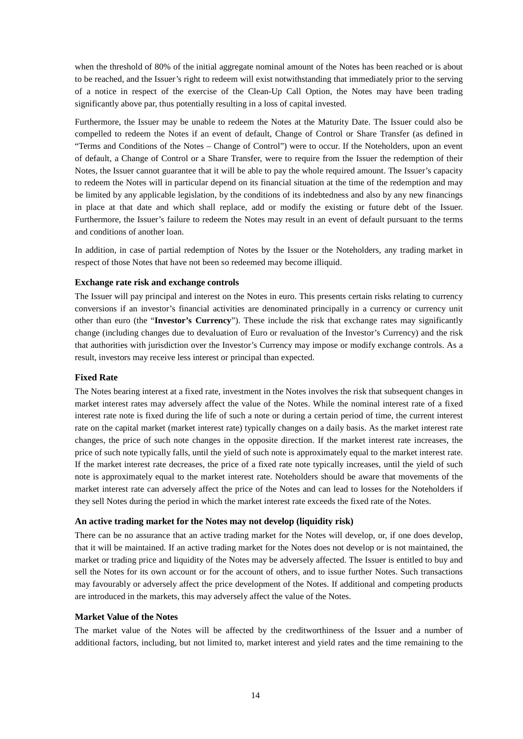when the threshold of 80% of the initial aggregate nominal amount of the Notes has been reached or is about to be reached, and the Issuer's right to redeem will exist notwithstanding that immediately prior to the serving of a notice in respect of the exercise of the Clean-Up Call Option, the Notes may have been trading significantly above par, thus potentially resulting in a loss of capital invested.

Furthermore, the Issuer may be unable to redeem the Notes at the Maturity Date. The Issuer could also be compelled to redeem the Notes if an event of default, Change of Control or Share Transfer (as defined in "Terms and Conditions of the Notes – Change of Control") were to occur. If the Noteholders, upon an event of default, a Change of Control or a Share Transfer, were to require from the Issuer the redemption of their Notes, the Issuer cannot guarantee that it will be able to pay the whole required amount. The Issuer's capacity to redeem the Notes will in particular depend on its financial situation at the time of the redemption and may be limited by any applicable legislation, by the conditions of its indebtedness and also by any new financings in place at that date and which shall replace, add or modify the existing or future debt of the Issuer. Furthermore, the Issuer's failure to redeem the Notes may result in an event of default pursuant to the terms and conditions of another loan.

In addition, in case of partial redemption of Notes by the Issuer or the Noteholders, any trading market in respect of those Notes that have not been so redeemed may become illiquid.

# **Exchange rate risk and exchange controls**

The Issuer will pay principal and interest on the Notes in euro. This presents certain risks relating to currency conversions if an investor's financial activities are denominated principally in a currency or currency unit other than euro (the "**Investor's Currency**"). These include the risk that exchange rates may significantly change (including changes due to devaluation of Euro or revaluation of the Investor's Currency) and the risk that authorities with jurisdiction over the Investor's Currency may impose or modify exchange controls. As a result, investors may receive less interest or principal than expected.

#### **Fixed Rate**

The Notes bearing interest at a fixed rate, investment in the Notes involves the risk that subsequent changes in market interest rates may adversely affect the value of the Notes. While the nominal interest rate of a fixed interest rate note is fixed during the life of such a note or during a certain period of time, the current interest rate on the capital market (market interest rate) typically changes on a daily basis. As the market interest rate changes, the price of such note changes in the opposite direction. If the market interest rate increases, the price of such note typically falls, until the yield of such note is approximately equal to the market interest rate. If the market interest rate decreases, the price of a fixed rate note typically increases, until the yield of such note is approximately equal to the market interest rate. Noteholders should be aware that movements of the market interest rate can adversely affect the price of the Notes and can lead to losses for the Noteholders if they sell Notes during the period in which the market interest rate exceeds the fixed rate of the Notes.

#### **An active trading market for the Notes may not develop (liquidity risk)**

There can be no assurance that an active trading market for the Notes will develop, or, if one does develop, that it will be maintained. If an active trading market for the Notes does not develop or is not maintained, the market or trading price and liquidity of the Notes may be adversely affected. The Issuer is entitled to buy and sell the Notes for its own account or for the account of others, and to issue further Notes. Such transactions may favourably or adversely affect the price development of the Notes. If additional and competing products are introduced in the markets, this may adversely affect the value of the Notes.

#### **Market Value of the Notes**

The market value of the Notes will be affected by the creditworthiness of the Issuer and a number of additional factors, including, but not limited to, market interest and yield rates and the time remaining to the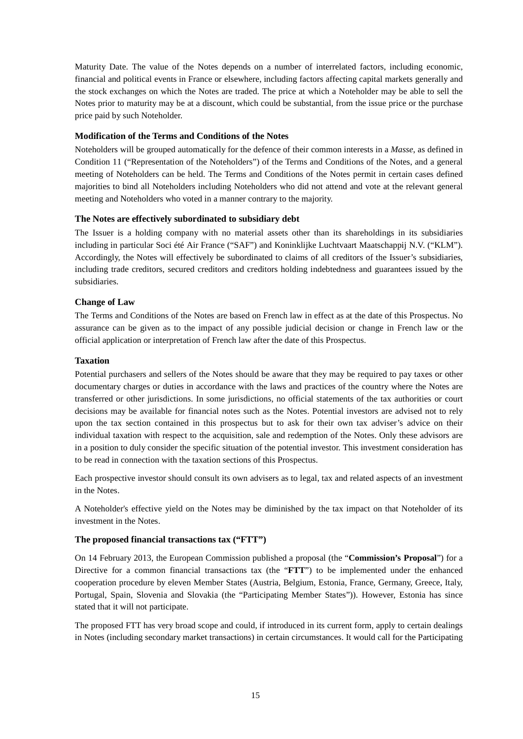Maturity Date. The value of the Notes depends on a number of interrelated factors, including economic, financial and political events in France or elsewhere, including factors affecting capital markets generally and the stock exchanges on which the Notes are traded. The price at which a Noteholder may be able to sell the Notes prior to maturity may be at a discount, which could be substantial, from the issue price or the purchase price paid by such Noteholder.

# **Modification of the Terms and Conditions of the Notes**

Noteholders will be grouped automatically for the defence of their common interests in a *Masse*, as defined in Condition 11 ("Representation of the Noteholders") of the Terms and Conditions of the Notes, and a general meeting of Noteholders can be held. The Terms and Conditions of the Notes permit in certain cases defined majorities to bind all Noteholders including Noteholders who did not attend and vote at the relevant general meeting and Noteholders who voted in a manner contrary to the majority.

# **The Notes are effectively subordinated to subsidiary debt**

The Issuer is a holding company with no material assets other than its shareholdings in its subsidiaries including in particular Soci été Air France ("SAF") and Koninklijke Luchtvaart Maatschappij N.V. ("KLM"). Accordingly, the Notes will effectively be subordinated to claims of all creditors of the Issuer's subsidiaries, including trade creditors, secured creditors and creditors holding indebtedness and guarantees issued by the subsidiaries.

# **Change of Law**

The Terms and Conditions of the Notes are based on French law in effect as at the date of this Prospectus. No assurance can be given as to the impact of any possible judicial decision or change in French law or the official application or interpretation of French law after the date of this Prospectus.

#### **Taxation**

Potential purchasers and sellers of the Notes should be aware that they may be required to pay taxes or other documentary charges or duties in accordance with the laws and practices of the country where the Notes are transferred or other jurisdictions. In some jurisdictions, no official statements of the tax authorities or court decisions may be available for financial notes such as the Notes. Potential investors are advised not to rely upon the tax section contained in this prospectus but to ask for their own tax adviser's advice on their individual taxation with respect to the acquisition, sale and redemption of the Notes. Only these advisors are in a position to duly consider the specific situation of the potential investor. This investment consideration has to be read in connection with the taxation sections of this Prospectus.

Each prospective investor should consult its own advisers as to legal, tax and related aspects of an investment in the Notes.

A Noteholder's effective yield on the Notes may be diminished by the tax impact on that Noteholder of its investment in the Notes.

#### **The proposed financial transactions tax ("FTT")**

On 14 February 2013, the European Commission published a proposal (the "**Commission's Proposal**") for a Directive for a common financial transactions tax (the "**FTT**") to be implemented under the enhanced cooperation procedure by eleven Member States (Austria, Belgium, Estonia, France, Germany, Greece, Italy, Portugal, Spain, Slovenia and Slovakia (the "Participating Member States")). However, Estonia has since stated that it will not participate.

The proposed FTT has very broad scope and could, if introduced in its current form, apply to certain dealings in Notes (including secondary market transactions) in certain circumstances. It would call for the Participating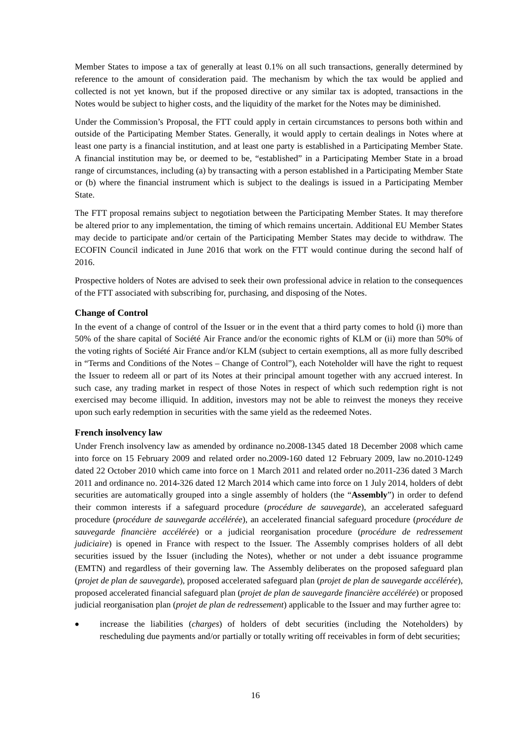Member States to impose a tax of generally at least 0.1% on all such transactions, generally determined by reference to the amount of consideration paid. The mechanism by which the tax would be applied and collected is not yet known, but if the proposed directive or any similar tax is adopted, transactions in the Notes would be subject to higher costs, and the liquidity of the market for the Notes may be diminished.

Under the Commission's Proposal, the FTT could apply in certain circumstances to persons both within and outside of the Participating Member States. Generally, it would apply to certain dealings in Notes where at least one party is a financial institution, and at least one party is established in a Participating Member State. A financial institution may be, or deemed to be, "established" in a Participating Member State in a broad range of circumstances, including (a) by transacting with a person established in a Participating Member State or (b) where the financial instrument which is subject to the dealings is issued in a Participating Member State.

The FTT proposal remains subject to negotiation between the Participating Member States. It may therefore be altered prior to any implementation, the timing of which remains uncertain. Additional EU Member States may decide to participate and/or certain of the Participating Member States may decide to withdraw. The ECOFIN Council indicated in June 2016 that work on the FTT would continue during the second half of 2016.

Prospective holders of Notes are advised to seek their own professional advice in relation to the consequences of the FTT associated with subscribing for, purchasing, and disposing of the Notes.

# **Change of Control**

In the event of a change of control of the Issuer or in the event that a third party comes to hold (i) more than 50% of the share capital of Société Air France and/or the economic rights of KLM or (ii) more than 50% of the voting rights of Société Air France and/or KLM (subject to certain exemptions, all as more fully described in "Terms and Conditions of the Notes – Change of Control"), each Noteholder will have the right to request the Issuer to redeem all or part of its Notes at their principal amount together with any accrued interest. In such case, any trading market in respect of those Notes in respect of which such redemption right is not exercised may become illiquid. In addition, investors may not be able to reinvest the moneys they receive upon such early redemption in securities with the same yield as the redeemed Notes.

# **French insolvency law**

Under French insolvency law as amended by ordinance no.2008-1345 dated 18 December 2008 which came into force on 15 February 2009 and related order no.2009-160 dated 12 February 2009, law no.2010-1249 dated 22 October 2010 which came into force on 1 March 2011 and related order no.2011-236 dated 3 March 2011 and ordinance no. 2014-326 dated 12 March 2014 which came into force on 1 July 2014, holders of debt securities are automatically grouped into a single assembly of holders (the "**Assembly**") in order to defend their common interests if a safeguard procedure (*procédure de sauvegarde*), an accelerated safeguard procedure (*procédure de sauvegarde accélérée*), an accelerated financial safeguard procedure (*procédure de sauvegarde financière accélérée*) or a judicial reorganisation procedure (*procédure de redressement judiciaire*) is opened in France with respect to the Issuer. The Assembly comprises holders of all debt securities issued by the Issuer (including the Notes), whether or not under a debt issuance programme (EMTN) and regardless of their governing law. The Assembly deliberates on the proposed safeguard plan (*projet de plan de sauvegarde*), proposed accelerated safeguard plan (*projet de plan de sauvegarde accélérée*), proposed accelerated financial safeguard plan (*projet de plan de sauvegarde financière accélérée*) or proposed judicial reorganisation plan (*projet de plan de redressement*) applicable to the Issuer and may further agree to:

• increase the liabilities (*charges*) of holders of debt securities (including the Noteholders) by rescheduling due payments and/or partially or totally writing off receivables in form of debt securities;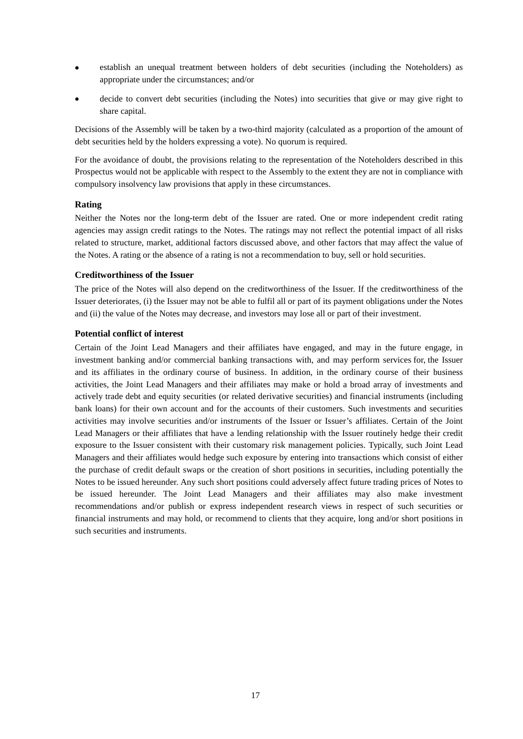- establish an unequal treatment between holders of debt securities (including the Noteholders) as appropriate under the circumstances; and/or
- decide to convert debt securities (including the Notes) into securities that give or may give right to share capital.

Decisions of the Assembly will be taken by a two-third majority (calculated as a proportion of the amount of debt securities held by the holders expressing a vote). No quorum is required.

For the avoidance of doubt, the provisions relating to the representation of the Noteholders described in this Prospectus would not be applicable with respect to the Assembly to the extent they are not in compliance with compulsory insolvency law provisions that apply in these circumstances.

#### **Rating**

Neither the Notes nor the long-term debt of the Issuer are rated. One or more independent credit rating agencies may assign credit ratings to the Notes. The ratings may not reflect the potential impact of all risks related to structure, market, additional factors discussed above, and other factors that may affect the value of the Notes. A rating or the absence of a rating is not a recommendation to buy, sell or hold securities.

#### **Creditworthiness of the Issuer**

The price of the Notes will also depend on the creditworthiness of the Issuer. If the creditworthiness of the Issuer deteriorates, (i) the Issuer may not be able to fulfil all or part of its payment obligations under the Notes and (ii) the value of the Notes may decrease, and investors may lose all or part of their investment.

#### **Potential conflict of interest**

Certain of the Joint Lead Managers and their affiliates have engaged, and may in the future engage, in investment banking and/or commercial banking transactions with, and may perform services for, the Issuer and its affiliates in the ordinary course of business. In addition, in the ordinary course of their business activities, the Joint Lead Managers and their affiliates may make or hold a broad array of investments and actively trade debt and equity securities (or related derivative securities) and financial instruments (including bank loans) for their own account and for the accounts of their customers. Such investments and securities activities may involve securities and/or instruments of the Issuer or Issuer's affiliates. Certain of the Joint Lead Managers or their affiliates that have a lending relationship with the Issuer routinely hedge their credit exposure to the Issuer consistent with their customary risk management policies. Typically, such Joint Lead Managers and their affiliates would hedge such exposure by entering into transactions which consist of either the purchase of credit default swaps or the creation of short positions in securities, including potentially the Notes to be issued hereunder. Any such short positions could adversely affect future trading prices of Notes to be issued hereunder. The Joint Lead Managers and their affiliates may also make investment recommendations and/or publish or express independent research views in respect of such securities or financial instruments and may hold, or recommend to clients that they acquire, long and/or short positions in such securities and instruments.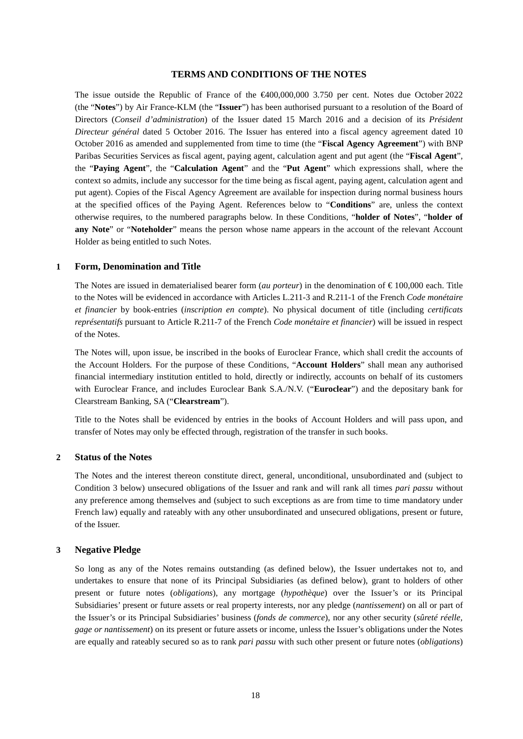# **TERMS AND CONDITIONS OF THE NOTES**

<span id="page-17-0"></span>The issue outside the Republic of France of the  $\bigoplus 00,000,000$  3.750 per cent. Notes due October 2022 (the "**Notes**") by Air France-KLM (the "**Issuer**") has been authorised pursuant to a resolution of the Board of Directors (*Conseil d'administration*) of the Issuer dated 15 March 2016 and a decision of its *Président Directeur général* dated 5 October 2016. The Issuer has entered into a fiscal agency agreement dated 10 October 2016 as amended and supplemented from time to time (the "**Fiscal Agency Agreement**") with BNP Paribas Securities Services as fiscal agent, paying agent, calculation agent and put agent (the "**Fiscal Agent**", the "**Paying Agent**", the "**Calculation Agent**" and the "**Put Agent**" which expressions shall, where the context so admits, include any successor for the time being as fiscal agent, paying agent, calculation agent and put agent). Copies of the Fiscal Agency Agreement are available for inspection during normal business hours at the specified offices of the Paying Agent. References below to "**Conditions**" are, unless the context otherwise requires, to the numbered paragraphs below. In these Conditions, "**holder of Notes**", "**holder of any Note**" or "**Noteholder**" means the person whose name appears in the account of the relevant Account Holder as being entitled to such Notes.

#### **1 Form, Denomination and Title**

The Notes are issued in dematerialised bearer form (*au porteur*) in the denomination of  $\epsilon$ 100,000 each. Title to the Notes will be evidenced in accordance with Articles L.211-3 and R.211-1 of the French *Code monétaire et financier* by book-entries (*inscription en compte*). No physical document of title (including *certificats représentatifs* pursuant to Article R.211-7 of the French *Code monétaire et financier*) will be issued in respect of the Notes.

The Notes will, upon issue, be inscribed in the books of Euroclear France, which shall credit the accounts of the Account Holders. For the purpose of these Conditions, "**Account Holders**" shall mean any authorised financial intermediary institution entitled to hold, directly or indirectly, accounts on behalf of its customers with Euroclear France, and includes Euroclear Bank S.A./N.V. ("**Euroclear**") and the depositary bank for Clearstream Banking, SA ("**Clearstream**").

Title to the Notes shall be evidenced by entries in the books of Account Holders and will pass upon, and transfer of Notes may only be effected through, registration of the transfer in such books.

#### **2 Status of the Notes**

The Notes and the interest thereon constitute direct, general, unconditional, unsubordinated and (subject to Condition 3 below) unsecured obligations of the Issuer and rank and will rank all times *pari passu* without any preference among themselves and (subject to such exceptions as are from time to time mandatory under French law) equally and rateably with any other unsubordinated and unsecured obligations, present or future, of the Issuer.

#### **3 Negative Pledge**

So long as any of the Notes remains outstanding (as defined below), the Issuer undertakes not to, and undertakes to ensure that none of its Principal Subsidiaries (as defined below), grant to holders of other present or future notes (*obligations*), any mortgage (*hypothèque*) over the Issuer's or its Principal Subsidiaries' present or future assets or real property interests, nor any pledge (*nantissement*) on all or part of the Issuer's or its Principal Subsidiaries' business (*fonds de commerce*), nor any other security (*sûreté réelle, gage or nantissement*) on its present or future assets or income, unless the Issuer's obligations under the Notes are equally and rateably secured so as to rank *pari passu* with such other present or future notes (*obligations*)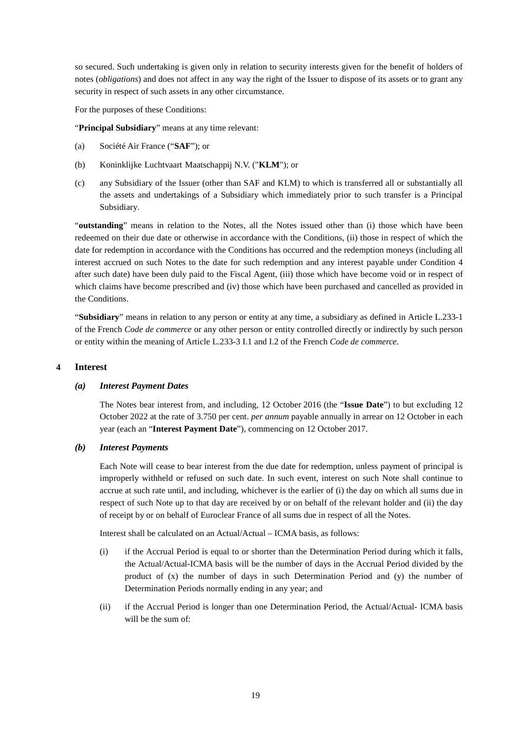so secured. Such undertaking is given only in relation to security interests given for the benefit of holders of notes (*obligations*) and does not affect in any way the right of the Issuer to dispose of its assets or to grant any security in respect of such assets in any other circumstance.

For the purposes of these Conditions:

"**Principal Subsidiary**" means at any time relevant:

- (a) Société Air France ("**SAF**"); or
- (b) Koninklijke Luchtvaart Maatschappij N.V. ("**KLM**"); or
- (c) any Subsidiary of the Issuer (other than SAF and KLM) to which is transferred all or substantially all the assets and undertakings of a Subsidiary which immediately prior to such transfer is a Principal Subsidiary.

"**outstanding**" means in relation to the Notes, all the Notes issued other than (i) those which have been redeemed on their due date or otherwise in accordance with the Conditions, (ii) those in respect of which the date for redemption in accordance with the Conditions has occurred and the redemption moneys (including all interest accrued on such Notes to the date for such redemption and any interest payable under Condition 4 after such date) have been duly paid to the Fiscal Agent, (iii) those which have become void or in respect of which claims have become prescribed and (iv) those which have been purchased and cancelled as provided in the Conditions.

"**Subsidiary**" means in relation to any person or entity at any time, a subsidiary as defined in Article L.233-1 of the French *Code de commerce* or any other person or entity controlled directly or indirectly by such person or entity within the meaning of Article L.233-3 I.1 and I.2 of the French *Code de commerce*.

#### **4 Interest**

#### *(a) Interest Payment Dates*

The Notes bear interest from, and including, 12 October 2016 (the "**Issue Date**") to but excluding 12 October 2022 at the rate of 3.750 per cent. *per annum* payable annually in arrear on 12 October in each year (each an "**Interest Payment Date**"), commencing on 12 October 2017.

# *(b) Interest Payments*

Each Note will cease to bear interest from the due date for redemption, unless payment of principal is improperly withheld or refused on such date. In such event, interest on such Note shall continue to accrue at such rate until, and including, whichever is the earlier of (i) the day on which all sums due in respect of such Note up to that day are received by or on behalf of the relevant holder and (ii) the day of receipt by or on behalf of Euroclear France of all sums due in respect of all the Notes.

Interest shall be calculated on an Actual/Actual – ICMA basis, as follows:

- (i) if the Accrual Period is equal to or shorter than the Determination Period during which it falls, the Actual/Actual-ICMA basis will be the number of days in the Accrual Period divided by the product of (x) the number of days in such Determination Period and (y) the number of Determination Periods normally ending in any year; and
- (ii) if the Accrual Period is longer than one Determination Period, the Actual/Actual- ICMA basis will be the sum of: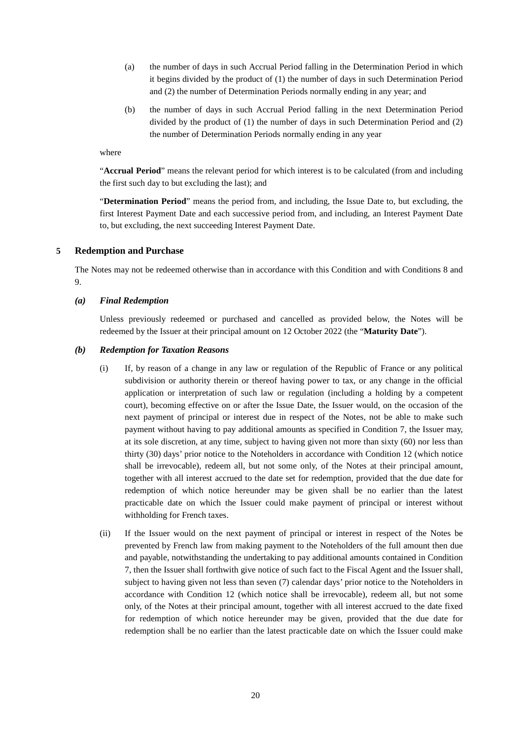- (a) the number of days in such Accrual Period falling in the Determination Period in which it begins divided by the product of (1) the number of days in such Determination Period and (2) the number of Determination Periods normally ending in any year; and
- (b) the number of days in such Accrual Period falling in the next Determination Period divided by the product of (1) the number of days in such Determination Period and (2) the number of Determination Periods normally ending in any year

where

"**Accrual Period**" means the relevant period for which interest is to be calculated (from and including the first such day to but excluding the last); and

"**Determination Period**" means the period from, and including, the Issue Date to, but excluding, the first Interest Payment Date and each successive period from, and including, an Interest Payment Date to, but excluding, the next succeeding Interest Payment Date.

# **5 Redemption and Purchase**

The Notes may not be redeemed otherwise than in accordance with this Condition and with Conditions 8 and 9.

#### *(a) Final Redemption*

Unless previously redeemed or purchased and cancelled as provided below, the Notes will be redeemed by the Issuer at their principal amount on 12 October 2022 (the "**Maturity Date**").

#### *(b) Redemption for Taxation Reasons*

- (i) If, by reason of a change in any law or regulation of the Republic of France or any political subdivision or authority therein or thereof having power to tax, or any change in the official application or interpretation of such law or regulation (including a holding by a competent court), becoming effective on or after the Issue Date, the Issuer would, on the occasion of the next payment of principal or interest due in respect of the Notes, not be able to make such payment without having to pay additional amounts as specified in Condition 7, the Issuer may, at its sole discretion, at any time, subject to having given not more than sixty (60) nor less than thirty (30) days' prior notice to the Noteholders in accordance with Condition 12 (which notice shall be irrevocable), redeem all, but not some only, of the Notes at their principal amount, together with all interest accrued to the date set for redemption, provided that the due date for redemption of which notice hereunder may be given shall be no earlier than the latest practicable date on which the Issuer could make payment of principal or interest without withholding for French taxes.
- (ii) If the Issuer would on the next payment of principal or interest in respect of the Notes be prevented by French law from making payment to the Noteholders of the full amount then due and payable, notwithstanding the undertaking to pay additional amounts contained in Condition 7, then the Issuer shall forthwith give notice of such fact to the Fiscal Agent and the Issuer shall, subject to having given not less than seven (7) calendar days' prior notice to the Noteholders in accordance with Condition 12 (which notice shall be irrevocable), redeem all, but not some only, of the Notes at their principal amount, together with all interest accrued to the date fixed for redemption of which notice hereunder may be given, provided that the due date for redemption shall be no earlier than the latest practicable date on which the Issuer could make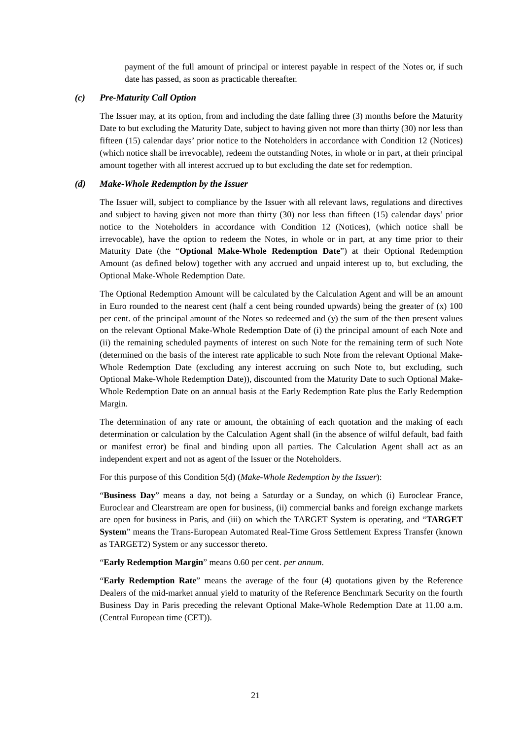payment of the full amount of principal or interest payable in respect of the Notes or, if such date has passed, as soon as practicable thereafter.

#### *(c) Pre-Maturity Call Option*

The Issuer may, at its option, from and including the date falling three (3) months before the Maturity Date to but excluding the Maturity Date, subject to having given not more than thirty (30) nor less than fifteen (15) calendar days' prior notice to the Noteholders in accordance with Condition 12 (Notices) (which notice shall be irrevocable), redeem the outstanding Notes, in whole or in part, at their principal amount together with all interest accrued up to but excluding the date set for redemption.

### *(d) Make-Whole Redemption by the Issuer*

The Issuer will, subject to compliance by the Issuer with all relevant laws, regulations and directives and subject to having given not more than thirty (30) nor less than fifteen (15) calendar days' prior notice to the Noteholders in accordance with Condition 12 (Notices), (which notice shall be irrevocable), have the option to redeem the Notes, in whole or in part, at any time prior to their Maturity Date (the "**Optional Make-Whole Redemption Date**") at their Optional Redemption Amount (as defined below) together with any accrued and unpaid interest up to, but excluding, the Optional Make-Whole Redemption Date.

The Optional Redemption Amount will be calculated by the Calculation Agent and will be an amount in Euro rounded to the nearest cent (half a cent being rounded upwards) being the greater of  $(x)$  100 per cent. of the principal amount of the Notes so redeemed and (y) the sum of the then present values on the relevant Optional Make-Whole Redemption Date of (i) the principal amount of each Note and (ii) the remaining scheduled payments of interest on such Note for the remaining term of such Note (determined on the basis of the interest rate applicable to such Note from the relevant Optional Make-Whole Redemption Date (excluding any interest accruing on such Note to, but excluding, such Optional Make-Whole Redemption Date)), discounted from the Maturity Date to such Optional Make-Whole Redemption Date on an annual basis at the Early Redemption Rate plus the Early Redemption Margin.

The determination of any rate or amount, the obtaining of each quotation and the making of each determination or calculation by the Calculation Agent shall (in the absence of wilful default, bad faith or manifest error) be final and binding upon all parties. The Calculation Agent shall act as an independent expert and not as agent of the Issuer or the Noteholders.

For this purpose of this Condition 5(d) (*Make-Whole Redemption by the Issuer*):

"**Business Day**" means a day, not being a Saturday or a Sunday, on which (i) Euroclear France, Euroclear and Clearstream are open for business, (ii) commercial banks and foreign exchange markets are open for business in Paris, and (iii) on which the TARGET System is operating, and "**TARGET System**" means the Trans-European Automated Real-Time Gross Settlement Express Transfer (known as TARGET2) System or any successor thereto.

"**Early Redemption Margin**" means 0.60 per cent. *per annum*.

"**Early Redemption Rate**" means the average of the four (4) quotations given by the Reference Dealers of the mid-market annual yield to maturity of the Reference Benchmark Security on the fourth Business Day in Paris preceding the relevant Optional Make-Whole Redemption Date at 11.00 a.m. (Central European time (CET)).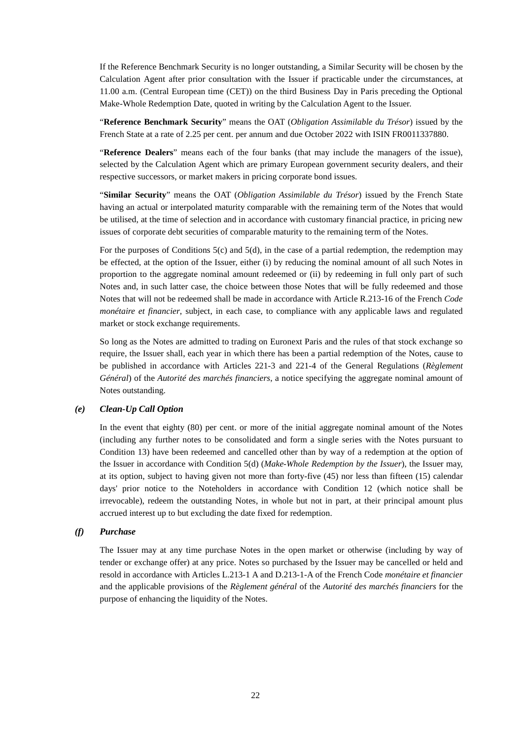If the Reference Benchmark Security is no longer outstanding, a Similar Security will be chosen by the Calculation Agent after prior consultation with the Issuer if practicable under the circumstances, at 11.00 a.m. (Central European time (CET)) on the third Business Day in Paris preceding the Optional Make-Whole Redemption Date, quoted in writing by the Calculation Agent to the Issuer.

"**Reference Benchmark Security**" means the OAT (*Obligation Assimilable du Trésor*) issued by the French State at a rate of 2.25 per cent. per annum and due October 2022 with ISIN FR0011337880.

"**Reference Dealers**" means each of the four banks (that may include the managers of the issue), selected by the Calculation Agent which are primary European government security dealers, and their respective successors, or market makers in pricing corporate bond issues.

"**Similar Security**" means the OAT (*Obligation Assimilable du Trésor*) issued by the French State having an actual or interpolated maturity comparable with the remaining term of the Notes that would be utilised, at the time of selection and in accordance with customary financial practice, in pricing new issues of corporate debt securities of comparable maturity to the remaining term of the Notes.

For the purposes of Conditions 5(c) and 5(d), in the case of a partial redemption, the redemption may be effected, at the option of the Issuer, either (i) by reducing the nominal amount of all such Notes in proportion to the aggregate nominal amount redeemed or (ii) by redeeming in full only part of such Notes and, in such latter case, the choice between those Notes that will be fully redeemed and those Notes that will not be redeemed shall be made in accordance with Article R.213-16 of the French *Code monétaire et financier*, subject, in each case, to compliance with any applicable laws and regulated market or stock exchange requirements.

So long as the Notes are admitted to trading on Euronext Paris and the rules of that stock exchange so require, the Issuer shall, each year in which there has been a partial redemption of the Notes, cause to be published in accordance with Articles 221-3 and 221-4 of the General Regulations (*Règlement Général*) of the *Autorité des marchés financiers*, a notice specifying the aggregate nominal amount of Notes outstanding.

# *(e) Clean-Up Call Option*

In the event that eighty (80) per cent. or more of the initial aggregate nominal amount of the Notes (including any further notes to be consolidated and form a single series with the Notes pursuant to Condition 13) have been redeemed and cancelled other than by way of a redemption at the option of the Issuer in accordance with Condition 5(d) (*Make-Whole Redemption by the Issuer*), the Issuer may, at its option, subject to having given not more than forty-five (45) nor less than fifteen (15) calendar days' prior notice to the Noteholders in accordance with Condition 12 (which notice shall be irrevocable), redeem the outstanding Notes, in whole but not in part, at their principal amount plus accrued interest up to but excluding the date fixed for redemption.

#### *(f) Purchase*

The Issuer may at any time purchase Notes in the open market or otherwise (including by way of tender or exchange offer) at any price. Notes so purchased by the Issuer may be cancelled or held and resold in accordance with Articles L.213-1 A and D.213-1-A of the French Code *monétaire et financier* and the applicable provisions of the *Règlement général* of the *Autorité des marchés financiers* for the purpose of enhancing the liquidity of the Notes.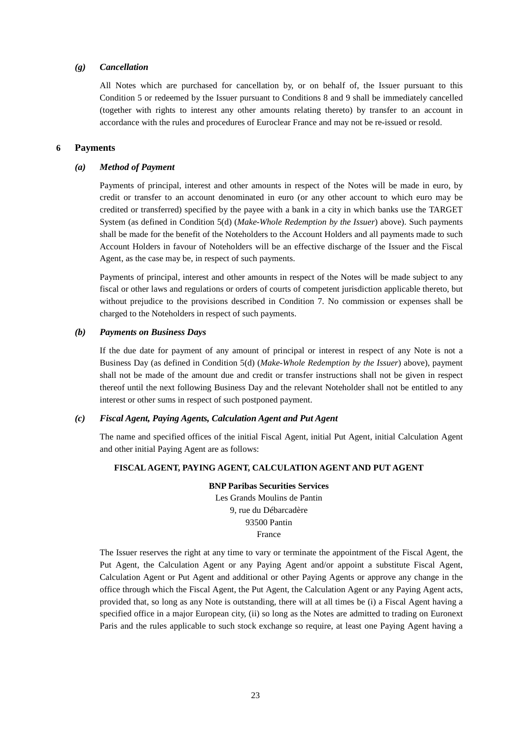### *(g) Cancellation*

All Notes which are purchased for cancellation by, or on behalf of, the Issuer pursuant to this Condition 5 or redeemed by the Issuer pursuant to Conditions 8 and 9 shall be immediately cancelled (together with rights to interest any other amounts relating thereto) by transfer to an account in accordance with the rules and procedures of Euroclear France and may not be re-issued or resold.

#### **6 Payments**

#### *(a) Method of Payment*

Payments of principal, interest and other amounts in respect of the Notes will be made in euro, by credit or transfer to an account denominated in euro (or any other account to which euro may be credited or transferred) specified by the payee with a bank in a city in which banks use the TARGET System (as defined in Condition 5(d) (*Make-Whole Redemption by the Issuer*) above). Such payments shall be made for the benefit of the Noteholders to the Account Holders and all payments made to such Account Holders in favour of Noteholders will be an effective discharge of the Issuer and the Fiscal Agent, as the case may be, in respect of such payments.

Payments of principal, interest and other amounts in respect of the Notes will be made subject to any fiscal or other laws and regulations or orders of courts of competent jurisdiction applicable thereto, but without prejudice to the provisions described in Condition 7. No commission or expenses shall be charged to the Noteholders in respect of such payments.

#### *(b) Payments on Business Days*

If the due date for payment of any amount of principal or interest in respect of any Note is not a Business Day (as defined in Condition 5(d) (*Make-Whole Redemption by the Issuer*) above), payment shall not be made of the amount due and credit or transfer instructions shall not be given in respect thereof until the next following Business Day and the relevant Noteholder shall not be entitled to any interest or other sums in respect of such postponed payment.

# *(c) Fiscal Agent, Paying Agents, Calculation Agent and Put Agent*

The name and specified offices of the initial Fiscal Agent, initial Put Agent, initial Calculation Agent and other initial Paying Agent are as follows:

#### **FISCAL AGENT, PAYING AGENT, CALCULATION AGENT AND PUT AGENT**

**BNP Paribas Securities Services** Les Grands Moulins de Pantin 9, rue du Débarcadère 93500 Pantin France

The Issuer reserves the right at any time to vary or terminate the appointment of the Fiscal Agent, the Put Agent, the Calculation Agent or any Paying Agent and/or appoint a substitute Fiscal Agent, Calculation Agent or Put Agent and additional or other Paying Agents or approve any change in the office through which the Fiscal Agent, the Put Agent, the Calculation Agent or any Paying Agent acts, provided that, so long as any Note is outstanding, there will at all times be (i) a Fiscal Agent having a specified office in a major European city, (ii) so long as the Notes are admitted to trading on Euronext Paris and the rules applicable to such stock exchange so require, at least one Paying Agent having a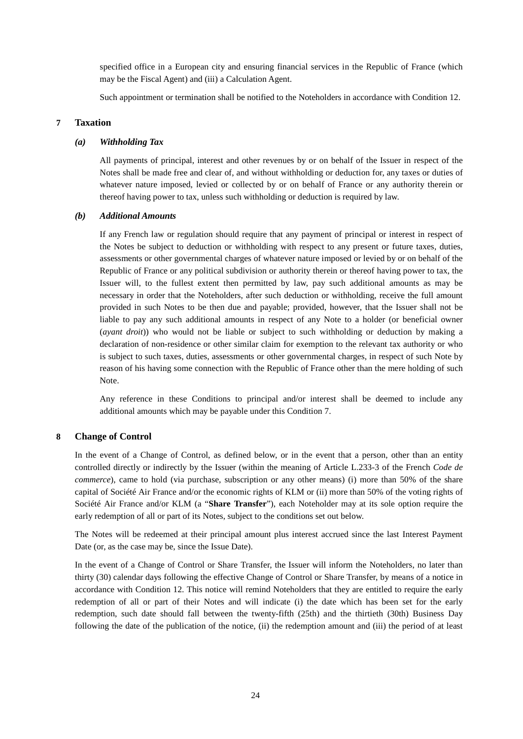specified office in a European city and ensuring financial services in the Republic of France (which may be the Fiscal Agent) and (iii) a Calculation Agent.

Such appointment or termination shall be notified to the Noteholders in accordance with Condition 12.

# **7 Taxation**

# *(a) Withholding Tax*

All payments of principal, interest and other revenues by or on behalf of the Issuer in respect of the Notes shall be made free and clear of, and without withholding or deduction for, any taxes or duties of whatever nature imposed, levied or collected by or on behalf of France or any authority therein or thereof having power to tax, unless such withholding or deduction is required by law.

# *(b) Additional Amounts*

If any French law or regulation should require that any payment of principal or interest in respect of the Notes be subject to deduction or withholding with respect to any present or future taxes, duties, assessments or other governmental charges of whatever nature imposed or levied by or on behalf of the Republic of France or any political subdivision or authority therein or thereof having power to tax, the Issuer will, to the fullest extent then permitted by law, pay such additional amounts as may be necessary in order that the Noteholders, after such deduction or withholding, receive the full amount provided in such Notes to be then due and payable; provided, however, that the Issuer shall not be liable to pay any such additional amounts in respect of any Note to a holder (or beneficial owner (*ayant droit*)) who would not be liable or subject to such withholding or deduction by making a declaration of non-residence or other similar claim for exemption to the relevant tax authority or who is subject to such taxes, duties, assessments or other governmental charges, in respect of such Note by reason of his having some connection with the Republic of France other than the mere holding of such Note.

Any reference in these Conditions to principal and/or interest shall be deemed to include any additional amounts which may be payable under this Condition 7.

# **8 Change of Control**

In the event of a Change of Control, as defined below, or in the event that a person, other than an entity controlled directly or indirectly by the Issuer (within the meaning of Article L.233-3 of the French *Code de commerce*), came to hold (via purchase, subscription or any other means) (i) more than 50% of the share capital of Société Air France and/or the economic rights of KLM or (ii) more than 50% of the voting rights of Société Air France and/or KLM (a "**Share Transfer**"), each Noteholder may at its sole option require the early redemption of all or part of its Notes, subject to the conditions set out below.

The Notes will be redeemed at their principal amount plus interest accrued since the last Interest Payment Date (or, as the case may be, since the Issue Date).

In the event of a Change of Control or Share Transfer, the Issuer will inform the Noteholders, no later than thirty (30) calendar days following the effective Change of Control or Share Transfer, by means of a notice in accordance with Condition 12. This notice will remind Noteholders that they are entitled to require the early redemption of all or part of their Notes and will indicate (i) the date which has been set for the early redemption, such date should fall between the twenty-fifth (25th) and the thirtieth (30th) Business Day following the date of the publication of the notice, (ii) the redemption amount and (iii) the period of at least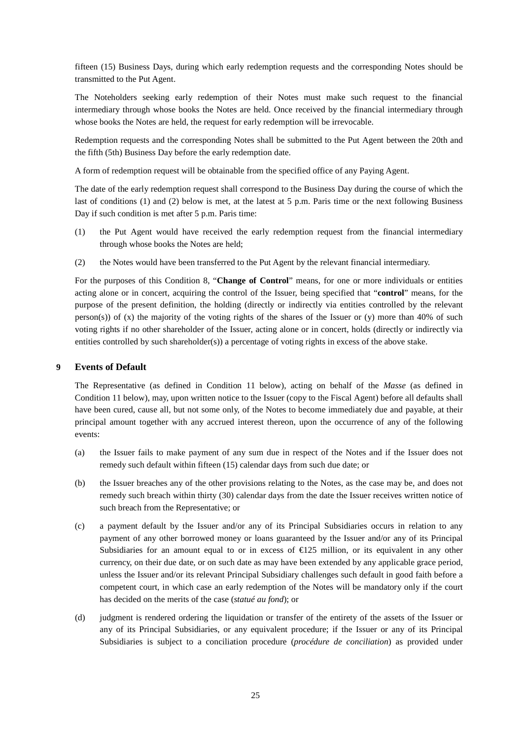fifteen (15) Business Days, during which early redemption requests and the corresponding Notes should be transmitted to the Put Agent.

The Noteholders seeking early redemption of their Notes must make such request to the financial intermediary through whose books the Notes are held. Once received by the financial intermediary through whose books the Notes are held, the request for early redemption will be irrevocable.

Redemption requests and the corresponding Notes shall be submitted to the Put Agent between the 20th and the fifth (5th) Business Day before the early redemption date.

A form of redemption request will be obtainable from the specified office of any Paying Agent.

The date of the early redemption request shall correspond to the Business Day during the course of which the last of conditions (1) and (2) below is met, at the latest at 5 p.m. Paris time or the next following Business Day if such condition is met after 5 p.m. Paris time:

- (1) the Put Agent would have received the early redemption request from the financial intermediary through whose books the Notes are held;
- (2) the Notes would have been transferred to the Put Agent by the relevant financial intermediary.

For the purposes of this Condition 8, "**Change of Control**" means, for one or more individuals or entities acting alone or in concert, acquiring the control of the Issuer, being specified that "**control**" means, for the purpose of the present definition, the holding (directly or indirectly via entities controlled by the relevant person(s)) of  $(x)$  the majority of the voting rights of the shares of the Issuer or  $(y)$  more than 40% of such voting rights if no other shareholder of the Issuer, acting alone or in concert, holds (directly or indirectly via entities controlled by such shareholder(s)) a percentage of voting rights in excess of the above stake.

#### **9 Events of Default**

The Representative (as defined in Condition 11 below), acting on behalf of the *Masse* (as defined in Condition 11 below), may, upon written notice to the Issuer (copy to the Fiscal Agent) before all defaults shall have been cured, cause all, but not some only, of the Notes to become immediately due and payable, at their principal amount together with any accrued interest thereon, upon the occurrence of any of the following events:

- (a) the Issuer fails to make payment of any sum due in respect of the Notes and if the Issuer does not remedy such default within fifteen (15) calendar days from such due date; or
- (b) the Issuer breaches any of the other provisions relating to the Notes, as the case may be, and does not remedy such breach within thirty (30) calendar days from the date the Issuer receives written notice of such breach from the Representative; or
- (c) a payment default by the Issuer and/or any of its Principal Subsidiaries occurs in relation to any payment of any other borrowed money or loans guaranteed by the Issuer and/or any of its Principal Subsidiaries for an amount equal to or in excess of €125 million, or its equivalent in any other currency, on their due date, or on such date as may have been extended by any applicable grace period, unless the Issuer and/or its relevant Principal Subsidiary challenges such default in good faith before a competent court, in which case an early redemption of the Notes will be mandatory only if the court has decided on the merits of the case (*statué au fond*); or
- (d) judgment is rendered ordering the liquidation or transfer of the entirety of the assets of the Issuer or any of its Principal Subsidiaries, or any equivalent procedure; if the Issuer or any of its Principal Subsidiaries is subject to a conciliation procedure (*procédure de conciliation*) as provided under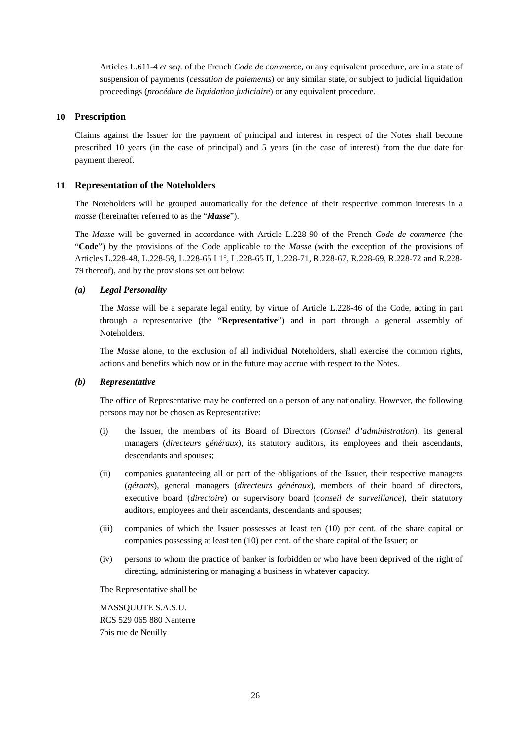Articles L.611-4 *et seq.* of the French *Code de commerce*, or any equivalent procedure, are in a state of suspension of payments (*cessation de paiements*) or any similar state, or subject to judicial liquidation proceedings (*procédure de liquidation judiciaire*) or any equivalent procedure.

# **10 Prescription**

Claims against the Issuer for the payment of principal and interest in respect of the Notes shall become prescribed 10 years (in the case of principal) and 5 years (in the case of interest) from the due date for payment thereof.

# **11 Representation of the Noteholders**

The Noteholders will be grouped automatically for the defence of their respective common interests in a *masse* (hereinafter referred to as the "*Masse*").

The *Masse* will be governed in accordance with Article L.228-90 of the French *Code de commerce* (the "**Code**") by the provisions of the Code applicable to the *Masse* (with the exception of the provisions of Articles L.228-48, L.228-59, L.228-65 I 1°, L.228-65 II, L.228-71, R.228-67, R.228-69, R.228-72 and R.228- 79 thereof), and by the provisions set out below:

# *(a) Legal Personality*

The *Masse* will be a separate legal entity, by virtue of Article L.228-46 of the Code, acting in part through a representative (the "**Representative**") and in part through a general assembly of Noteholders.

The *Masse* alone, to the exclusion of all individual Noteholders, shall exercise the common rights, actions and benefits which now or in the future may accrue with respect to the Notes.

#### *(b) Representative*

The office of Representative may be conferred on a person of any nationality. However, the following persons may not be chosen as Representative:

- (i) the Issuer, the members of its Board of Directors (*Conseil d'administration*), its general managers (*directeurs généraux*), its statutory auditors, its employees and their ascendants, descendants and spouses;
- (ii) companies guaranteeing all or part of the obligations of the Issuer, their respective managers (*gérants*), general managers (*directeurs généraux*), members of their board of directors, executive board (*directoire*) or supervisory board (*conseil de surveillance*), their statutory auditors, employees and their ascendants, descendants and spouses;
- (iii) companies of which the Issuer possesses at least ten (10) per cent. of the share capital or companies possessing at least ten (10) per cent. of the share capital of the Issuer; or
- (iv) persons to whom the practice of banker is forbidden or who have been deprived of the right of directing, administering or managing a business in whatever capacity.

The Representative shall be

MASSQUOTE S.A.S.U. RCS 529 065 880 Nanterre 7bis rue de Neuilly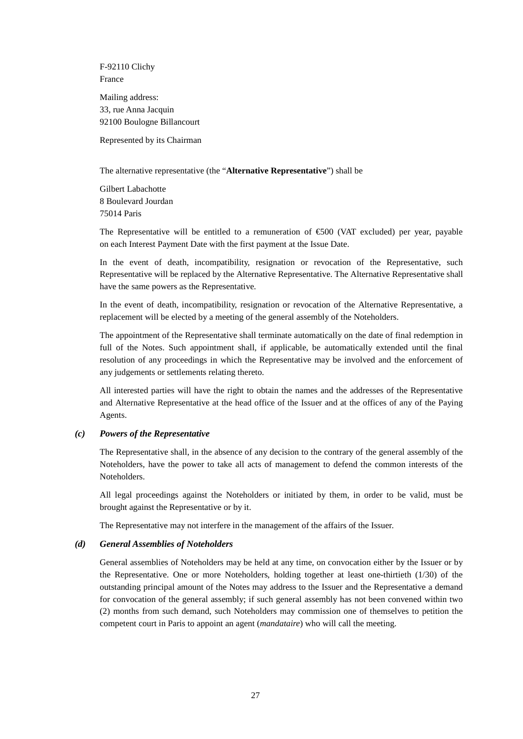F-92110 Clichy France

Mailing address: 33, rue Anna Jacquin 92100 Boulogne Billancourt

Represented by its Chairman

The alternative representative (the "**Alternative Representative**") shall be

Gilbert Labachotte 8 Boulevard Jourdan 75014 Paris

The Representative will be entitled to a remuneration of €500 (VAT excluded) per year, payable on each Interest Payment Date with the first payment at the Issue Date.

In the event of death, incompatibility, resignation or revocation of the Representative, such Representative will be replaced by the Alternative Representative. The Alternative Representative shall have the same powers as the Representative.

In the event of death, incompatibility, resignation or revocation of the Alternative Representative, a replacement will be elected by a meeting of the general assembly of the Noteholders.

The appointment of the Representative shall terminate automatically on the date of final redemption in full of the Notes. Such appointment shall, if applicable, be automatically extended until the final resolution of any proceedings in which the Representative may be involved and the enforcement of any judgements or settlements relating thereto.

All interested parties will have the right to obtain the names and the addresses of the Representative and Alternative Representative at the head office of the Issuer and at the offices of any of the Paying Agents.

#### *(c) Powers of the Representative*

The Representative shall, in the absence of any decision to the contrary of the general assembly of the Noteholders, have the power to take all acts of management to defend the common interests of the Noteholders.

All legal proceedings against the Noteholders or initiated by them, in order to be valid, must be brought against the Representative or by it.

The Representative may not interfere in the management of the affairs of the Issuer.

#### *(d) General Assemblies of Noteholders*

General assemblies of Noteholders may be held at any time, on convocation either by the Issuer or by the Representative. One or more Noteholders, holding together at least one-thirtieth (1/30) of the outstanding principal amount of the Notes may address to the Issuer and the Representative a demand for convocation of the general assembly; if such general assembly has not been convened within two (2) months from such demand, such Noteholders may commission one of themselves to petition the competent court in Paris to appoint an agent (*mandataire*) who will call the meeting.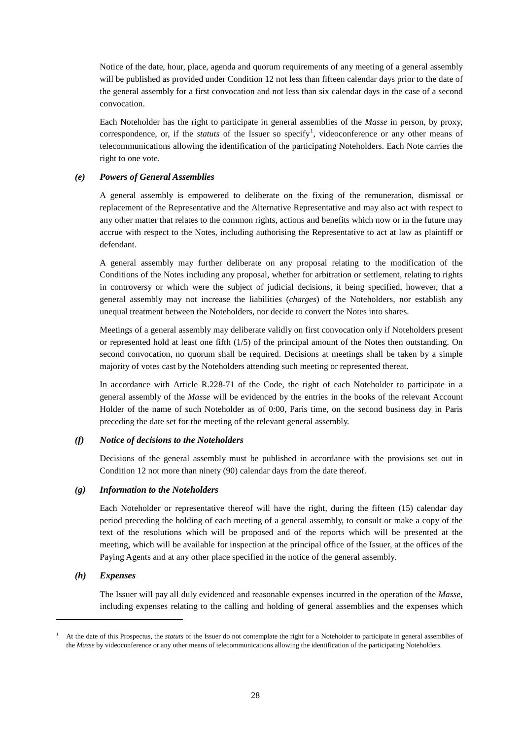Notice of the date, hour, place, agenda and quorum requirements of any meeting of a general assembly will be published as provided under Condition 12 not less than fifteen calendar days prior to the date of the general assembly for a first convocation and not less than six calendar days in the case of a second convocation.

Each Noteholder has the right to participate in general assemblies of the *Masse* in person, by proxy, correspondence, or, if the *statuts* of the Issuer so specify<sup>[1](#page-27-0)</sup>, videoconference or any other means of telecommunications allowing the identification of the participating Noteholders. Each Note carries the right to one vote.

# *(e) Powers of General Assemblies*

A general assembly is empowered to deliberate on the fixing of the remuneration, dismissal or replacement of the Representative and the Alternative Representative and may also act with respect to any other matter that relates to the common rights, actions and benefits which now or in the future may accrue with respect to the Notes, including authorising the Representative to act at law as plaintiff or defendant.

A general assembly may further deliberate on any proposal relating to the modification of the Conditions of the Notes including any proposal, whether for arbitration or settlement, relating to rights in controversy or which were the subject of judicial decisions, it being specified, however, that a general assembly may not increase the liabilities (*charges*) of the Noteholders, nor establish any unequal treatment between the Noteholders, nor decide to convert the Notes into shares.

Meetings of a general assembly may deliberate validly on first convocation only if Noteholders present or represented hold at least one fifth (1/5) of the principal amount of the Notes then outstanding. On second convocation, no quorum shall be required. Decisions at meetings shall be taken by a simple majority of votes cast by the Noteholders attending such meeting or represented thereat.

In accordance with Article R.228-71 of the Code, the right of each Noteholder to participate in a general assembly of the *Masse* will be evidenced by the entries in the books of the relevant Account Holder of the name of such Noteholder as of 0:00, Paris time, on the second business day in Paris preceding the date set for the meeting of the relevant general assembly.

# *(f) Notice of decisions to the Noteholders*

Decisions of the general assembly must be published in accordance with the provisions set out in Condition 12 not more than ninety (90) calendar days from the date thereof.

#### *(g) Information to the Noteholders*

Each Noteholder or representative thereof will have the right, during the fifteen (15) calendar day period preceding the holding of each meeting of a general assembly, to consult or make a copy of the text of the resolutions which will be proposed and of the reports which will be presented at the meeting, which will be available for inspection at the principal office of the Issuer, at the offices of the Paying Agents and at any other place specified in the notice of the general assembly.

#### *(h) Expenses*

j

The Issuer will pay all duly evidenced and reasonable expenses incurred in the operation of the *Masse*, including expenses relating to the calling and holding of general assemblies and the expenses which

<span id="page-27-0"></span><sup>1</sup> At the date of this Prospectus, the *statuts* of the Issuer do not contemplate the right for a Noteholder to participate in general assemblies of the *Masse* by videoconference or any other means of telecommunications allowing the identification of the participating Noteholders.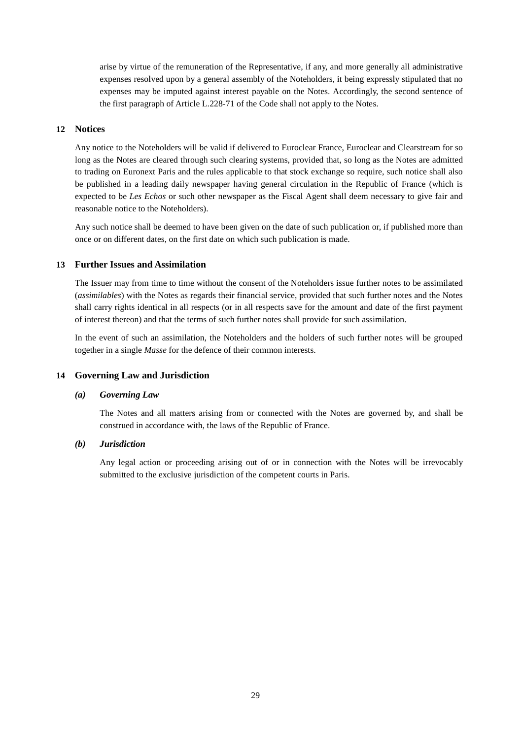arise by virtue of the remuneration of the Representative, if any, and more generally all administrative expenses resolved upon by a general assembly of the Noteholders, it being expressly stipulated that no expenses may be imputed against interest payable on the Notes. Accordingly, the second sentence of the first paragraph of Article L.228-71 of the Code shall not apply to the Notes.

# **12 Notices**

Any notice to the Noteholders will be valid if delivered to Euroclear France, Euroclear and Clearstream for so long as the Notes are cleared through such clearing systems, provided that, so long as the Notes are admitted to trading on Euronext Paris and the rules applicable to that stock exchange so require, such notice shall also be published in a leading daily newspaper having general circulation in the Republic of France (which is expected to be *Les Echos* or such other newspaper as the Fiscal Agent shall deem necessary to give fair and reasonable notice to the Noteholders).

Any such notice shall be deemed to have been given on the date of such publication or, if published more than once or on different dates, on the first date on which such publication is made.

# **13 Further Issues and Assimilation**

The Issuer may from time to time without the consent of the Noteholders issue further notes to be assimilated (*assimilables*) with the Notes as regards their financial service, provided that such further notes and the Notes shall carry rights identical in all respects (or in all respects save for the amount and date of the first payment of interest thereon) and that the terms of such further notes shall provide for such assimilation.

In the event of such an assimilation, the Noteholders and the holders of such further notes will be grouped together in a single *Masse* for the defence of their common interests.

#### **14 Governing Law and Jurisdiction**

#### *(a) Governing Law*

The Notes and all matters arising from or connected with the Notes are governed by, and shall be construed in accordance with, the laws of the Republic of France.

#### *(b) Jurisdiction*

Any legal action or proceeding arising out of or in connection with the Notes will be irrevocably submitted to the exclusive jurisdiction of the competent courts in Paris.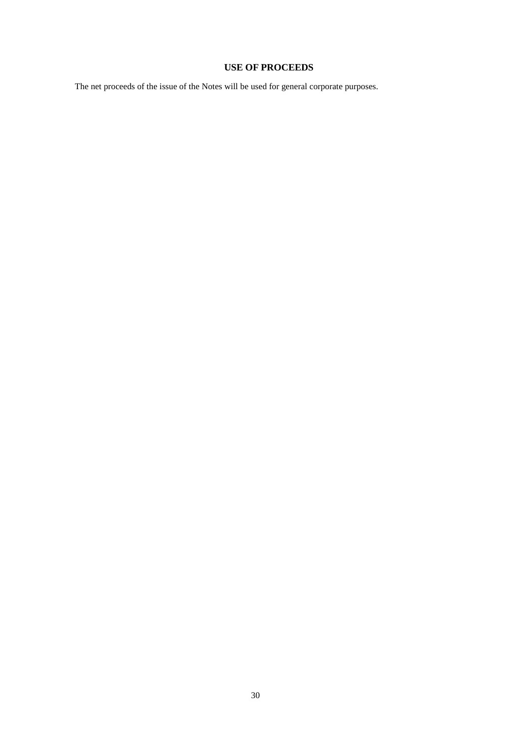# **USE OF PROCEEDS**

<span id="page-29-0"></span>The net proceeds of the issue of the Notes will be used for general corporate purposes.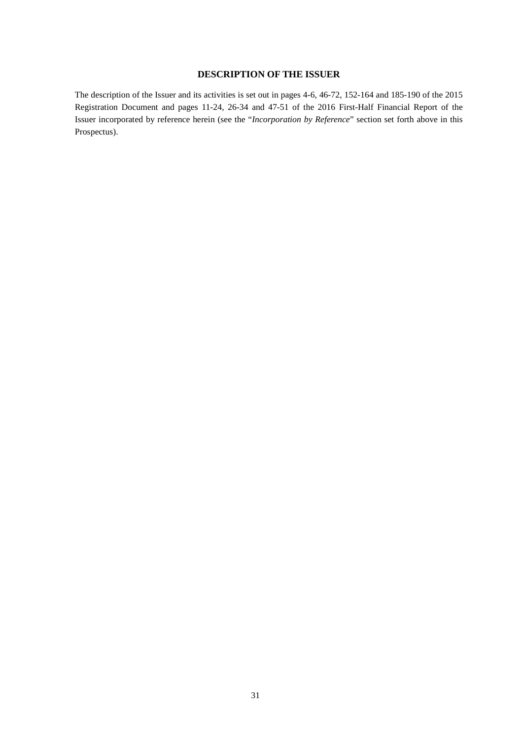# **DESCRIPTION OF THE ISSUER**

<span id="page-30-0"></span>The description of the Issuer and its activities is set out in pages 4-6, 46-72, 152-164 and 185-190 of the 2015 Registration Document and pages 11-24, 26-34 and 47-51 of the 2016 First-Half Financial Report of the Issuer incorporated by reference herein (see the "*Incorporation by Reference*" section set forth above in this Prospectus).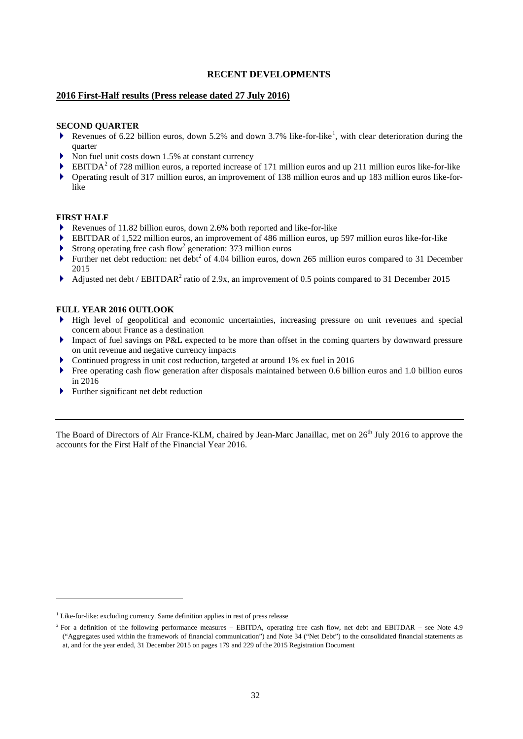# **RECENT DEVELOPMENTS**

# <span id="page-31-0"></span>**2016 First-Half results (Press release dated 27 July 2016)**

# **SECOND QUARTER**

- Revenues of 6.22 billion euros, down 5.2% and down 3.7% like-for-like<sup>[1](#page-31-1)</sup>, with clear deterioration during the quarter
- Non fuel unit costs down 1.5% at constant currency
- EBITDA<sup>[2](#page-31-2)</sup> of 728 million euros, a reported increase of 171 million euros and up 211 million euros like-for-like
- Operating result of 317 million euros, an improvement of 138 million euros and up 183 million euros like-forlike

# **FIRST HALF**

-

- Revenues of 11.82 billion euros, down 2.6% both reported and like-for-like<br>ERITDAR of 1.522 million euros, an improvement of 486 million euros, un
- EBITDAR of 1,522 million euros, an improvement of 486 million euros, up 597 million euros like-for-like
- Strong operating free cash flow<sup>2</sup> generation: 373 million euros
- Further net debt reduction: net debt<sup>2</sup> of 4.04 billion euros, down 265 million euros compared to 31 December 2015
- Adjusted net debt / EBITDAR<sup>2</sup> ratio of 2.9x, an improvement of 0.5 points compared to 31 December 2015

## **FULL YEAR 2016 OUTLOOK**

- High level of geopolitical and economic uncertainties, increasing pressure on unit revenues and special concern about France as a destination
- Impact of fuel savings on P&L expected to be more than offset in the coming quarters by downward pressure on unit revenue and negative currency impacts
- Continued progress in unit cost reduction, targeted at around 1% ex fuel in 2016
- Free operating cash flow generation after disposals maintained between 0.6 billion euros and 1.0 billion euros in 2016
- Further significant net debt reduction

The Board of Directors of Air France-KLM, chaired by Jean-Marc Janaillac, met on 26<sup>th</sup> July 2016 to approve the accounts for the First Half of the Financial Year 2016.

<span id="page-31-1"></span><sup>&</sup>lt;sup>1</sup> Like-for-like: excluding currency. Same definition applies in rest of press release

<span id="page-31-2"></span> $2$  For a definition of the following performance measures – EBITDA, operating free cash flow, net debt and EBITDAR – see Note 4.9 ("Aggregates used within the framework of financial communication") and Note 34 ("Net Debt") to the consolidated financial statements as at, and for the year ended, 31 December 2015 on pages 179 and 229 of the 2015 Registration Document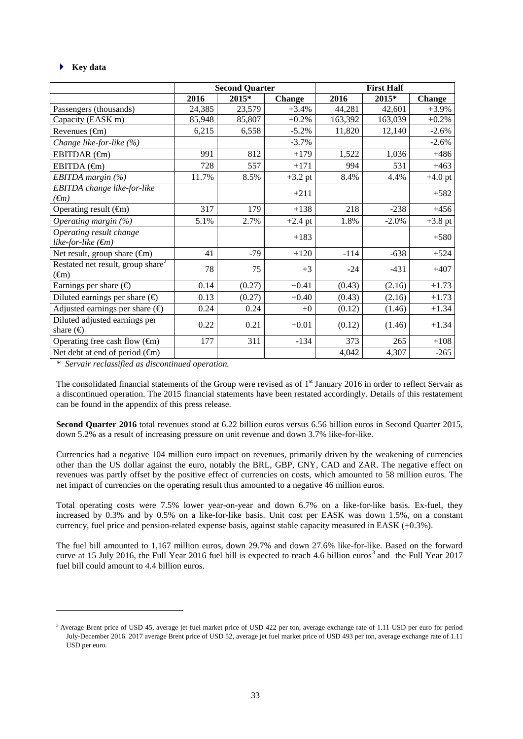#### **Key data**

j

|                                                               |        | <b>Second Quarter</b> |               | <b>First Half</b> |         |               |  |
|---------------------------------------------------------------|--------|-----------------------|---------------|-------------------|---------|---------------|--|
|                                                               | 2016   | 2015*                 | <b>Change</b> | 2016              | 2015*   | <b>Change</b> |  |
| Passengers (thousands)                                        | 24,385 | 23,579                | $+3.4%$       | 44,281            | 42,601  | $+3.9%$       |  |
| Capacity (EASK m)                                             | 85,948 | 85,807                | $+0.2\%$      | 163,392           | 163,039 | $+0.2%$       |  |
| Revenues $(\oplus n)$                                         | 6,215  | 6,558                 | $-5.2\%$      | 11,820            | 12,140  | $-2.6%$       |  |
| Change like-for-like (%)                                      |        |                       | $-3.7%$       |                   |         | $-2.6%$       |  |
| EBITDAR $(\oplus n)$                                          | 991    | 812                   | $+179$        | 1,522             | 1,036   | $+486$        |  |
| EBITDA (€m)                                                   | 728    | 557                   | $+171$        | 994               | 531     | $+463$        |  |
| EBITDA margin (%)                                             | 11.7%  | 8.5%                  | $+3.2$ pt     | 8.4%              | 4.4%    | $+4.0$ pt     |  |
| EBITDA change like-for-like<br>$(\epsilon_m)$                 |        |                       | $+211$        |                   |         | $+582$        |  |
| Operating result $(\oplus n)$                                 | 317    | 179                   | $+138$        | 218               | $-238$  | $+456$        |  |
| Operating margin (%)                                          | 5.1%   | 2.7%                  | $+2.4$ pt     | 1.8%              | $-2.0%$ | $+3.8$ pt     |  |
| Operating result change<br>like-for-like $(\epsilon m)$       |        |                       | $+183$        |                   |         | $+580$        |  |
| Net result, group share $(\oplus n)$                          | 41     | $-79$                 | $+120$        | $-114$            | $-638$  | $+524$        |  |
| Restated net result, group share <sup>2</sup><br>$(\oplus n)$ | 78     | 75                    | $+3$          | $-24$             | $-431$  | $+407$        |  |
| Earnings per share $(\triangleleft)$                          | 0.14   | (0.27)                | $+0.41$       | (0.43)            | (2.16)  | $+1.73$       |  |
| Diluted earnings per share $(\oplus)$                         | 0.13   | (0.27)                | $+0.40$       | (0.43)            | (2.16)  | $+1.73$       |  |
| Adjusted earnings per share $(\Theta)$                        | 0.24   | 0.24                  | $+0$          | (0.12)            | (1.46)  | $+1.34$       |  |
| Diluted adjusted earnings per<br>share $(\epsilon)$           | 0.22   | 0.21                  | $+0.01$       | (0.12)            | (1.46)  | $+1.34$       |  |
| Operating free cash flow ( $\Theta$ m)                        | 177    | 311                   | $-134$        | 373               | 265     | $+108$        |  |
| Net debt at end of period $(\oplus n)$                        |        |                       |               | 4,042             | 4,307   | $-265$        |  |

*\* Servair reclassified as discontinued operation.* 

The consolidated financial statements of the Group were revised as of  $1<sup>st</sup>$  January 2016 in order to reflect Servair as a discontinued operation. The 2015 financial statements have been restated accordingly. Details of this restatement can be found in the appendix of this press release.

**Second Quarter 2016** total revenues stood at 6.22 billion euros versus 6.56 billion euros in Second Quarter 2015, down 5.2% as a result of increasing pressure on unit revenue and down 3.7% like-for-like.

Currencies had a negative 104 million euro impact on revenues, primarily driven by the weakening of currencies other than the US dollar against the euro, notably the BRL, GBP, CNY, CAD and ZAR. The negative effect on revenues was partly offset by the positive effect of currencies on costs, which amounted to 58 million euros. The net impact of currencies on the operating result thus amounted to a negative 46 million euros.

Total operating costs were 7.5% lower year-on-year and down 6.7% on a like-for-like basis. Ex-fuel, they increased by 0.3% and by 0.5% on a like-for-like basis. Unit cost per EASK was down 1.5%, on a constant currency, fuel price and pension-related expense basis, against stable capacity measured in EASK (+0.3%).

The fuel bill amounted to 1,167 million euros, down 29.7% and down 27.6% like-for-like. Based on the forward curve at 15 July 2016, the Full Year 2016 fuel bill is expected to reach 4.6 billion euros<sup>[3](#page-32-0)</sup> and the Full Year 2017 fuel bill could amount to 4.4 billion euros.

<span id="page-32-0"></span><sup>&</sup>lt;sup>3</sup> Average Brent price of USD 45, average jet fuel market price of USD 422 per ton, average exchange rate of 1.11 USD per euro for period July-December 2016. 2017 average Brent price of USD 52, average jet fuel market price of USD 493 per ton, average exchange rate of 1.11 USD per euro.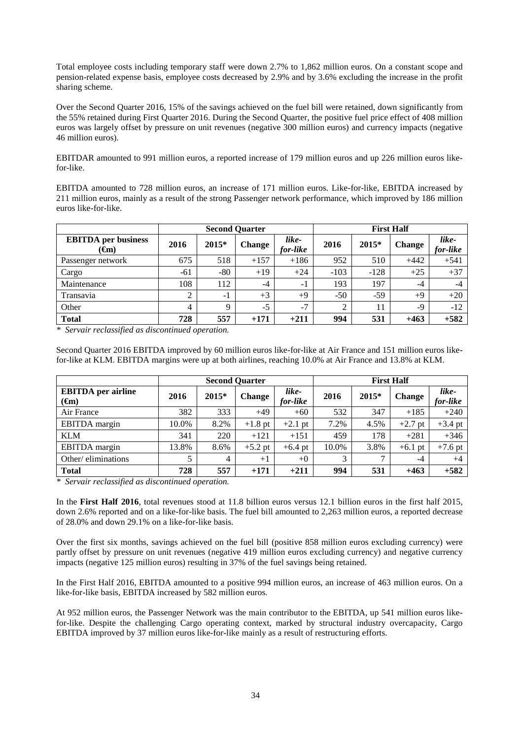Total employee costs including temporary staff were down 2.7% to 1,862 million euros. On a constant scope and pension-related expense basis, employee costs decreased by 2.9% and by 3.6% excluding the increase in the profit sharing scheme.

Over the Second Quarter 2016, 15% of the savings achieved on the fuel bill were retained, down significantly from the 55% retained during First Quarter 2016. During the Second Quarter, the positive fuel price effect of 408 million euros was largely offset by pressure on unit revenues (negative 300 million euros) and currency impacts (negative 46 million euros).

EBITDAR amounted to 991 million euros, a reported increase of 179 million euros and up 226 million euros likefor-like.

EBITDA amounted to 728 million euros, an increase of 171 million euros. Like-for-like, EBITDA increased by 211 million euros, mainly as a result of the strong Passenger network performance, which improved by 186 million euros like-for-like.

|                                                           | <b>Second Quarter</b> |             |               |                   |        | <b>First Half</b> |               |                   |
|-----------------------------------------------------------|-----------------------|-------------|---------------|-------------------|--------|-------------------|---------------|-------------------|
| <b>EBITDA</b> per business<br>$(\boldsymbol{\epsilon}$ m) | 2016                  | $2015*$     | <b>Change</b> | like-<br>for-like | 2016   | 2015*             | <b>Change</b> | like-<br>for-like |
| Passenger network                                         | 675                   | 518         | $+157$        | $+186$            | 952    | 510               | $+442$        | $+541$            |
| Cargo                                                     | $-61$                 | $-80$       | $+19$         | $+24$             | $-103$ | $-128$            | $+25$         | $+37$             |
| Maintenance                                               | 108                   | 112         | $-4$          | - 1               | 193    | 197               | $-4$          | $-4$              |
| Transavia                                                 | $\overline{2}$        | $-1$        | $+3$          | $+9$              | $-50$  | $-59$             | $+9$          | $+20$             |
| Other                                                     | $\overline{4}$        | $\mathbf Q$ | $-5$          | $-7$              | 2      | 11                | -9            | $-12$             |
| <b>Total</b>                                              | 728                   | 557         | $+171$        | $+211$            | 994    | 531               | $+463$        | $+582$            |

*\* Servair reclassified as discontinued operation.* 

Second Quarter 2016 EBITDA improved by 60 million euros like-for-like at Air France and 151 million euros likefor-like at KLM. EBITDA margins were up at both airlines, reaching 10.0% at Air France and 13.8% at KLM.

|                                                          | <b>Second Quarter</b> |       |               |                   | <b>First Half</b> |       |           |                   |
|----------------------------------------------------------|-----------------------|-------|---------------|-------------------|-------------------|-------|-----------|-------------------|
| <b>EBITDA</b> per airline<br>$(\boldsymbol{\epsilon}$ m) | 2016                  | 2015* | <b>Change</b> | like-<br>for-like | 2016              | 2015* | Change    | like-<br>for-like |
| Air France                                               | 382                   | 333   | $+49$         | $+60$             | 532               | 347   | $+185$    | $+240$            |
| EBITDA margin                                            | 10.0%                 | 8.2%  | $+1.8$ pt     | $+2.1$ pt         | 7.2%              | 4.5%  | $+2.7$ pt | $+3.4$ pt         |
| <b>KLM</b>                                               | 341                   | 220   | $+121$        | $+151$            | 459               | 178   | $+281$    | $+346$            |
| EBITDA margin                                            | 13.8%                 | 8.6%  | $+5.2$ pt     | $+6.4$ pt         | 10.0%             | 3.8%  | $+6.1$ pt | $+7.6$ pt         |
| Other/eliminations                                       | 5                     | 4     | $+1$          | $+0$              | 3                 | ⇁     | $-4$      | $+4$              |
| <b>Total</b>                                             | 728                   | 557   | $+171$        | $+211$            | 994               | 531   | $+463$    | $+582$            |

*\* Servair reclassified as discontinued operation.* 

In the **First Half 2016**, total revenues stood at 11.8 billion euros versus 12.1 billion euros in the first half 2015, down 2.6% reported and on a like-for-like basis. The fuel bill amounted to 2,263 million euros, a reported decrease of 28.0% and down 29.1% on a like-for-like basis.

Over the first six months, savings achieved on the fuel bill (positive 858 million euros excluding currency) were partly offset by pressure on unit revenues (negative 419 million euros excluding currency) and negative currency impacts (negative 125 million euros) resulting in 37% of the fuel savings being retained.

In the First Half 2016, EBITDA amounted to a positive 994 million euros, an increase of 463 million euros. On a like-for-like basis, EBITDA increased by 582 million euros.

At 952 million euros, the Passenger Network was the main contributor to the EBITDA, up 541 million euros likefor-like. Despite the challenging Cargo operating context, marked by structural industry overcapacity, Cargo EBITDA improved by 37 million euros like-for-like mainly as a result of restructuring efforts.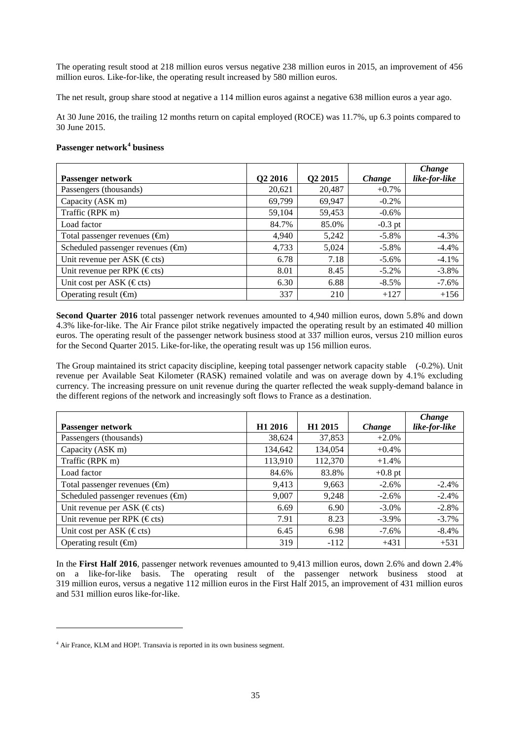The operating result stood at 218 million euros versus negative 238 million euros in 2015, an improvement of 456 million euros. Like-for-like, the operating result increased by 580 million euros.

The net result, group share stood at negative a 114 million euros against a negative 638 million euros a year ago.

At 30 June 2016, the trailing 12 months return on capital employed (ROCE) was 11.7%, up 6.3 points compared to 30 June 2015.

### **Passenger network[4](#page-34-0) business**

|                                           |                     |                     |           | Change        |
|-------------------------------------------|---------------------|---------------------|-----------|---------------|
| Passenger network                         | Q <sub>2</sub> 2016 | Q <sub>2</sub> 2015 | Change    | like-for-like |
| Passengers (thousands)                    | 20,621              | 20,487              | $+0.7\%$  |               |
| Capacity (ASK m)                          | 69,799              | 69,947              | $-0.2\%$  |               |
| Traffic (RPK m)                           | 59,104              | 59,453              | $-0.6\%$  |               |
| Load factor                               | 84.7%               | 85.0%               | $-0.3$ pt |               |
| Total passenger revenues $(\oplus n)$     | 4,940               | 5,242               | $-5.8\%$  | $-4.3\%$      |
| Scheduled passenger revenues $(\oplus n)$ | 4,733               | 5,024               | $-5.8\%$  | $-4.4%$       |
| Unit revenue per ASK $(\epsilon$ cts)     | 6.78                | 7.18                | $-5.6\%$  | $-4.1%$       |
| Unit revenue per RPK $(\epsilon$ cts)     | 8.01                | 8.45                | $-5.2\%$  | $-3.8\%$      |
| Unit cost per ASK $(\epsilon$ cts)        | 6.30                | 6.88                | $-8.5\%$  | $-7.6%$       |
| Operating result $(\oplus n)$             | 337                 | 210                 | $+127$    | $+156$        |

**Second Quarter 2016** total passenger network revenues amounted to 4,940 million euros, down 5.8% and down 4.3% like-for-like. The Air France pilot strike negatively impacted the operating result by an estimated 40 million euros. The operating result of the passenger network business stood at 337 million euros, versus 210 million euros for the Second Quarter 2015. Like-for-like, the operating result was up 156 million euros.

The Group maintained its strict capacity discipline, keeping total passenger network capacity stable (-0.2%). Unit revenue per Available Seat Kilometer (RASK) remained volatile and was on average down by 4.1% excluding currency. The increasing pressure on unit revenue during the quarter reflected the weak supply-demand balance in the different regions of the network and increasingly soft flows to France as a destination.

|                                           |                     |                     |           | Change        |
|-------------------------------------------|---------------------|---------------------|-----------|---------------|
| Passenger network                         | H <sub>1</sub> 2016 | H <sub>1</sub> 2015 | Change    | like-for-like |
| Passengers (thousands)                    | 38,624              | 37,853              | $+2.0\%$  |               |
| Capacity (ASK m)                          | 134,642             | 134,054             | $+0.4%$   |               |
| Traffic (RPK m)                           | 113,910             | 112,370             | $+1.4%$   |               |
| Load factor                               | 84.6%               | 83.8%               | $+0.8$ pt |               |
| Total passenger revenues $(\oplus n)$     | 9,413               | 9,663               | $-2.6\%$  | $-2.4%$       |
| Scheduled passenger revenues $(\oplus n)$ | 9,007               | 9,248               | $-2.6%$   | $-2.4%$       |
| Unit revenue per ASK $(\epsilon \infty)$  | 6.69                | 6.90                | $-3.0\%$  | $-2.8%$       |
| Unit revenue per RPK $(\epsilon$ cts)     | 7.91                | 8.23                | $-3.9\%$  | $-3.7%$       |
| Unit cost per ASK $(\epsilon$ cts)        | 6.45                | 6.98                | $-7.6\%$  | $-8.4%$       |
| Operating result $(\oplus n)$             | 319                 | $-112$              | $+431$    | $+531$        |

In the **First Half 2016**, passenger network revenues amounted to 9,413 million euros, down 2.6% and down 2.4% on a like-for-like basis. The operating result of the passenger network business stood at 319 million euros, versus a negative 112 million euros in the First Half 2015, an improvement of 431 million euros and 531 million euros like-for-like.

-

<span id="page-34-0"></span><sup>&</sup>lt;sup>4</sup> Air France, KLM and HOP!. Transavia is reported in its own business segment.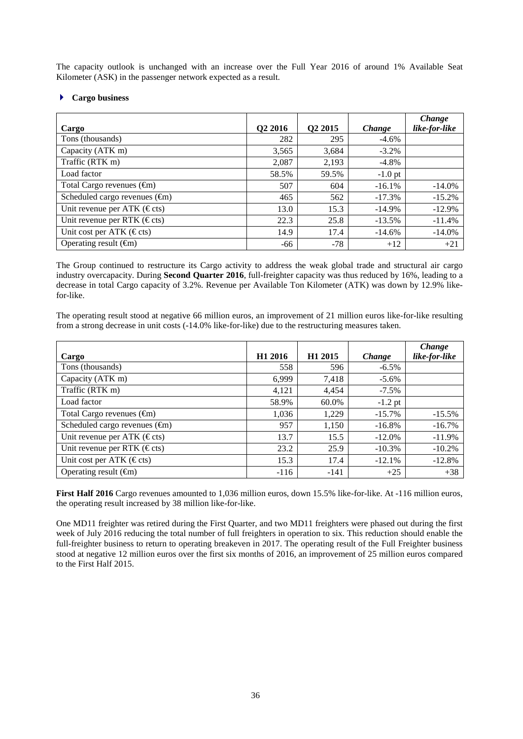The capacity outlook is unchanged with an increase over the Full Year 2016 of around 1% Available Seat Kilometer (ASK) in the passenger network expected as a result.

## **Cargo business**

| Cargo                                 | Q <sub>2</sub> 2016 | Q2 2015 | Change    | Change<br>like-for-like |
|---------------------------------------|---------------------|---------|-----------|-------------------------|
| Tons (thousands)                      | 282                 | 295     | $-4.6\%$  |                         |
| Capacity (ATK m)                      | 3,565               | 3,684   | $-3.2\%$  |                         |
|                                       |                     |         |           |                         |
| Traffic (RTK m)                       | 2,087               | 2,193   | $-4.8\%$  |                         |
| Load factor                           | 58.5%               | 59.5%   | $-1.0$ pt |                         |
| Total Cargo revenues $(\oplus n)$     | 507                 | 604     | $-16.1%$  | $-14.0%$                |
| Scheduled cargo revenues $(\oplus n)$ | 465                 | 562     | $-17.3%$  | $-15.2%$                |
| Unit revenue per ATK $(\epsilon$ cts) | 13.0                | 15.3    | $-14.9%$  | $-12.9%$                |
| Unit revenue per RTK $(\epsilon$ cts) | 22.3                | 25.8    | $-13.5%$  | $-11.4%$                |
| Unit cost per ATK $(\epsilon$ cts)    | 14.9                | 17.4    | $-14.6%$  | $-14.0%$                |
| Operating result $(\oplus n)$         | $-66$               | $-78$   | $+12$     | $+21$                   |

The Group continued to restructure its Cargo activity to address the weak global trade and structural air cargo industry overcapacity. During **Second Quarter 2016**, full-freighter capacity was thus reduced by 16%, leading to a decrease in total Cargo capacity of 3.2%. Revenue per Available Ton Kilometer (ATK) was down by 12.9% likefor-like.

The operating result stood at negative 66 million euros, an improvement of 21 million euros like-for-like resulting from a strong decrease in unit costs (-14.0% like-for-like) due to the restructuring measures taken.

| Cargo                                    | H <sub>1</sub> 2016 | H <sub>1</sub> 2015 | <i>Change</i> | Change<br>like-for-like |
|------------------------------------------|---------------------|---------------------|---------------|-------------------------|
| Tons (thousands)                         | 558                 | 596                 | $-6.5\%$      |                         |
| Capacity (ATK m)                         | 6,999               | 7,418               | $-5.6\%$      |                         |
| Traffic (RTK m)                          | 4,121               | 4,454               | $-7.5\%$      |                         |
| Load factor                              | 58.9%               | 60.0%               | $-1.2$ pt     |                         |
| Total Cargo revenues $(\oplus n)$        | 1,036               | 1,229               | $-15.7%$      | $-15.5%$                |
| Scheduled cargo revenues $(\epsilon n)$  | 957                 | 1,150               | $-16.8%$      | $-16.7%$                |
| Unit revenue per ATK $(\epsilon \infty)$ | 13.7                | 15.5                | $-12.0%$      | $-11.9%$                |
| Unit revenue per RTK $(\epsilon$ cts)    | 23.2                | 25.9                | $-10.3%$      | $-10.2%$                |
| Unit cost per ATK $(\epsilon$ cts)       | 15.3                | 17.4                | $-12.1%$      | $-12.8%$                |
| Operating result $(\oplus n)$            | $-116$              | $-141$              | $+25$         | $+38$                   |

First Half 2016 Cargo revenues amounted to 1,036 million euros, down 15.5% like-for-like. At -116 million euros, the operating result increased by 38 million like-for-like.

One MD11 freighter was retired during the First Quarter, and two MD11 freighters were phased out during the first week of July 2016 reducing the total number of full freighters in operation to six. This reduction should enable the full-freighter business to return to operating breakeven in 2017. The operating result of the Full Freighter business stood at negative 12 million euros over the first six months of 2016, an improvement of 25 million euros compared to the First Half 2015.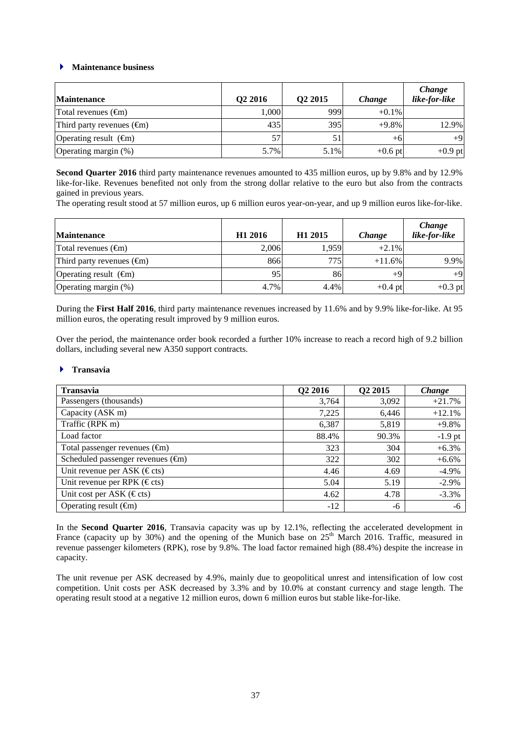#### **Maintenance business**

| <b>Maintenance</b>                | Q <sub>2</sub> 2016 | Q <sub>2</sub> 2015 | Change    | <b>Change</b><br>like-for-like |
|-----------------------------------|---------------------|---------------------|-----------|--------------------------------|
| Total revenues $(\oplus n)$       | 1.000               | 999                 | $+0.1\%$  |                                |
| Third party revenues $(\oplus n)$ | 435                 | 395                 | $+9.8\%$  | 12.9%                          |
| Operating result $(\oplus n)$     | 57                  |                     | $+6$      | $+9$                           |
| Operating margin (%)              | 5.7%                | 5.1%                | $+0.6$ pt | $+0.9$ pt                      |

**Second Quarter 2016** third party maintenance revenues amounted to 435 million euros, up by 9.8% and by 12.9% like-for-like. Revenues benefited not only from the strong dollar relative to the euro but also from the contracts gained in previous years.

The operating result stood at 57 million euros, up 6 million euros year-on-year, and up 9 million euros like-for-like.

| <b>Maintenance</b>                | H <sub>1</sub> 2016 | H <sub>1</sub> 2015 | Change    | <b>Change</b><br>like-for-like |
|-----------------------------------|---------------------|---------------------|-----------|--------------------------------|
| Total revenues $(\oplus n)$       | 2.006               | 1.959               | $+2.1\%$  |                                |
| Third party revenues $(\oplus n)$ | 866                 | 775                 | $+11.6%$  | 9.9%                           |
| Operating result $(\oplus n)$     | 95                  | 86                  | $^{+9}$   | $+9$                           |
| Operating margin (%)              | 4.7%                | 4.4%                | $+0.4$ pt | $+0.3$ pt                      |

During the **First Half 2016**, third party maintenance revenues increased by 11.6% and by 9.9% like-for-like. At 95 million euros, the operating result improved by 9 million euros.

Over the period, the maintenance order book recorded a further 10% increase to reach a record high of 9.2 billion dollars, including several new A350 support contracts.

## **Transavia**

| <b>Transavia</b>                          | Q <sub>2</sub> 2016 | Q2 2015 | Change    |
|-------------------------------------------|---------------------|---------|-----------|
| Passengers (thousands)                    | 3,764               | 3,092   | $+21.7%$  |
| Capacity (ASK m)                          | 7,225               | 6,446   | $+12.1%$  |
| Traffic (RPK m)                           | 6,387               | 5,819   | $+9.8%$   |
| Load factor                               | 88.4%               | 90.3%   | $-1.9$ pt |
| Total passenger revenues $(\oplus n)$     | 323                 | 304     | $+6.3\%$  |
| Scheduled passenger revenues $(\oplus n)$ | 322                 | 302     | $+6.6%$   |
| Unit revenue per ASK $(\epsilon$ cts)     | 4.46                | 4.69    | $-4.9\%$  |
| Unit revenue per RPK $(\epsilon$ cts)     | 5.04                | 5.19    | $-2.9\%$  |
| Unit cost per ASK $(\epsilon$ cts)        | 4.62                | 4.78    | $-3.3%$   |
| Operating result $(\oplus n)$             | $-12$               | -6      | -6        |

In the **Second Quarter 2016**, Transavia capacity was up by 12.1%, reflecting the accelerated development in France (capacity up by 30%) and the opening of the Munich base on  $25<sup>th</sup>$  March 2016. Traffic, measured in revenue passenger kilometers (RPK), rose by 9.8%. The load factor remained high (88.4%) despite the increase in capacity.

The unit revenue per ASK decreased by 4.9%, mainly due to geopolitical unrest and intensification of low cost competition. Unit costs per ASK decreased by 3.3% and by 10.0% at constant currency and stage length. The operating result stood at a negative 12 million euros, down 6 million euros but stable like-for-like.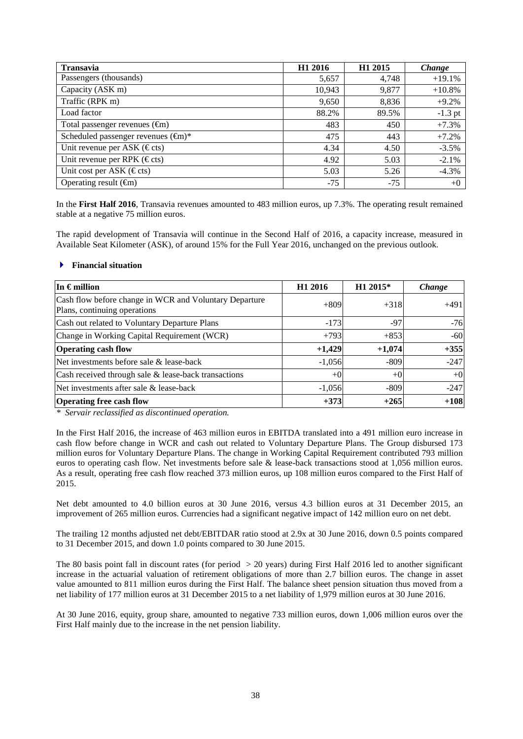| Transavia                                   | H <sub>1</sub> 2016 | H1 2015 | Change    |
|---------------------------------------------|---------------------|---------|-----------|
| Passengers (thousands)                      | 5,657               | 4,748   | $+19.1%$  |
| Capacity (ASK m)                            | 10,943              | 9,877   | $+10.8\%$ |
| Traffic (RPK m)                             | 9,650               | 8,836   | $+9.2%$   |
| Load factor                                 | 88.2%               | 89.5%   | $-1.3$ pt |
| Total passenger revenues $(\oplus n)$       | 483                 | 450     | $+7.3%$   |
| Scheduled passenger revenues $(\oplus n)^*$ | 475                 | 443     | $+7.2%$   |
| Unit revenue per ASK $(\epsilon \infty)$    | 4.34                | 4.50    | $-3.5%$   |
| Unit revenue per RPK $(\epsilon$ cts)       | 4.92                | 5.03    | $-2.1%$   |
| Unit cost per ASK $(\epsilon$ cts)          | 5.03                | 5.26    | $-4.3%$   |
| Operating result $(\oplus n)$               | $-75$               | $-75$   | $+0$      |

In the **First Half 2016**, Transavia revenues amounted to 483 million euros, up 7.3%. The operating result remained stable at a negative 75 million euros.

The rapid development of Transavia will continue in the Second Half of 2016, a capacity increase, measured in Available Seat Kilometer (ASK), of around 15% for the Full Year 2016, unchanged on the previous outlook.

# **Financial situation**

| In $\epsilon$ million                                                                  | H <sub>1</sub> 2016 | $H1 2015*$ | Change |
|----------------------------------------------------------------------------------------|---------------------|------------|--------|
| Cash flow before change in WCR and Voluntary Departure<br>Plans, continuing operations | $+809$              | $+318$     | $+491$ |
| Cash out related to Voluntary Departure Plans                                          | $-173$              | -97        | $-76$  |
| Change in Working Capital Requirement (WCR)                                            | $+793$              | $+853$     | $-60$  |
| <b>Operating cash flow</b>                                                             | $+1,429$            | $+1,074$   | $+355$ |
| Net investments before sale & lease-back                                               | $-1,056$            | $-809$     | $-247$ |
| Cash received through sale & lease-back transactions                                   | $+0$                | $+0$       | $+0$   |
| Net investments after sale & lease-back                                                | $-1,056$            | $-809$     | $-247$ |
| <b>Operating free cash flow</b>                                                        | $+373$              | $+265$     | $+108$ |

*\* Servair reclassified as discontinued operation.* 

In the First Half 2016*,* the increase of 463 million euros in EBITDA translated into a 491 million euro increase in cash flow before change in WCR and cash out related to Voluntary Departure Plans. The Group disbursed 173 million euros for Voluntary Departure Plans. The change in Working Capital Requirement contributed 793 million euros to operating cash flow. Net investments before sale & lease-back transactions stood at 1,056 million euros. As a result, operating free cash flow reached 373 million euros, up 108 million euros compared to the First Half of 2015.

Net debt amounted to 4.0 billion euros at 30 June 2016, versus 4.3 billion euros at 31 December 2015, an improvement of 265 million euros. Currencies had a significant negative impact of 142 million euro on net debt.

The trailing 12 months adjusted net debt/EBITDAR ratio stood at 2.9x at 30 June 2016, down 0.5 points compared to 31 December 2015, and down 1.0 points compared to 30 June 2015.

The 80 basis point fall in discount rates (for period  $> 20$  years) during First Half 2016 led to another significant increase in the actuarial valuation of retirement obligations of more than 2.7 billion euros. The change in asset value amounted to 811 million euros during the First Half. The balance sheet pension situation thus moved from a net liability of 177 million euros at 31 December 2015 to a net liability of 1,979 million euros at 30 June 2016.

At 30 June 2016, equity, group share, amounted to negative 733 million euros, down 1,006 million euros over the First Half mainly due to the increase in the net pension liability.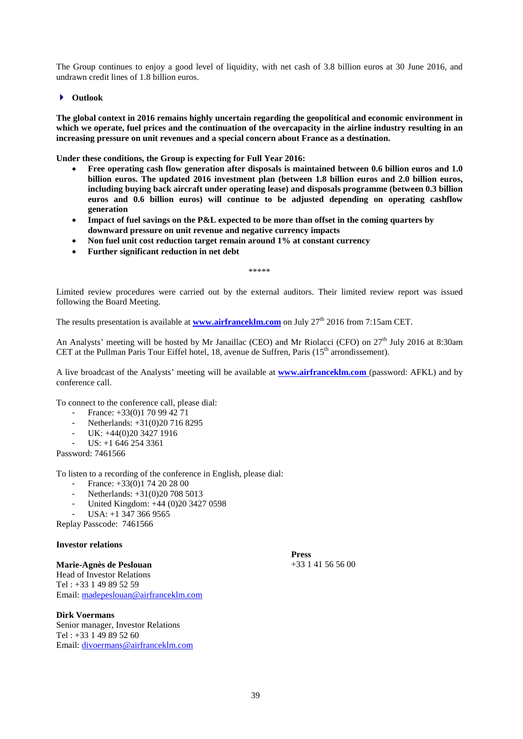The Group continues to enjoy a good level of liquidity, with net cash of 3.8 billion euros at 30 June 2016, and undrawn credit lines of 1.8 billion euros.

#### **Outlook**

**The global context in 2016 remains highly uncertain regarding the geopolitical and economic environment in which we operate, fuel prices and the continuation of the overcapacity in the airline industry resulting in an increasing pressure on unit revenues and a special concern about France as a destination.**

**Under these conditions, the Group is expecting for Full Year 2016:**

- **Free operating cash flow generation after disposals is maintained between 0.6 billion euros and 1.0 billion euros. The updated 2016 investment plan (between 1.8 billion euros and 2.0 billion euros, including buying back aircraft under operating lease) and disposals programme (between 0.3 billion euros and 0.6 billion euros) will continue to be adjusted depending on operating cashflow generation**
- **Impact of fuel savings on the P&L expected to be more than offset in the coming quarters by downward pressure on unit revenue and negative currency impacts**
- **Non fuel unit cost reduction target remain around 1% at constant currency**
- **Further significant reduction in net debt**

\*\*\*\*\*

Limited review procedures were carried out by the external auditors. Their limited review report was issued following the Board Meeting.

The results presentation is available at **[www.airfranceklm.com](http://www.airfranceklm.com/)** on July 27<sup>th</sup> 2016 from 7:15am CET.

An Analysts' meeting will be hosted by Mr Janaillac (CEO) and Mr Riolacci (CFO) on 27<sup>th</sup> July 2016 at 8:30am CET at the Pullman Paris Tour Eiffel hotel, 18, avenue de Suffren, Paris  $(15<sup>th</sup>$  arrondissement).

A live broadcast of the Analysts' meeting will be available at **[www.airfranceklm.com](http://www.airfranceklm.com/)** (password: AFKL) and by conference call.

To connect to the conference call, please dial:

- France: +33(0)1 70 99 42 71
- Netherlands: +31(0)20 716 8295
- UK: +44(0)20 3427 1916
- $US: +1 646 254 3361$

Password: 7461566

To listen to a recording of the conference in English, please dial:

- France: +33(0)1 74 20 28 00
- Netherlands: +31(0)20 708 5013
- United Kingdom: +44 (0)20 3427 0598
- USA: +1 347 366 9565

Replay Passcode: 7461566

#### **Investor relations**

#### **Marie-Agnès de Peslouan**

Head of Investor Relations Tel : +33 1 49 89 52 59 Email: madepeslouan@airfranceklm.com

#### **Dirk Voermans**

Senior manager, Investor Relations Tel : +33 1 49 89 52 60 Email: divoermans@airfranceklm.com **Press**<br>+33 1 41 56 56 00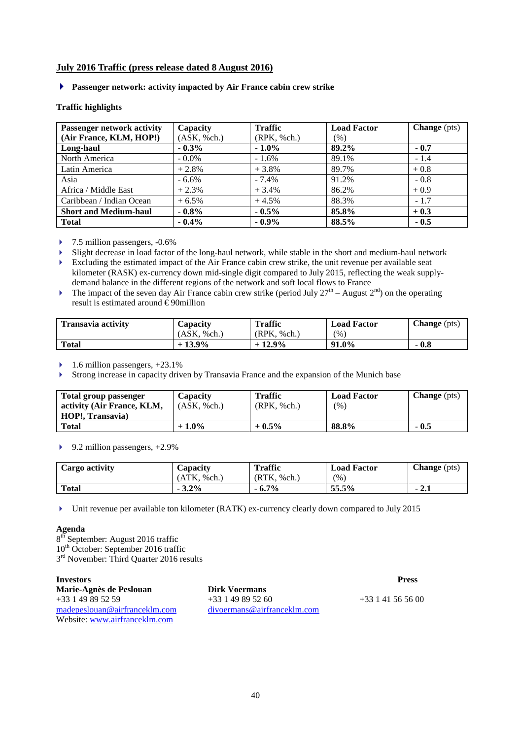# **July 2016 Traffic (press release dated 8 August 2016)**

**Passenger network: activity impacted by Air France cabin crew strike**

| <b>Passenger network activity</b> | Capacity    | <b>Traffic</b>           | <b>Load Factor</b> | <b>Change</b> (pts) |
|-----------------------------------|-------------|--------------------------|--------------------|---------------------|
| (Air France, KLM, HOP!)           | (ASK, %ch.) | (RPK, % <sub>ch.</sub> ) | $(\%)$             |                     |
| Long-haul                         | $-0.3\%$    | $-1.0\%$                 | 89.2%              | $-0.7$              |
| North America                     | $-0.0\%$    | $-1.6\%$                 | 89.1%              | $-1.4$              |
| Latin America                     | $+2.8%$     | $+3.8%$                  | 89.7%              | $+0.8$              |
| Asia                              | $-6.6\%$    | $-7.4%$                  | 91.2%              | $-0.8$              |
| Africa / Middle East              | $+2.3%$     | $+3.4%$                  | 86.2%              | $+0.9$              |
| Caribbean / Indian Ocean          | $+6.5%$     | $+4.5%$                  | 88.3%              | $-1.7$              |
| <b>Short and Medium-haul</b>      | $-0.8\%$    | $-0.5%$                  | 85.8%              | $+0.3$              |
| <b>Total</b>                      | $-0.4\%$    | $-0.9\%$                 | 88.5%              | $-0.5$              |

### **Traffic highlights**

▶ 7.5 million passengers, -0.6%

Slight decrease in load factor of the long-haul network, while stable in the short and medium-haul network

 Excluding the estimated impact of the Air France cabin crew strike, the unit revenue per available seat kilometer (RASK) ex-currency down mid-single digit compared to July 2015, reflecting the weak supplydemand balance in the different regions of the network and soft local flows to France

The impact of the seven day Air France cabin crew strike (period July  $27<sup>th</sup>$  – August  $2<sup>nd</sup>$ ) on the operating result is estimated around €90million

| <b>Transavia activity</b> | Capacity<br>(ASK. %ch.) | <b>Traffic</b><br>(RPK, %ch.) | <b>Load Factor</b><br>(96) | <b>Change</b> (pts) |
|---------------------------|-------------------------|-------------------------------|----------------------------|---------------------|
| <b>Total</b>              | $+13.9\%$               | $+12.9\%$                     | 91.0%                      | $-0.8$              |

 $\blacktriangleright$  1.6 million passengers, +23.1%

Strong increase in capacity driven by Transavia France and the expansion of the Munich base

| Total group passenger      | Capacity    | Traffic     | <b>Load Factor</b> | <b>Change</b> (pts) |
|----------------------------|-------------|-------------|--------------------|---------------------|
| activity (Air France, KLM, | (ASK, %ch.) | (RPK, %ch.) | $\frac{9}{6}$      |                     |
| HOP!. Transavia            |             |             |                    |                     |
| Total                      | $+1.0\%$    | $+0.5%$     | 88.8%              | $-0.5$              |

▶ 9.2 million passengers,  $+2.9%$ 

| Cargo activity | <b>Traffic</b><br>Capacity |               | <b>Load Factor</b>       | <b>Change</b> (pts) |
|----------------|----------------------------|---------------|--------------------------|---------------------|
|                | (ATK. %ch.)                | (RTK.<br>%ch. | $\gamma$ <sup>(0</sup> ) |                     |
| <b>Total</b>   | $-3.2\%$                   | $-6.7\%$      | 55.5%                    | $-2.1$              |

Unit revenue per available ton kilometer (RATK) ex-currency clearly down compared to July 2015

### **Agenda**

8<sup>th</sup> September: August 2016 traffic 10<sup>th</sup> October: September 2016 traffic 3<sup>rd</sup> November: Third Quarter 2016 results

# **Investors Press**

**Marie-Agnès de Peslouan Dirk Voermans** +33 1 49 89 52 59 +33 1 49 89 52 60 +33 1 41 56 56 00 [madepeslouan@airfranceklm.com](mailto:madepeslouan@airfranceklm.com) [divoermans@airfranceklm.com](mailto:divoermans@airfranceklm.com) Website: [www.airfranceklm.com](http://www.airfranceklm.com/)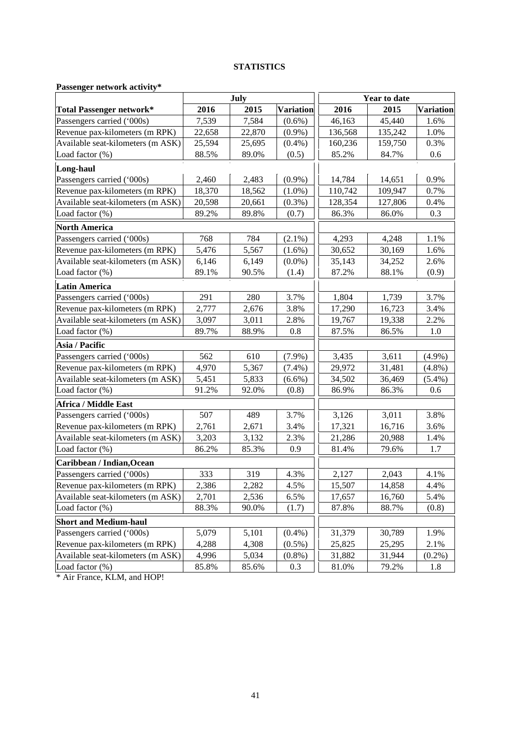# **STATISTICS**

# **Passenger network activity\***

|                                   | July   |        |                  | Year to date |         |                  |  |
|-----------------------------------|--------|--------|------------------|--------------|---------|------------------|--|
| <b>Total Passenger network*</b>   | 2016   | 2015   | <b>Variation</b> | 2016         | 2015    | <b>Variation</b> |  |
| Passengers carried ('000s)        | 7,539  | 7,584  | $(0.6\%)$        | 46,163       | 45,440  | 1.6%             |  |
| Revenue pax-kilometers (m RPK)    | 22,658 | 22,870 | $(0.9\%)$        | 136,568      | 135,242 | 1.0%             |  |
| Available seat-kilometers (m ASK) | 25,594 | 25,695 | $(0.4\%)$        | 160,236      | 159,750 | 0.3%             |  |
| Load factor (%)                   | 88.5%  | 89.0%  | (0.5)            | 85.2%        | 84.7%   | 0.6              |  |
| Long-haul                         |        |        |                  |              |         |                  |  |
| Passengers carried ('000s)        | 2,460  | 2,483  | $(0.9\%)$        | 14,784       | 14,651  | 0.9%             |  |
| Revenue pax-kilometers (m RPK)    | 18,370 | 18,562 | $(1.0\%)$        | 110,742      | 109,947 | 0.7%             |  |
| Available seat-kilometers (m ASK) | 20,598 | 20,661 | $(0.3\%)$        | 128,354      | 127,806 | 0.4%             |  |
| Load factor (%)                   | 89.2%  | 89.8%  | (0.7)            | 86.3%        | 86.0%   | 0.3              |  |
| <b>North America</b>              |        |        |                  |              |         |                  |  |
| Passengers carried ('000s)        | 768    | 784    | $(2.1\%)$        | 4,293        | 4,248   | 1.1%             |  |
| Revenue pax-kilometers (m RPK)    | 5,476  | 5,567  | $(1.6\%)$        | 30,652       | 30,169  | 1.6%             |  |
| Available seat-kilometers (m ASK) | 6,146  | 6,149  | $(0.0\%)$        | 35,143       | 34,252  | 2.6%             |  |
| Load factor (%)                   | 89.1%  | 90.5%  | (1.4)            | 87.2%        | 88.1%   | (0.9)            |  |
| <b>Latin America</b>              |        |        |                  |              |         |                  |  |
| Passengers carried ('000s)        | 291    | 280    | 3.7%             | 1,804        | 1,739   | 3.7%             |  |
| Revenue pax-kilometers (m RPK)    | 2,777  | 2,676  | 3.8%             | 17,290       | 16,723  | 3.4%             |  |
| Available seat-kilometers (m ASK) | 3,097  | 3,011  | 2.8%             | 19,767       | 19,338  | 2.2%             |  |
| Load factor (%)                   | 89.7%  | 88.9%  | $0.8\,$          | 87.5%        | 86.5%   | 1.0              |  |
| Asia / Pacific                    |        |        |                  |              |         |                  |  |
| Passengers carried ('000s)        | 562    | 610    | $(7.9\%)$        | 3,435        | 3,611   | $(4.9\%)$        |  |
| Revenue pax-kilometers (m RPK)    | 4,970  | 5,367  | $(7.4\%)$        | 29,972       | 31,481  | $(4.8\%)$        |  |
| Available seat-kilometers (m ASK) | 5,451  | 5,833  | $(6.6\%)$        | 34,502       | 36,469  | $(5.4\%)$        |  |
| Load factor $(\%)$                | 91.2%  | 92.0%  | (0.8)            | 86.9%        | 86.3%   | 0.6              |  |
| <b>Africa / Middle East</b>       |        |        |                  |              |         |                  |  |
| Passengers carried ('000s)        | 507    | 489    | 3.7%             | 3,126        | 3,011   | 3.8%             |  |
| Revenue pax-kilometers (m RPK)    | 2,761  | 2,671  | 3.4%             | 17,321       | 16,716  | 3.6%             |  |
| Available seat-kilometers (m ASK) | 3,203  | 3,132  | 2.3%             | 21,286       | 20,988  | 1.4%             |  |
| Load factor (%)                   | 86.2%  | 85.3%  | 0.9              | 81.4%        | 79.6%   | 1.7              |  |
| Caribbean / Indian, Ocean         |        |        |                  |              |         |                  |  |
| Passengers carried ('000s)        | 333    | 319    | 4.3%             | 2,127        | 2,043   | 4.1%             |  |
| Revenue pax-kilometers (m RPK)    | 2,386  | 2,282  | 4.5%             | 15,507       | 14,858  | 4.4%             |  |
| Available seat-kilometers (m ASK) | 2,701  | 2,536  | 6.5%             | 17,657       | 16,760  | 5.4%             |  |
| Load factor $(\%)$                | 88.3%  | 90.0%  | (1.7)            | 87.8%        | 88.7%   | (0.8)            |  |
| <b>Short and Medium-haul</b>      |        |        |                  |              |         |                  |  |
| Passengers carried ('000s)        | 5,079  | 5,101  | $(0.4\%)$        | 31,379       | 30,789  | 1.9%             |  |
| Revenue pax-kilometers (m RPK)    | 4,288  | 4,308  | $(0.5\%)$        | 25,825       | 25,295  | 2.1%             |  |
| Available seat-kilometers (m ASK) | 4,996  | 5,034  | $(0.8\%)$        | 31,882       | 31,944  | $(0.2\%)$        |  |
| Load factor (%)                   | 85.8%  | 85.6%  | 0.3              | 81.0%        | 79.2%   | 1.8              |  |

\* Air France, KLM, and HOP!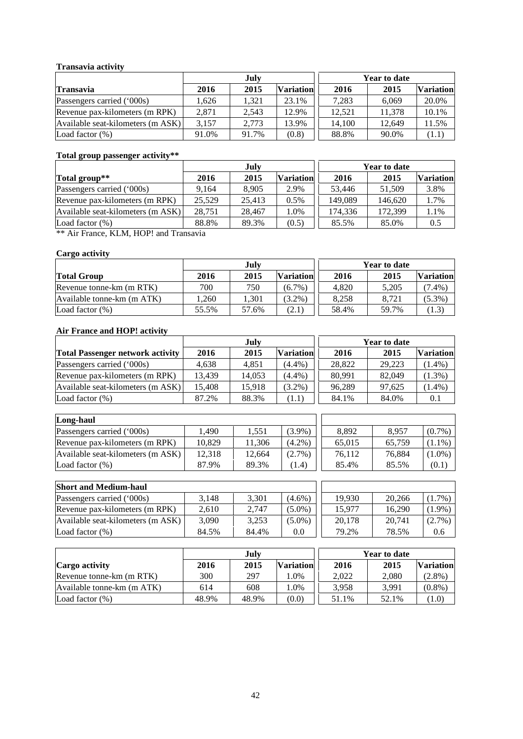# **Transavia activity**

|                                   | July  |       |                  | <b>Year to date</b> |        |                  |  |
|-----------------------------------|-------|-------|------------------|---------------------|--------|------------------|--|
| <b>Transavia</b>                  | 2016  | 2015  | <b>Variation</b> | 2016                | 2015   | <b>Variation</b> |  |
| Passengers carried ('000s)        | 1.626 | 1.321 | 23.1%            | 7.283               | 6.069  | 20.0%            |  |
| Revenue pax-kilometers (m RPK)    | 2,871 | 2,543 | 12.9%            | 12.521              | 11.378 | 10.1%            |  |
| Available seat-kilometers (m ASK) | 3.157 | 2.773 | 13.9%            | 14.100              | 12.649 | 11.5%            |  |
| Load factor $(\%)$                | 91.0% | 91.7% | (0.8)            | 88.8%               | 90.0%  | $1.1\,$          |  |

# **Total group passenger activity\*\***

|                                   | July   |        |                  | <b>Year to date</b> |         |                  |
|-----------------------------------|--------|--------|------------------|---------------------|---------|------------------|
| Total group**                     | 2016   | 2015   | <b>Variation</b> | 2016                | 2015    | <b>Variation</b> |
| Passengers carried ('000s)        | 9.164  | 8.905  | 2.9%             | 53,446              | 51,509  | 3.8%             |
| Revenue pax-kilometers (m RPK)    | 25.529 | 25.413 | $0.5\%$          | 149,089             | 146.620 | 1.7%             |
| Available seat-kilometers (m ASK) | 28.751 | 28.467 | $1.0\%$          | 174.336             | 172.399 | 1.1%             |
| Load factor $(\%)$                | 88.8%  | 89.3%  | (0.5)            | 85.5%               | 85.0%   | 0.5              |

\*\* Air France, KLM, HOP! and Transavia

# **Cargo activity**

|                            | July  |       |                  | Year to date |       |                  |
|----------------------------|-------|-------|------------------|--------------|-------|------------------|
| <b>Total Group</b>         | 2016  | 2015  | <b>Variation</b> | 2016         | 2015  | <b>Variation</b> |
| Revenue tonne-km (m RTK)   | 700   | 750   | $(6.7\%)$        | 4.820        | 5.205 | $(7.4\%)$        |
| Available tonne-km (m ATK) | .260  | 1,301 | $(3.2\%)$        | 8,258        | 8.721 | $(5.3\%)$        |
| Load factor $(\%)$         | 55.5% | 57.6% | (2.1)            | 58.4%        | 59.7% | (1.3)            |

# **Air France and HOP! activity**

|                                         | July   |        |                  | <b>Year to date</b> |        |                  |
|-----------------------------------------|--------|--------|------------------|---------------------|--------|------------------|
| <b>Total Passenger network activity</b> | 2016   | 2015   | <b>Variation</b> | 2016                | 2015   | <b>Variation</b> |
| Passengers carried ('000s)              | 4,638  | 4,851  | $(4.4\%)$        | 28,822              | 29,223 | $(1.4\%)$        |
| Revenue pax-kilometers (m RPK)          | 13,439 | 14,053 | $(4.4\%)$        | 80,991              | 82,049 | $(1.3\%)$        |
| Available seat-kilometers (m ASK)       | 15,408 | 15,918 | $(3.2\%)$        | 96,289              | 97,625 | $(1.4\%)$        |
| Load factor $(\%)$                      | 87.2%  | 88.3%  | (1.1)            | 84.1%               | 84.0%  | 0.1              |
|                                         |        |        |                  |                     |        |                  |
| Long-haul                               |        |        |                  |                     |        |                  |
| Passengers carried ('000s)              | 1,490  | 1,551  | $(3.9\%)$        | 8,892               | 8,957  | $(0.7\%)$        |
| Revenue pax-kilometers (m RPK)          | 10,829 | 11,306 | $(4.2\%)$        | 65,015              | 65,759 | $(1.1\%)$        |
| Available seat-kilometers (m ASK)       | 12,318 | 12,664 | $(2.7\%)$        | 76,112              | 76,884 | $(1.0\%)$        |
| Load factor $(\%)$                      | 87.9%  | 89.3%  | (1.4)            | 85.4%               | 85.5%  | (0.1)            |
|                                         |        |        |                  |                     |        |                  |
| <b>Short and Medium-haul</b>            |        |        |                  |                     |        |                  |
| Passengers carried ('000s)              | 3,148  | 3,301  | $(4.6\%)$        | 19,930              | 20,266 | $(1.7\%)$        |
| Revenue pax-kilometers (m RPK)          | 2,610  | 2,747  | $(5.0\%)$        | 15,977              | 16,290 | $(1.9\%)$        |
| Available seat-kilometers (m ASK)       | 3,090  | 3,253  | $(5.0\%)$        | 20,178              | 20,741 | $(2.7\%)$        |
| Load factor $(\%)$                      | 84.5%  | 84.4%  | 0.0 <sub>1</sub> | 79.2%               | 78.5%  | 0.6              |

|                            | July  |       |                  | Year to date |       |                  |
|----------------------------|-------|-------|------------------|--------------|-------|------------------|
| Cargo activity             | 2016  | 2015  | <b>Variation</b> | 2016         | 2015  | <b>Variation</b> |
| Revenue tonne-km (m RTK)   | 300   | 297   | $.0\%$           | 2.022        | 2,080 | $(2.8\%)$        |
| Available tonne-km (m ATK) | 614   | 608   | .0%              | 3.958        | 3.991 | $(0.8\%)$        |
| Load factor $(\%)$         | 48.9% | 48.9% | (0.0)            | 51.1%        | 52.1% | 1.0              |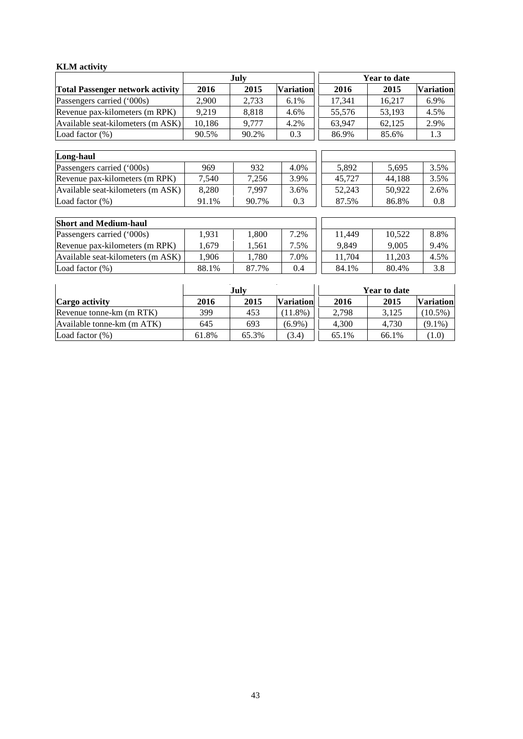# **KLM activity**

| July                              |       |                  | <b>Year to date</b> |        |                  |
|-----------------------------------|-------|------------------|---------------------|--------|------------------|
| 2016                              | 2015  | <b>Variation</b> | 2016                | 2015   | <b>Variation</b> |
| 2,900                             | 2,733 | 6.1%             | 17,341              | 16,217 | 6.9%             |
| 9,219                             | 8,818 | 4.6%             | 55,576              | 53,193 | 4.5%             |
| 10,186                            | 9,777 | 4.2%             | 63,947              | 62,125 | 2.9%             |
| 90.5%                             | 90.2% | 0.3              | 86.9%               | 85.6%  | 1.3              |
|                                   |       |                  |                     |        |                  |
|                                   |       |                  |                     |        |                  |
| 969                               | 932   | 4.0%             | 5,892               | 5,695  | 3.5%             |
| 7,540                             | 7,256 | 3.9%             | 45,727              | 44,188 | 3.5%             |
| 8,280                             | 7,997 | 3.6%             | 52,243              | 50,922 | 2.6%             |
| 91.1%                             | 90.7% | 0.3              | 87.5%               | 86.8%  | 0.8              |
|                                   |       |                  |                     |        |                  |
|                                   |       |                  |                     |        |                  |
| 1,931                             | 1,800 | 7.2%             | 11,449              | 10,522 | 8.8%             |
| 1,679                             | 1,561 | 7.5%             | 9,849               | 9,005  | 9.4%             |
| 1,906                             | 1,780 | 7.0%             | 11,704              | 11,203 | 4.5%             |
| 88.1%                             | 87.7% | 0.4              | 84.1%               | 80.4%  | 3.8              |
| Available seat-kilometers (m ASK) |       |                  |                     |        |                  |

|                            | July  |       |                  | Year to date |       |                  |
|----------------------------|-------|-------|------------------|--------------|-------|------------------|
| Cargo activity             | 2016  | 2015  | <b>Variation</b> | 2016         | 2015  | <b>Variation</b> |
| Revenue tonne-km (m RTK)   | 399   | 453   | 11.8%)           | 2.798        | 3.125 | $(10.5\%)$       |
| Available tonne-km (m ATK) | 645   | 693   | $(6.9\%)$        | 4.300        | 4.730 | $(9.1\%)$        |
| Load factor $(\%)$         | 61.8% | 65.3% | (3.4)            | 65.1%        | 66.1% | 1.0              |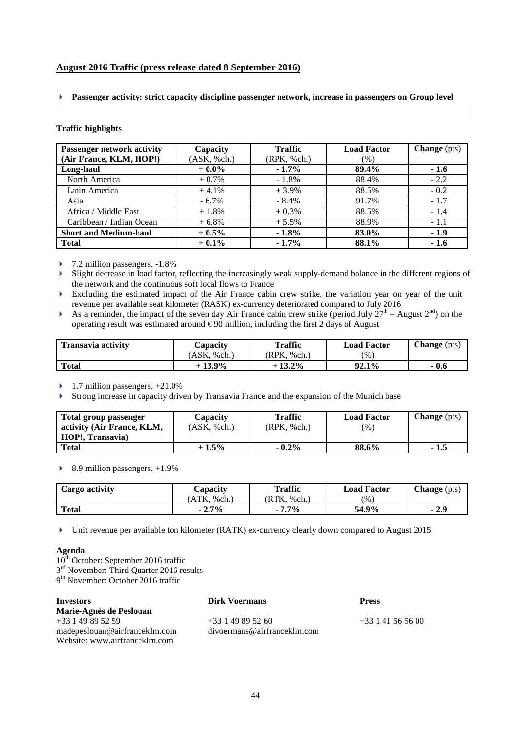# **August 2016 Traffic (press release dated 8 September 2016)**

**Passenger activity: strict capacity discipline passenger network, increase in passengers on Group level**

#### **Traffic highlights**

| <b>Passenger network activity</b><br>(Air France, KLM, HOP!) | Capacity<br>(ASK, %ch.) | Traffic<br>(RPK, % <sub>ch.</sub> ) | <b>Load Factor</b><br>$(\%)$ | <b>Change</b> (pts) |
|--------------------------------------------------------------|-------------------------|-------------------------------------|------------------------------|---------------------|
| Long-haul                                                    | $+0.0\%$                | $-1.7\%$                            | 89.4%                        | $-1.6$              |
| North America                                                | $+0.7\%$                | $-1.8\%$                            | 88.4%                        | $-2.2$              |
| Latin America                                                | $+4.1%$                 | $+3.9%$                             | 88.5%                        | $-0.2$              |
| Asia                                                         | $-6.7\%$                | $-8.4%$                             | 91.7%                        | $-1.7$              |
| Africa / Middle East                                         | $+1.8%$                 | $+0.3%$                             | 88.5%                        | $-1.4$              |
| Caribbean / Indian Ocean                                     | $+6.8\%$                | $+5.5%$                             | 88.9%                        | $-1.1$              |
| <b>Short and Medium-haul</b>                                 | $+0.5\%$                | $-1.8%$                             | 83.0%                        | $-1.9$              |
| <b>Total</b>                                                 | $+0.1\%$                | $-1.7\%$                            | 88.1%                        | $-1.6$              |

▶ 7.2 million passengers, -1.8%

 Slight decrease in load factor, reflecting the increasingly weak supply-demand balance in the different regions of the network and the continuous soft local flows to France

 Excluding the estimated impact of the Air France cabin crew strike, the variation year on year of the unit revenue per available seat kilometer (RASK) ex-currency deteriorated compared to July 2016

As a reminder, the impact of the seven day Air France cabin crew strike (period July  $27^{th}$  – August  $2^{nd}$ ) on the operating result was estimated around  $\epsilon$ 90 million, including the first 2 days of August

| <b>Transavia activity</b> | Capacity<br>(ASK, %ch.) | <b>Traffic</b><br>(RPK, %ch.) | <b>Load Factor</b><br>$\frac{9}{6}$ | <b>Change</b> (pts) |
|---------------------------|-------------------------|-------------------------------|-------------------------------------|---------------------|
| <b>Total</b>              | $+13.9%$                | $+13.2\%$                     | $92.1\%$                            | - 0.6               |

▶ 1.7 million passengers, <math>+21.0%</math>

Strong increase in capacity driven by Transavia France and the expansion of the Munich base

| <b>Total group passenger</b> | Capacity<br>(ASK, %ch.)<br>activity (Air France, KLM, |             | <b>Load Factor</b><br>$(\%)$ | <b>Change</b> (pts) |
|------------------------------|-------------------------------------------------------|-------------|------------------------------|---------------------|
| HOP!, Transavia)             |                                                       | (RPK, %ch.) |                              |                     |
| Total                        | $+1.5%$                                               | $-0.2\%$    | 88.6%                        | $-1.5$              |

 $\triangleright$  8.9 million passengers, +1.9%

| Cargo activity | <b>Traffic</b><br>Capacity<br>(RTK, %ch.)<br>(ATK, %ch.) |          | <b>Load Factor</b><br>$\frac{1}{2}$ | <b>Change</b> (pts) |
|----------------|----------------------------------------------------------|----------|-------------------------------------|---------------------|
| <b>Total</b>   | $-2.7\%$                                                 | $-7.7\%$ | 54.9%                               | $-2.9$              |

Unit revenue per available ton kilometer (RATK) ex-currency clearly down compared to August 2015

#### **Agenda**

10<sup>th</sup> October: September 2016 traffic

3<sup>rd</sup> November: Third Quarter 2016 results

9<sup>th</sup> November: October 2016 traffic

| <b>Investors</b>              | <b>Dirk Voermans</b>        | <b>Press</b>   |
|-------------------------------|-----------------------------|----------------|
| Marie-Agnès de Peslouan       |                             |                |
| $+33149895259$                | $+33149895260$              | $+33141565600$ |
| madepeslouan@airfranceklm.com | divoermans@airfranceklm.com |                |
| Website: www.airfranceklm.com |                             |                |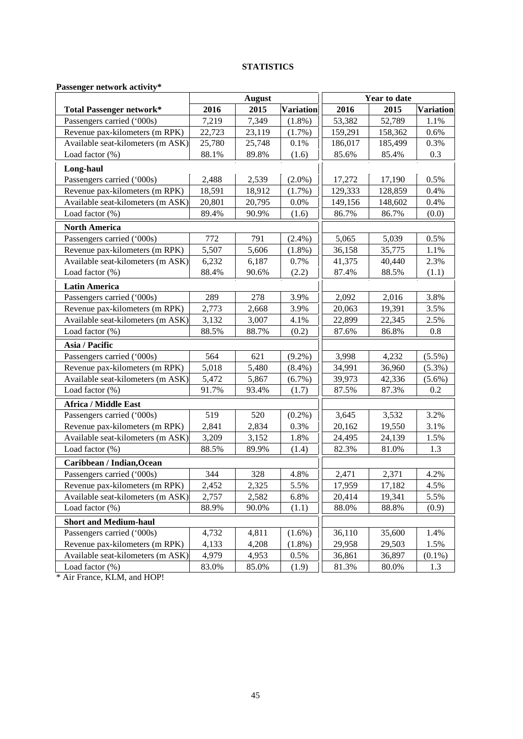# **STATISTICS**

# **Passenger network activity\***

|                                   | <b>August</b> |        |                  | Year to date |         |                  |  |
|-----------------------------------|---------------|--------|------------------|--------------|---------|------------------|--|
| <b>Total Passenger network*</b>   | 2016          | 2015   | <b>Variation</b> | 2016         | 2015    | <b>Variation</b> |  |
| Passengers carried ('000s)        | 7,219         | 7,349  | $(1.8\%)$        | 53,382       | 52,789  | 1.1%             |  |
| Revenue pax-kilometers (m RPK)    | 22,723        | 23,119 | (1.7%)           | 159,291      | 158,362 | 0.6%             |  |
| Available seat-kilometers (m ASK) | 25,780        | 25,748 | 0.1%             | 186,017      | 185,499 | 0.3%             |  |
| Load factor (%)                   | 88.1%         | 89.8%  | (1.6)            | 85.6%        | 85.4%   | 0.3              |  |
| Long-haul                         |               |        |                  |              |         |                  |  |
| Passengers carried ('000s)        | 2,488         | 2,539  | $(2.0\%)$        | 17,272       | 17,190  | 0.5%             |  |
| Revenue pax-kilometers (m RPK)    | 18,591        | 18,912 | (1.7%)           | 129,333      | 128,859 | 0.4%             |  |
| Available seat-kilometers (m ASK) | 20,801        | 20,795 | 0.0%             | 149,156      | 148,602 | 0.4%             |  |
| Load factor (%)                   | 89.4%         | 90.9%  | (1.6)            | 86.7%        | 86.7%   | (0.0)            |  |
| <b>North America</b>              |               |        |                  |              |         |                  |  |
| Passengers carried ('000s)        | 772           | 791    | $(2.4\%)$        | 5,065        | 5,039   | 0.5%             |  |
| Revenue pax-kilometers (m RPK)    | 5,507         | 5,606  | $(1.8\%)$        | 36,158       | 35,775  | 1.1%             |  |
| Available seat-kilometers (m ASK) | 6,232         | 6,187  | 0.7%             | 41,375       | 40,440  | 2.3%             |  |
| Load factor (%)                   | 88.4%         | 90.6%  | (2.2)            | 87.4%        | 88.5%   | (1.1)            |  |
| <b>Latin America</b>              |               |        |                  |              |         |                  |  |
| Passengers carried ('000s)        | 289           | 278    | 3.9%             | 2,092        | 2,016   | 3.8%             |  |
| Revenue pax-kilometers (m RPK)    | 2,773         | 2,668  | 3.9%             | 20,063       | 19,391  | 3.5%             |  |
| Available seat-kilometers (m ASK) | 3,132         | 3,007  | 4.1%             | 22,899       | 22,345  | 2.5%             |  |
| Load factor (%)                   | 88.5%         | 88.7%  | (0.2)            | 87.6%        | 86.8%   | 0.8              |  |
| Asia / Pacific                    |               |        |                  |              |         |                  |  |
| Passengers carried ('000s)        | 564           | 621    | $(9.2\%)$        | 3,998        | 4,232   | $(5.5\%)$        |  |
| Revenue pax-kilometers (m RPK)    | 5,018         | 5,480  | $(8.4\%)$        | 34,991       | 36,960  | $(5.3\%)$        |  |
| Available seat-kilometers (m ASK) | 5,472         | 5,867  | (6.7%)           | 39,973       | 42,336  | $(5.6\%)$        |  |
| Load factor $(\%)$                | 91.7%         | 93.4%  | (1.7)            | 87.5%        | 87.3%   | 0.2              |  |
| <b>Africa / Middle East</b>       |               |        |                  |              |         |                  |  |
| Passengers carried ('000s)        | 519           | 520    | $(0.2\%)$        | 3,645        | 3,532   | 3.2%             |  |
| Revenue pax-kilometers (m RPK)    | 2,841         | 2,834  | 0.3%             | 20,162       | 19,550  | 3.1%             |  |
| Available seat-kilometers (m ASK) | 3,209         | 3,152  | 1.8%             | 24,495       | 24,139  | 1.5%             |  |
| Load factor (%)                   | 88.5%         | 89.9%  | (1.4)            | 82.3%        | 81.0%   | 1.3              |  |
| Caribbean / Indian, Ocean         |               |        |                  |              |         |                  |  |
| Passengers carried ('000s)        | 344           | 328    | 4.8%             | 2,471        | 2,371   | 4.2%             |  |
| Revenue pax-kilometers (m RPK)    | 2,452         | 2,325  | 5.5%             | 17,959       | 17,182  | 4.5%             |  |
| Available seat-kilometers (m ASK) | 2,757         | 2,582  | 6.8%             | 20,414       | 19,341  | 5.5%             |  |
| Load factor $(\%)$                | 88.9%         | 90.0%  | (1.1)            | 88.0%        | 88.8%   | (0.9)            |  |
| <b>Short and Medium-haul</b>      |               |        |                  |              |         |                  |  |
| Passengers carried ('000s)        | 4,732         | 4,811  | $(1.6\%)$        | 36,110       | 35,600  | 1.4%             |  |
| Revenue pax-kilometers (m RPK)    | 4,133         | 4,208  | $(1.8\%)$        | 29,958       | 29,503  | 1.5%             |  |
| Available seat-kilometers (m ASK) | 4,979         | 4,953  | 0.5%             | 36,861       | 36,897  | $(0.1\%)$        |  |
| Load factor $(\%)$                | 83.0%         | 85.0%  | (1.9)            | 81.3%        | 80.0%   | 1.3              |  |

\* Air France, KLM, and HOP!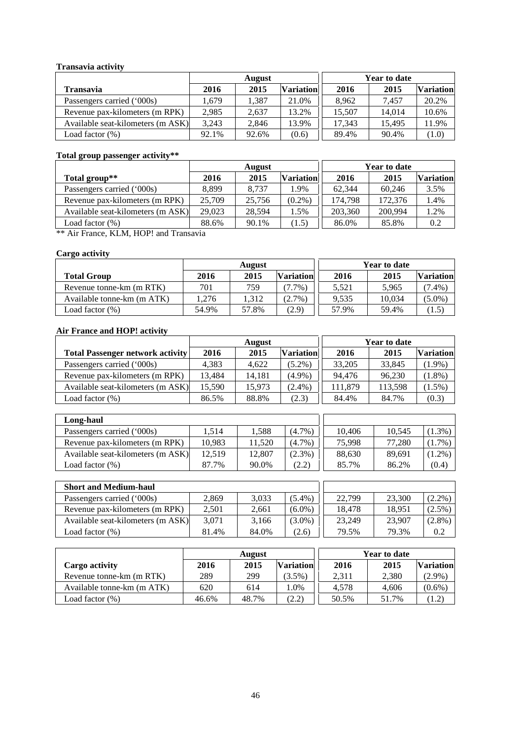# **Transavia activity**

|                                   | <b>August</b> |       |                  | Year to date |        |                  |
|-----------------------------------|---------------|-------|------------------|--------------|--------|------------------|
| <b>Transavia</b>                  | 2016          | 2015  | <b>Variation</b> | 2016         | 2015   | <b>Variation</b> |
| Passengers carried ('000s)        | 1.679         | 1.387 | 21.0%            | 8.962        | 7.457  | 20.2%            |
| Revenue pax-kilometers (m RPK)    | 2,985         | 2.637 | 13.2%            | 15.507       | 14.014 | 10.6%            |
| Available seat-kilometers (m ASK) | 3.243         | 2.846 | 13.9%            | 17.343       | 15.495 | 11.9%            |
| Load factor $(\%)$                | 92.1%         | 92.6% | (0.6)            | 89.4%        | 90.4%  | (1.0)            |

# **Total group passenger activity\*\***

|                                   | <b>August</b> |        |                  | Year to date |         |                  |
|-----------------------------------|---------------|--------|------------------|--------------|---------|------------------|
| Total group**                     | 2016          | 2015   | <b>Variation</b> | 2016         | 2015    | <b>Variation</b> |
| Passengers carried ('000s)        | 8.899         | 8.737  | .9%              | 62.344       | 60,246  | 3.5%             |
| Revenue pax-kilometers (m RPK)    | 25,709        | 25.756 | $(0.2\%)$        | 174.798      | 172,376 | 1.4%             |
| Available seat-kilometers (m ASK) | 29,023        | 28.594 | 1.5%             | 203,360      | 200,994 | 1.2%             |
| Load factor $(\%)$                | 88.6%         | 90.1%  | (1.5)            | 86.0%        | 85.8%   | 0.2              |

\*\* Air France, KLM, HOP! and Transavia

#### **Cargo activity**

|                            | <b>August</b> |       |                  | Year to date |        |                  |
|----------------------------|---------------|-------|------------------|--------------|--------|------------------|
| <b>Total Group</b>         | 2016          | 2015  | <b>Variation</b> | 2016         | 2015   | <b>Variation</b> |
| Revenue tonne-km (m RTK)   | 701           | 759   | $7\%$            | 5,521        | 5.965  | $1.4\%$          |
| Available tonne-km (m ATK) | 1.276         | 1.312 | $(2.7\%)$        | 9,535        | 10.034 | $(5.0\%)$        |
| Load factor $(\%)$         | 54.9%         | 57.8% | (2.9)            | 57.9%        | 59.4%  | (1.5)            |

# **Air France and HOP! activity**

|                                         | August |        | <b>Year to date</b> |         |         |                  |
|-----------------------------------------|--------|--------|---------------------|---------|---------|------------------|
| <b>Total Passenger network activity</b> | 2016   | 2015   | <b>Variation</b>    | 2016    | 2015    | <b>Variation</b> |
| Passengers carried ('000s)              | 4,383  | 4,622  | $(5.2\%)$           | 33,205  | 33,845  | $(1.9\%)$        |
| Revenue pax-kilometers (m RPK)          | 13,484 | 14,181 | $(4.9\%)$           | 94,476  | 96,230  | $(1.8\%)$        |
| Available seat-kilometers (m ASK)       | 15,590 | 15,973 | $(2.4\%)$           | 111,879 | 113,598 | $(1.5\%)$        |
| Load factor $(\%)$                      | 86.5%  | 88.8%  | (2.3)               | 84.4%   | 84.7%   | (0.3)            |
|                                         |        |        |                     |         |         |                  |
| Long-haul                               |        |        |                     |         |         |                  |
| Passengers carried ('000s)              | 1,514  | 1,588  | $(4.7\%)$           | 10,406  | 10,545  | $(1.3\%)$        |
| Revenue pax-kilometers (m RPK)          | 10,983 | 11,520 | $(4.7\%)$           | 75,998  | 77,280  | $(1.7\%)$        |
| Available seat-kilometers (m ASK)       | 12,519 | 12,807 | $(2.3\%)$           | 88,630  | 89,691  | $(1.2\%)$        |
| Load factor $(\%)$                      | 87.7%  | 90.0%  | (2.2)               | 85.7%   | 86.2%   | (0.4)            |
|                                         |        |        |                     |         |         |                  |
| <b>Short and Medium-haul</b>            |        |        |                     |         |         |                  |
| Passengers carried ('000s)              | 2,869  | 3,033  | $(5.4\%)$           | 22,799  | 23,300  | $(2.2\%)$        |
| Revenue pax-kilometers (m RPK)          | 2,501  | 2,661  | $(6.0\%)$           | 18,478  | 18,951  | $(2.5\%)$        |
| Available seat-kilometers (m ASK)       | 3,071  | 3,166  | $(3.0\%)$           | 23,249  | 23,907  | $(2.8\%)$        |
| Load factor $(\%)$                      | 81.4%  | 84.0%  | (2.6)               | 79.5%   | 79.3%   | 0.2              |
|                                         |        |        |                     |         |         |                  |

|                            | August |       |                  | <b>Year to date</b> |       |                  |
|----------------------------|--------|-------|------------------|---------------------|-------|------------------|
| Cargo activity             | 2016   | 2015  | <b>Variation</b> | 2016                | 2015  | <b>Variation</b> |
| Revenue tonne-km (m RTK)   | 289    | 299   | $(3.5\%)$        | 2.311               | 2,380 | $(2.9\%)$        |
| Available tonne-km (m ATK) | 620    | 614   | $1.0\%$          | 4.578               | 4.606 | $(0.6\%)$        |
| Load factor (%)            | 46.6%  | 48.7% | (2.2)            | 50.5%               | 51.7% | (1.2)            |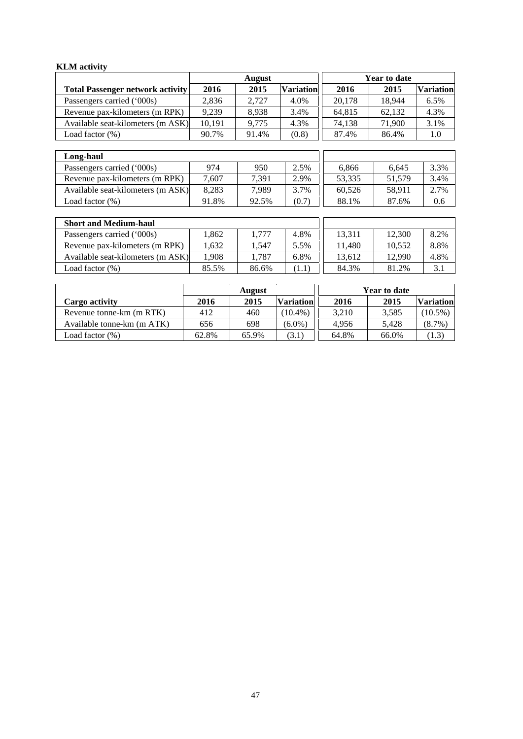# **KLM activity**

|                                         | <b>August</b> |       |                  | <b>Year to date</b> |        |                  |  |
|-----------------------------------------|---------------|-------|------------------|---------------------|--------|------------------|--|
| <b>Total Passenger network activity</b> | 2016          | 2015  | <b>Variation</b> | 2016                | 2015   | <b>Variation</b> |  |
| Passengers carried ('000s)              | 2,836         | 2.727 | 4.0%             | 20.178              | 18.944 | 6.5%             |  |
| Revenue pax-kilometers (m RPK)          | 9.239         | 8,938 | 3.4%             | 64,815              | 62,132 | 4.3%             |  |
| Available seat-kilometers (m ASK)       | 10,191        | 9,775 | 4.3%             | 74,138              | 71,900 | 3.1%             |  |
| Load factor $(\%)$                      | 90.7%         | 91.4% | (0.8)            | 87.4%               | 86.4%  | 1.0              |  |
|                                         |               |       |                  |                     |        |                  |  |
| Long-haul                               |               |       |                  |                     |        |                  |  |

| Long-haul                         |       |       |       |        |        |      |
|-----------------------------------|-------|-------|-------|--------|--------|------|
| Passengers carried ('000s)        | 974   | 950   | 2.5%  | 6,866  | 6.645  | 3.3% |
| Revenue pax-kilometers (m RPK)    | 7.607 | 7,391 | 2.9%  | 53,335 | 51,579 | 3.4% |
| Available seat-kilometers (m ASK) | 8,283 | 7.989 | 3.7%  | 60,526 | 58,911 | 2.7% |
| Load factor $(\%)$                | 91.8% | 92.5% | (0.7) | 88.1%  | 87.6%  | 0.6  |
|                                   |       |       |       |        |        |      |
| <b>Short and Medium-haul</b>      |       |       |       |        |        |      |
| Passengers carried ('000s)        | 1,862 | 1.777 | 4.8%  | 13.311 | 12.300 | 8.2% |
| Revenue pax-kilometers (m RPK)    | 1,632 | 1.547 | 5.5%  | 11,480 | 10,552 | 8.8% |
| Available seat-kilometers (m ASK) | 1,908 | 1.787 | 6.8%  | 13,612 | 12,990 | 4.8% |
| Load factor $(\%)$                | 85.5% | 86.6% | (1.1) | 84.3%  | 81.2%  | 3.1  |

|                            | <b>August</b> |       |                  | Year to date |       |                  |  |
|----------------------------|---------------|-------|------------------|--------------|-------|------------------|--|
| Cargo activity             | 2016          | 2015  | <b>Variation</b> | 2016         | 2015  | <b>Variation</b> |  |
| Revenue tonne-km (m RTK)   | 412           | 460   | $(10.4\%)$       | 3.210        | 3.585 | $(10.5\%)$       |  |
| Available tonne-km (m ATK) | 656           | 698   | $(6.0\%)$        | 4.956        | 5.428 | $(8.7\%)$        |  |
| Load factor $(\%)$         | 62.8%         | 65.9% | (3.1)            | 64.8%        | 66.0% | (1.3)            |  |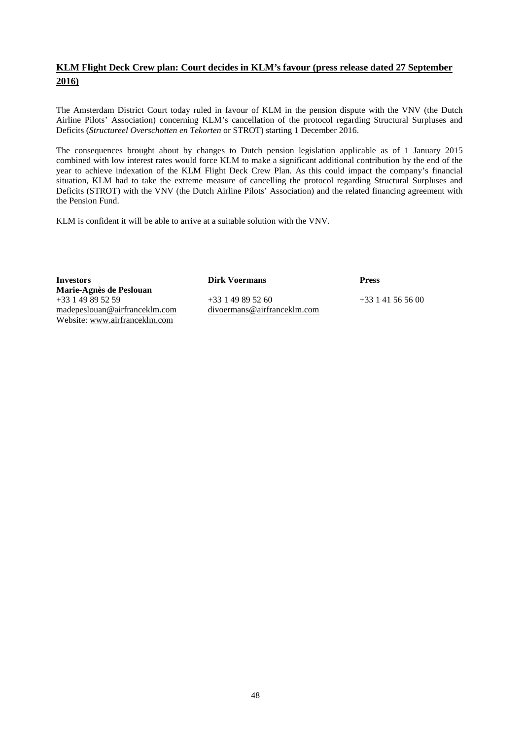# **KLM Flight Deck Crew plan: Court decides in KLM's favour (press release dated 27 September 2016)**

The Amsterdam District Court today ruled in favour of KLM in the pension dispute with the VNV (the Dutch Airline Pilots' Association) concerning KLM's cancellation of the protocol regarding Structural Surpluses and Deficits (*Structureel Overschotten en Tekorten* or STROT) starting 1 December 2016.

The consequences brought about by changes to Dutch pension legislation applicable as of 1 January 2015 combined with low interest rates would force KLM to make a significant additional contribution by the end of the year to achieve indexation of the KLM Flight Deck Crew Plan. As this could impact the company's financial situation, KLM had to take the extreme measure of cancelling the protocol regarding Structural Surpluses and Deficits (STROT) with the VNV (the Dutch Airline Pilots' Association) and the related financing agreement with the Pension Fund.

KLM is confident it will be able to arrive at a suitable solution with the VNV.

| <b>Investors</b>              | <b>Dirk Voermans</b>        | <b>Press</b>   |
|-------------------------------|-----------------------------|----------------|
| Marie-Agnès de Peslouan       |                             |                |
| $+33$ 1 49 89 52 59           | $+33149895260$              | $+33141565600$ |
| madepeslouan@airfranceklm.com | divoermans@airfranceklm.com |                |
| Website: www.airfranceklm.com |                             |                |
|                               |                             |                |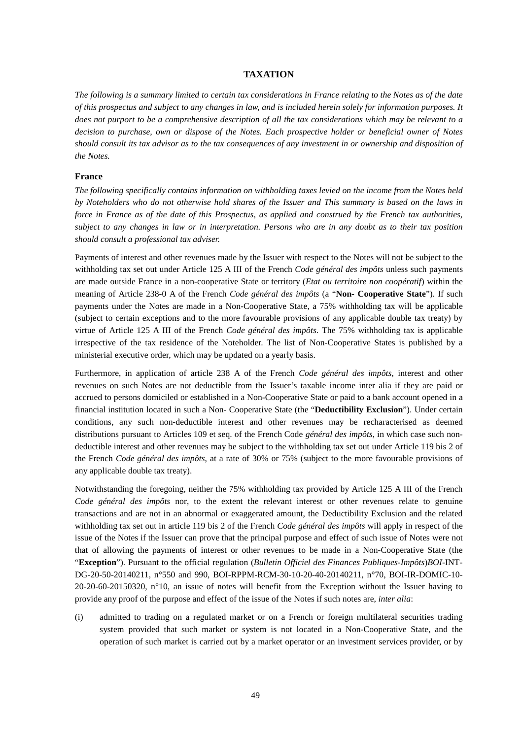#### **TAXATION**

<span id="page-48-0"></span>*The following is a summary limited to certain tax considerations in France relating to the Notes as of the date of this prospectus and subject to any changes in law, and is included herein solely for information purposes. It does not purport to be a comprehensive description of all the tax considerations which may be relevant to a decision to purchase, own or dispose of the Notes. Each prospective holder or beneficial owner of Notes should consult its tax advisor as to the tax consequences of any investment in or ownership and disposition of the Notes.*

#### **France**

*The following specifically contains information on withholding taxes levied on the income from the Notes held by Noteholders who do not otherwise hold shares of the Issuer and This summary is based on the laws in force in France as of the date of this Prospectus, as applied and construed by the French tax authorities, subject to any changes in law or in interpretation. Persons who are in any doubt as to their tax position should consult a professional tax adviser.*

Payments of interest and other revenues made by the Issuer with respect to the Notes will not be subject to the withholding tax set out under Article 125 A III of the French *Code général des impôts* unless such payments are made outside France in a non-cooperative State or territory (*Etat ou territoire non coopératif*) within the meaning of Article 238-0 A of the French *Code général des impôts* (a "**Non- Cooperative State**"). If such payments under the Notes are made in a Non-Cooperative State, a 75% withholding tax will be applicable (subject to certain exceptions and to the more favourable provisions of any applicable double tax treaty) by virtue of Article 125 A III of the French *Code général des impôts*. The 75% withholding tax is applicable irrespective of the tax residence of the Noteholder. The list of Non-Cooperative States is published by a ministerial executive order, which may be updated on a yearly basis.

Furthermore, in application of article 238 A of the French *Code général des impôts*, interest and other revenues on such Notes are not deductible from the Issuer's taxable income inter alia if they are paid or accrued to persons domiciled or established in a Non-Cooperative State or paid to a bank account opened in a financial institution located in such a Non- Cooperative State (the "**Deductibility Exclusion**"). Under certain conditions, any such non-deductible interest and other revenues may be recharacterised as deemed distributions pursuant to Articles 109 et seq. of the French Code *général des impôts*, in which case such nondeductible interest and other revenues may be subject to the withholding tax set out under Article 119 bis 2 of the French *Code général des impôts*, at a rate of 30% or 75% (subject to the more favourable provisions of any applicable double tax treaty).

Notwithstanding the foregoing, neither the 75% withholding tax provided by Article 125 A III of the French *Code général des impôts* nor, to the extent the relevant interest or other revenues relate to genuine transactions and are not in an abnormal or exaggerated amount, the Deductibility Exclusion and the related withholding tax set out in article 119 bis 2 of the French *Code général des impôts* will apply in respect of the issue of the Notes if the Issuer can prove that the principal purpose and effect of such issue of Notes were not that of allowing the payments of interest or other revenues to be made in a Non-Cooperative State (the "**Exception**"). Pursuant to the official regulation (*Bulletin Officiel des Finances Publiques-Impôts*)*BOI*-INT-DG-20-50-20140211, n°550 and 990, BOI-RPPM-RCM-30-10-20-40-20140211, n°70, BOI-IR-DOMIC-10- 20-20-60-20150320, n°10, an issue of notes will benefit from the Exception without the Issuer having to provide any proof of the purpose and effect of the issue of the Notes if such notes are, *inter alia*:

(i) admitted to trading on a regulated market or on a French or foreign multilateral securities trading system provided that such market or system is not located in a Non-Cooperative State, and the operation of such market is carried out by a market operator or an investment services provider, or by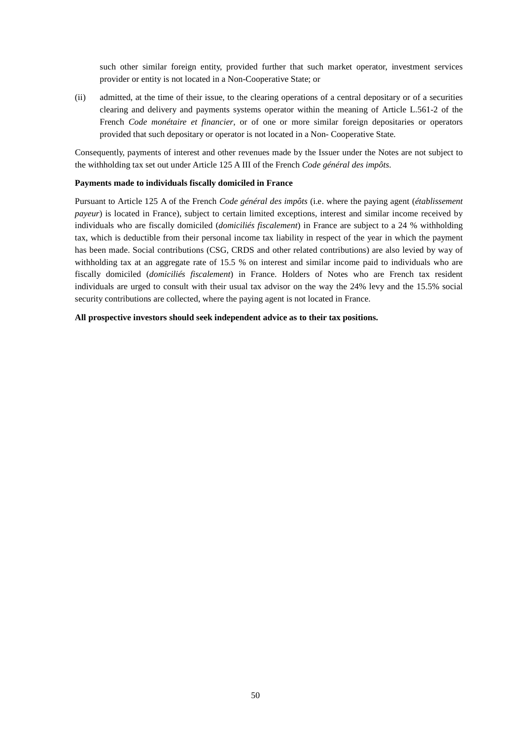such other similar foreign entity, provided further that such market operator, investment services provider or entity is not located in a Non-Cooperative State; or

(ii) admitted, at the time of their issue, to the clearing operations of a central depositary or of a securities clearing and delivery and payments systems operator within the meaning of Article L.561-2 of the French *Code monétaire et financier*, or of one or more similar foreign depositaries or operators provided that such depositary or operator is not located in a Non- Cooperative State.

Consequently, payments of interest and other revenues made by the Issuer under the Notes are not subject to the withholding tax set out under Article 125 A III of the French *Code général des impôts*.

#### **Payments made to individuals fiscally domiciled in France**

Pursuant to Article 125 A of the French *Code général des impôts* (i.e. where the paying agent (*établissement payeur*) is located in France), subject to certain limited exceptions, interest and similar income received by individuals who are fiscally domiciled (*domiciliés fiscalement*) in France are subject to a 24 % withholding tax, which is deductible from their personal income tax liability in respect of the year in which the payment has been made. Social contributions (CSG, CRDS and other related contributions) are also levied by way of withholding tax at an aggregate rate of 15.5 % on interest and similar income paid to individuals who are fiscally domiciled (*domiciliés fiscalement*) in France. Holders of Notes who are French tax resident individuals are urged to consult with their usual tax advisor on the way the 24% levy and the 15.5% social security contributions are collected, where the paying agent is not located in France.

**All prospective investors should seek independent advice as to their tax positions.**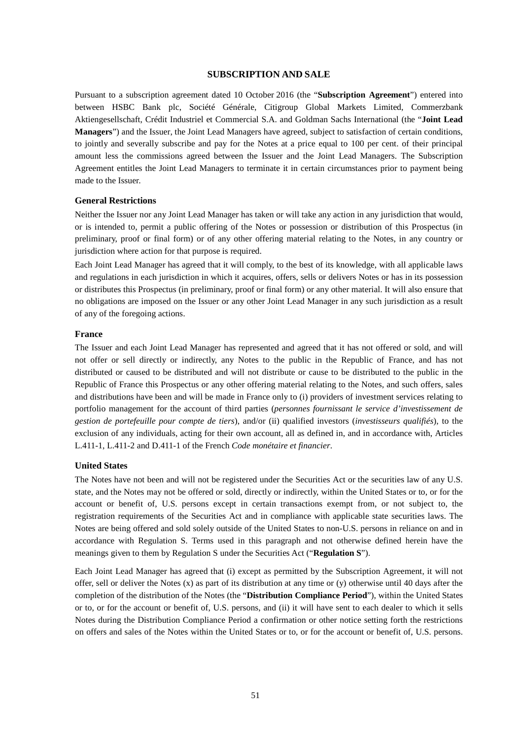#### **SUBSCRIPTION AND SALE**

<span id="page-50-0"></span>Pursuant to a subscription agreement dated 10 October 2016 (the "**Subscription Agreement**") entered into between HSBC Bank plc, Société Générale, Citigroup Global Markets Limited, Commerzbank Aktiengesellschaft, Crédit Industriel et Commercial S.A. and Goldman Sachs International (the "**Joint Lead Managers**") and the Issuer, the Joint Lead Managers have agreed, subject to satisfaction of certain conditions, to jointly and severally subscribe and pay for the Notes at a price equal to 100 per cent. of their principal amount less the commissions agreed between the Issuer and the Joint Lead Managers. The Subscription Agreement entitles the Joint Lead Managers to terminate it in certain circumstances prior to payment being made to the Issuer.

#### **General Restrictions**

Neither the Issuer nor any Joint Lead Manager has taken or will take any action in any jurisdiction that would, or is intended to, permit a public offering of the Notes or possession or distribution of this Prospectus (in preliminary, proof or final form) or of any other offering material relating to the Notes, in any country or jurisdiction where action for that purpose is required.

Each Joint Lead Manager has agreed that it will comply, to the best of its knowledge, with all applicable laws and regulations in each jurisdiction in which it acquires, offers, sells or delivers Notes or has in its possession or distributes this Prospectus (in preliminary, proof or final form) or any other material. It will also ensure that no obligations are imposed on the Issuer or any other Joint Lead Manager in any such jurisdiction as a result of any of the foregoing actions.

#### **France**

The Issuer and each Joint Lead Manager has represented and agreed that it has not offered or sold, and will not offer or sell directly or indirectly, any Notes to the public in the Republic of France, and has not distributed or caused to be distributed and will not distribute or cause to be distributed to the public in the Republic of France this Prospectus or any other offering material relating to the Notes, and such offers, sales and distributions have been and will be made in France only to (i) providers of investment services relating to portfolio management for the account of third parties (*personnes fournissant le service d'investissement de gestion de portefeuille pour compte de tiers*), and/or (ii) qualified investors (*investisseurs qualifiés*), to the exclusion of any individuals, acting for their own account, all as defined in, and in accordance with, Articles L.411-1, L.411-2 and D.411-1 of the French *Code monétaire et financier*.

#### **United States**

The Notes have not been and will not be registered under the Securities Act or the securities law of any U.S. state, and the Notes may not be offered or sold, directly or indirectly, within the United States or to, or for the account or benefit of, U.S. persons except in certain transactions exempt from, or not subject to, the registration requirements of the Securities Act and in compliance with applicable state securities laws. The Notes are being offered and sold solely outside of the United States to non-U.S. persons in reliance on and in accordance with Regulation S. Terms used in this paragraph and not otherwise defined herein have the meanings given to them by Regulation S under the Securities Act ("**Regulation S**").

Each Joint Lead Manager has agreed that (i) except as permitted by the Subscription Agreement, it will not offer, sell or deliver the Notes  $(x)$  as part of its distribution at any time or  $(y)$  otherwise until 40 days after the completion of the distribution of the Notes (the "**Distribution Compliance Period**"), within the United States or to, or for the account or benefit of, U.S. persons, and (ii) it will have sent to each dealer to which it sells Notes during the Distribution Compliance Period a confirmation or other notice setting forth the restrictions on offers and sales of the Notes within the United States or to, or for the account or benefit of, U.S. persons.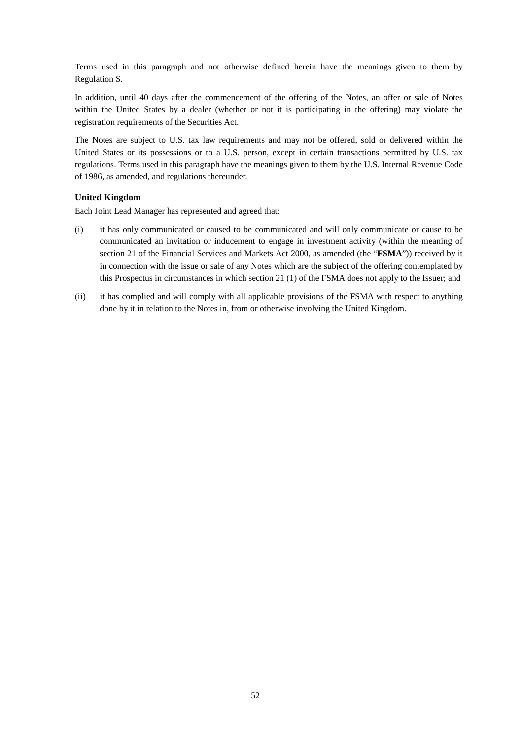Terms used in this paragraph and not otherwise defined herein have the meanings given to them by Regulation S.

In addition, until 40 days after the commencement of the offering of the Notes, an offer or sale of Notes within the United States by a dealer (whether or not it is participating in the offering) may violate the registration requirements of the Securities Act.

The Notes are subject to U.S. tax law requirements and may not be offered, sold or delivered within the United States or its possessions or to a U.S. person, except in certain transactions permitted by U.S. tax regulations. Terms used in this paragraph have the meanings given to them by the U.S. Internal Revenue Code of 1986, as amended, and regulations thereunder.

# **United Kingdom**

Each Joint Lead Manager has represented and agreed that:

- (i) it has only communicated or caused to be communicated and will only communicate or cause to be communicated an invitation or inducement to engage in investment activity (within the meaning of section 21 of the Financial Services and Markets Act 2000, as amended (the "**FSMA**")) received by it in connection with the issue or sale of any Notes which are the subject of the offering contemplated by this Prospectus in circumstances in which section 21 (1) of the FSMA does not apply to the Issuer; and
- (ii) it has complied and will comply with all applicable provisions of the FSMA with respect to anything done by it in relation to the Notes in, from or otherwise involving the United Kingdom.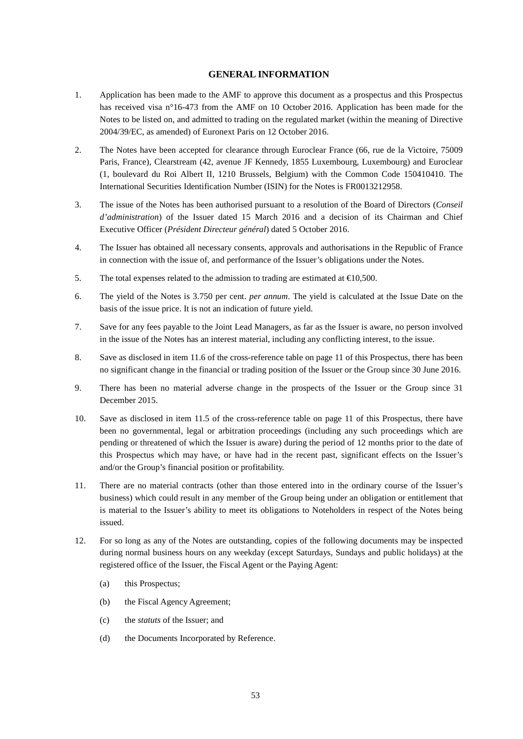# **GENERAL INFORMATION**

- <span id="page-52-0"></span>1. Application has been made to the AMF to approve this document as a prospectus and this Prospectus has received visa n°16-473 from the AMF on 10 October 2016. Application has been made for the Notes to be listed on, and admitted to trading on the regulated market (within the meaning of Directive 2004/39/EC, as amended) of Euronext Paris on 12 October 2016.
- 2. The Notes have been accepted for clearance through Euroclear France (66, rue de la Victoire, 75009 Paris, France), Clearstream (42, avenue JF Kennedy, 1855 Luxembourg, Luxembourg) and Euroclear (1, boulevard du Roi Albert II, 1210 Brussels, Belgium) with the Common Code 150410410. The International Securities Identification Number (ISIN) for the Notes is FR0013212958.
- 3. The issue of the Notes has been authorised pursuant to a resolution of the Board of Directors (*Conseil d'administration*) of the Issuer dated 15 March 2016 and a decision of its Chairman and Chief Executive Officer (*Président Directeur général*) dated 5 October 2016.
- 4. The Issuer has obtained all necessary consents, approvals and authorisations in the Republic of France in connection with the issue of, and performance of the Issuer's obligations under the Notes.
- 5. The total expenses related to the admission to trading are estimated at  $\epsilon 0.500$ .
- 6. The yield of the Notes is 3.750 per cent. *per annum*. The yield is calculated at the Issue Date on the basis of the issue price. It is not an indication of future yield.
- 7. Save for any fees payable to the Joint Lead Managers, as far as the Issuer is aware, no person involved in the issue of the Notes has an interest material, including any conflicting interest, to the issue.
- 8. Save as disclosed in item 11.6 of the cross-reference table on page 11 of this Prospectus, there has been no significant change in the financial or trading position of the Issuer or the Group since 30 June 2016.
- 9. There has been no material adverse change in the prospects of the Issuer or the Group since 31 December 2015.
- 10. Save as disclosed in item 11.5 of the cross-reference table on page 11 of this Prospectus, there have been no governmental, legal or arbitration proceedings (including any such proceedings which are pending or threatened of which the Issuer is aware) during the period of 12 months prior to the date of this Prospectus which may have, or have had in the recent past, significant effects on the Issuer's and/or the Group's financial position or profitability.
- 11. There are no material contracts (other than those entered into in the ordinary course of the Issuer's business) which could result in any member of the Group being under an obligation or entitlement that is material to the Issuer's ability to meet its obligations to Noteholders in respect of the Notes being issued.
- 12. For so long as any of the Notes are outstanding, copies of the following documents may be inspected during normal business hours on any weekday (except Saturdays, Sundays and public holidays) at the registered office of the Issuer, the Fiscal Agent or the Paying Agent:
	- (a) this Prospectus;
	- (b) the Fiscal Agency Agreement;
	- (c) the *statuts* of the Issuer; and
	- (d) the Documents Incorporated by Reference.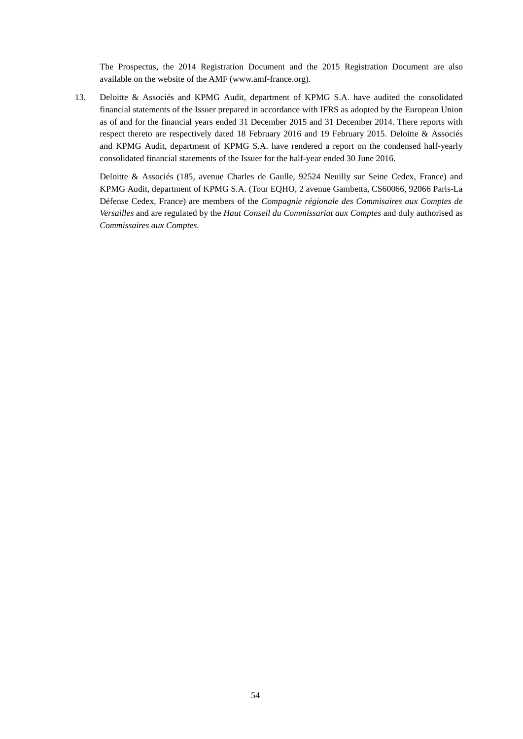The Prospectus, the 2014 Registration Document and the 2015 Registration Document are also available on the website of the AMF (www.amf-france.org).

13. Deloitte & Associés and KPMG Audit, department of KPMG S.A. have audited the consolidated financial statements of the Issuer prepared in accordance with IFRS as adopted by the European Union as of and for the financial years ended 31 December 2015 and 31 December 2014. There reports with respect thereto are respectively dated 18 February 2016 and 19 February 2015. Deloitte & Associés and KPMG Audit, department of KPMG S.A. have rendered a report on the condensed half-yearly consolidated financial statements of the Issuer for the half-year ended 30 June 2016.

Deloitte & Associés (185, avenue Charles de Gaulle, 92524 Neuilly sur Seine Cedex, France) and KPMG Audit, department of KPMG S.A. (Tour EQHO, 2 avenue Gambetta, CS60066, 92066 Paris-La Défense Cedex, France) are members of the *Compagnie régionale des Commisaires aux Comptes de Versailles* and are regulated by the *Haut Conseil du Commissariat aux Comptes* and duly authorised as *Commissaires aux Comptes*.